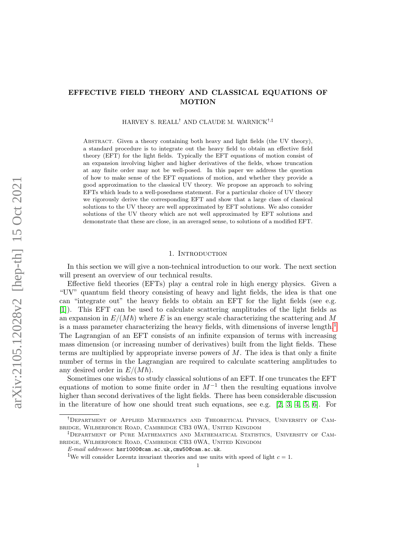# EFFECTIVE FIELD THEORY AND CLASSICAL EQUATIONS OF MOTION

HARVEY S. REALL<sup>†</sup> AND CLAUDE M. WARNICK<sup>†,‡</sup>

Abstract. Given a theory containing both heavy and light fields (the UV theory), a standard procedure is to integrate out the heavy field to obtain an effective field theory (EFT) for the light fields. Typically the EFT equations of motion consist of an expansion involving higher and higher derivatives of the fields, whose truncation at any finite order may not be well-posed. In this paper we address the question of how to make sense of the EFT equations of motion, and whether they provide a good approximation to the classical UV theory. We propose an approach to solving EFTs which leads to a well-posedness statement. For a particular choice of UV theory we rigorously derive the corresponding EFT and show that a large class of classical solutions to the UV theory are well approximated by EFT solutions. We also consider solutions of the UV theory which are not well approximated by EFT solutions and demonstrate that these are close, in an averaged sense, to solutions of a modified EFT.

### 1. Introduction

In this section we will give a non-technical introduction to our work. The next section will present an overview of our technical results.

Effective field theories (EFTs) play a central role in high energy physics. Given a "UV" quantum field theory consisting of heavy and light fields, the idea is that one can "integrate out" the heavy fields to obtain an EFT for the light fields (see e.g. [\[1\]](#page-44-0)). This EFT can be used to calculate scattering amplitudes of the light fields as an expansion in  $E/(M\hbar)$  where E is an energy scale characterizing the scattering and M is a mass parameter characterizing the heavy fields, with dimensions of inverse length.<sup>[1](#page-0-0)</sup> The Lagrangian of an EFT consists of an infinite expansion of terms with increasing mass dimension (or increasing number of derivatives) built from the light fields. These terms are multiplied by appropriate inverse powers of  $M$ . The idea is that only a finite number of terms in the Lagrangian are required to calculate scattering amplitudes to any desired order in  $E/(M\hbar)$ .

Sometimes one wishes to study classical solutions of an EFT. If one truncates the EFT equations of motion to some finite order in  $M^{-1}$  then the resulting equations involve higher than second derivatives of the light fields. There has been considerable discussion in the literature of how one should treat such equations, see e.g. [\[2,](#page-45-0) [3,](#page-45-1) [4,](#page-45-2) [5,](#page-45-3) [6\]](#page-45-4). For

<sup>:</sup>Department of Applied Mathematics and Theoretical Physics, University of Cambridge, Wilberforce Road, Cambridge CB3 0WA, United Kingdom

<sup>;</sup>Department of Pure Mathematics and Mathematical Statistics, University of Cambridge, Wilberforce Road, Cambridge CB3 0WA, United Kingdom

E-mail addresses: hsr1000@cam.ac.uk,cmw50@cam.ac.uk.

<span id="page-0-0"></span><sup>&</sup>lt;sup>1</sup>We will consider Lorentz invariant theories and use units with speed of light  $c = 1$ .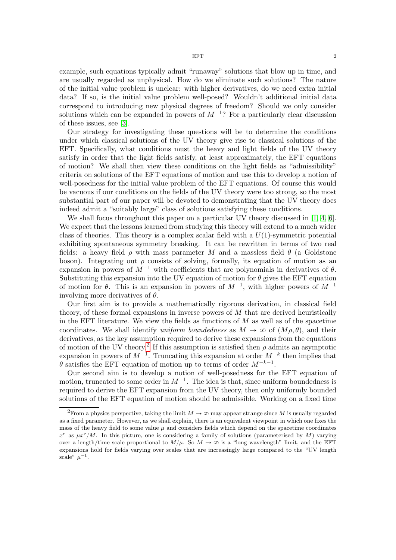example, such equations typically admit "runaway" solutions that blow up in time, and are usually regarded as unphysical. How do we eliminate such solutions? The nature of the initial value problem is unclear: with higher derivatives, do we need extra initial data? If so, is the initial value problem well-posed? Wouldn't additional initial data correspond to introducing new physical degrees of freedom? Should we only consider solutions which can be expanded in powers of  $M^{-1}$ ? For a particularly clear discussion of these issues, see [\[3\]](#page-45-1).

Our strategy for investigating these questions will be to determine the conditions under which classical solutions of the UV theory give rise to classical solutions of the EFT. Specifically, what conditions must the heavy and light fields of the UV theory satisfy in order that the light fields satisfy, at least approximately, the EFT equations of motion? We shall then view these conditions on the light fields as "admissibility" criteria on solutions of the EFT equations of motion and use this to develop a notion of well-posedness for the initial value problem of the EFT equations. Of course this would be vacuous if our conditions on the fields of the UV theory were too strong, so the most substantial part of our paper will be devoted to demonstrating that the UV theory does indeed admit a "suitably large" class of solutions satisfying these conditions.

We shall focus throughout this paper on a particular UV theory discussed in [\[1,](#page-44-0) [4,](#page-45-2) [6\]](#page-45-4). We expect that the lessons learned from studying this theory will extend to a much wider class of theories. This theory is a complex scalar field with a  $U(1)$ -symmetric potential exhibiting spontaneous symmetry breaking. It can be rewritten in terms of two real fields: a heavy field  $\rho$  with mass parameter M and a massless field  $\theta$  (a Goldstone boson). Integrating out  $\rho$  consists of solving, formally, its equation of motion as an expansion in powers of  $M^{-1}$  with coefficients that are polynomials in derivatives of  $\theta$ . Substituting this expansion into the UV equation of motion for  $\theta$  gives the EFT equation of motion for  $\theta$ . This is an expansion in powers of  $M^{-1}$ , with higher powers of  $M^{-1}$ involving more derivatives of  $\theta$ .

Our first aim is to provide a mathematically rigorous derivation, in classical field theory, of these formal expansions in inverse powers of  $M$  that are derived heuristically in the EFT literature. We view the fields as functions of  $M$  as well as of the spacetime coordinates. We shall identify uniform boundedness as  $M \to \infty$  of  $(M \rho, \theta)$ , and their derivatives, as the key assumption required to derive these expansions from the equations of motion of the UV theory.<sup>[2](#page-1-0)</sup> If this assumption is satisfied then  $\rho$  admits an asymptotic expansion in powers of  $M^{-1}$ . Truncating this expansion at order  $M^{-k}$  then implies that  $\theta$  satisfies the EFT equation of motion up to terms of order  $M^{-k-1}$ .

Our second aim is to develop a notion of well-posedness for the EFT equation of motion, truncated to some order in  $M^{-1}$ . The idea is that, since uniform boundedness is required to derive the EFT expansion from the UV theory, then only uniformly bounded solutions of the EFT equation of motion should be admissible. Working on a fixed time

<span id="page-1-0"></span><sup>&</sup>lt;sup>2</sup>From a physics perspective, taking the limit  $M \to \infty$  may appear strange since M is usually regarded as a fixed parameter. However, as we shall explain, there is an equivalent viewpoint in which one fixes the mass of the heavy field to some value  $\mu$  and considers fields which depend on the spacetime coordinates  $x^{\nu}$  as  $\mu x^{\nu}/M$ . In this picture, one is considering a family of solutions (parameterised by M) varying over a length/time scale proportional to  $M/\mu$ . So  $M \to \infty$  is a "long wavelength" limit, and the EFT expansions hold for fields varying over scales that are increasingly large compared to the "UV length scale"  $\mu^{-1}$ .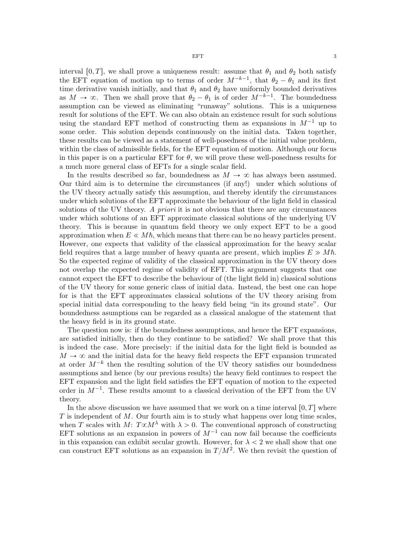interval [0, T], we shall prove a uniqueness result: assume that  $\theta_1$  and  $\theta_2$  both satisfy the EFT equation of motion up to terms of order  $M^{-k-1}$ , that  $\theta_2 - \theta_1$  and its first time derivative vanish initially, and that  $\theta_1$  and  $\theta_2$  have uniformly bounded derivatives as  $M \to \infty$ . Then we shall prove that  $\theta_2 - \theta_1$  is of order  $M^{-k-1}$ . The boundedness assumption can be viewed as eliminating "runaway" solutions. This is a uniqueness result for solutions of the EFT. We can also obtain an existence result for such solutions using the standard EFT method of constructing them as expansions in  $M^{-1}$  up to some order. This solution depends continuously on the initial data. Taken together, these results can be viewed as a statement of well-posedness of the initial value problem, within the class of admissible fields, for the EFT equation of motion. Although our focus in this paper is on a particular EFT for  $\theta$ , we will prove these well-posedness results for a much more general class of EFTs for a single scalar field.

In the results described so far, boundedness as  $M \to \infty$  has always been assumed. Our third aim is to determine the circumstances (if any!) under which solutions of the UV theory actually satisfy this assumption, and thereby identify the circumstances under which solutions of the EFT approximate the behaviour of the light field in classical solutions of the UV theory. A priori it is not obvious that there are any circumstances under which solutions of an EFT approximate classical solutions of the underlying UV theory. This is because in quantum field theory we only expect EFT to be a good approximation when  $E \ll M\hbar$ , which means that there can be no heavy particles present. However, one expects that validity of the classical approximation for the heavy scalar field requires that a large number of heavy quanta are present, which implies  $E \gg M\hbar$ . So the expected regime of validity of the classical approximation in the UV theory does not overlap the expected regime of validity of EFT. This argument suggests that one cannot expect the EFT to describe the behaviour of (the light field in) classical solutions of the UV theory for some generic class of initial data. Instead, the best one can hope for is that the EFT approximates classical solutions of the UV theory arising from special initial data corresponding to the heavy field being "in its ground state". Our boundedness asumptions can be regarded as a classical analogue of the statement that the heavy field is in its ground state.

The question now is: if the boundedness assumptions, and hence the EFT expansions, are satisfied initially, then do they continue to be satisfied? We shall prove that this is indeed the case. More precisely: if the initial data for the light field is bounded as  $M \to \infty$  and the initial data for the heavy field respects the EFT expansion truncated at order  $M^{-k}$  then the resulting solution of the UV theory satisfies our boundedness assumptions and hence (by our previous results) the heavy field continues to respect the EFT expansion and the light field satisfies the EFT equation of motion to the expected order in  $M^{-1}$ . These results amount to a classical derivation of the EFT from the UV theory.

In the above discussion we have assumed that we work on a time interval  $[0, T]$  where  $T$  is independent of  $M$ . Our fourth aim is to study what happens over long time scales, when T scales with M:  $T \propto M^{\lambda}$  with  $\lambda > 0$ . The conventional approach of constructing EFT solutions as an expansion in powers of  $M^{-1}$  can now fail because the coefficients in this expansion can exhibit secular growth. However, for  $\lambda < 2$  we shall show that one can construct EFT solutions as an expansion in  $T/M^2$ . We then revisit the question of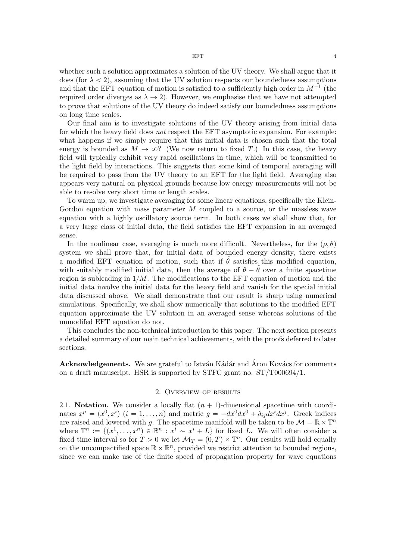whether such a solution approximates a solution of the UV theory. We shall argue that it does (for  $\lambda < 2$ ), assuming that the UV solution respects our boundedness assumptions and that the EFT equation of motion is satisfied to a sufficiently high order in  $M^{-1}$  (the required order diverges as  $\lambda \rightarrow 2$ . However, we emphasise that we have not attempted to prove that solutions of the UV theory do indeed satisfy our boundedness assumptions on long time scales.

Our final aim is to investigate solutions of the UV theory arising from initial data for which the heavy field does not respect the EFT asymptotic expansion. For example: what happens if we simply require that this initial data is chosen such that the total energy is bounded as  $M \to \infty$ ? (We now return to fixed T.) In this case, the heavy field will typically exhibit very rapid oscillations in time, which will be transmitted to the light field by interactions. This suggests that some kind of temporal averaging will be required to pass from the UV theory to an EFT for the light field. Averaging also appears very natural on physical grounds because low energy measurements will not be able to resolve very short time or length scales.

To warm up, we investigate averaging for some linear equations, specifically the Klein-Gordon equation with mass parameter  $M$  coupled to a source, or the massless wave equation with a highly oscillatory source term. In both cases we shall show that, for a very large class of initial data, the field satisfies the EFT expansion in an averaged sense.

In the nonlinear case, averaging is much more difficult. Nevertheless, for the  $(\rho, \theta)$ system we shall prove that, for initial data of bounded energy density, there exists a modified EFT equation of motion, such that if  $\hat{\theta}$  satisfies this modified equation, with suitably modified initial data, then the average of  $\theta - \theta$  over a finite spacetime region is subleading in  $1/M$ . The modifications to the EFT equation of motion and the initial data involve the initial data for the heavy field and vanish for the special initial data discussed above. We shall demonstrate that our result is sharp using numerical simulations. Specifically, we shall show numerically that solutions to the modified EFT equation approximate the UV solution in an averaged sense whereas solutions of the unmodifed EFT equation do not.

This concludes the non-technical introduction to this paper. The next section presents a detailed summary of our main technical achievements, with the proofs deferred to later sections.

Acknowledgements. We are grateful to István Kádár and Áron Kovács for comments on a draft manuscript. HSR is supported by STFC grant no. ST/T000694/1.

### 2. Overview of results

2.1. Notation. We consider a locally flat  $(n + 1)$ -dimensional spacetime with coordinates  $x^{\mu} = (x^0, x^i)$   $(i = 1, ..., n)$  and metric  $g = -dx^0 dx^0 + \delta_{ij} dx^i dx^j$ . Greek indices are raised and lowered with g. The spacetime manifold will be taken to be  $\mathcal{M} = \mathbb{R} \times \mathbb{T}^n$ where  $\mathbb{T}^n := \{(x^1, \ldots, x^n) \in \mathbb{R}^n : x^{\overline{i}} \sim x^i + L\}$  for fixed L. We will often consider a fixed time interval so for  $T > 0$  we let  $\mathcal{M}_T = (0, T) \times \mathbb{T}^n$ . Our results will hold equally on the uncompactified space  $\mathbb{R} \times \mathbb{R}^n$ , provided we restrict attention to bounded regions, since we can make use of the finite speed of propagation property for wave equations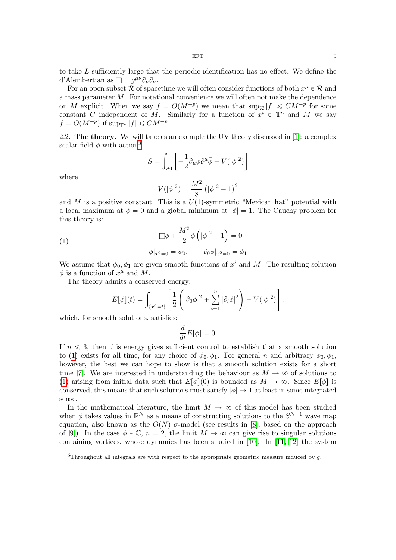to take L sufficiently large that the periodic identification has no effect. We define the d'Alembertian as  $\Box = g^{\mu\nu}\partial_{\mu}\partial_{\nu}$ .

For an open subset R of spacetime we will often consider functions of both  $x^{\mu} \in \mathcal{R}$  and a mass parameter M. For notational convenience we will often not make the dependence on M explicit. When we say  $f = O(M^{-p})$  we mean that  $\sup_{\mathcal{R}} |f| \leq C M^{-p}$  for some constant C independent of M. Similarly for a function of  $x^i \in \mathbb{T}^n$  and M we say  $f = O(M^{-p})$  if  $\sup_{\mathbb{T}^n} |f| \leq C M^{-p}$ .

2.2. The theory. We will take as an example the UV theory discussed in [\[1\]](#page-44-0): a complex scalar field  $\phi$  with action<sup>[3](#page-4-0)</sup> .<br>..  $\overline{a}$ 

$$
S = \int_{\mathcal{M}} \left[ -\frac{1}{2} \partial_{\mu} \phi \partial^{\mu} \bar{\phi} - V(|\phi|^{2}) \right]
$$

where

<span id="page-4-1"></span>
$$
V(|\phi|^2)=\frac{M^2}{8}\left(|\phi|^2-1\right)^2
$$

and M is a positive constant. This is a  $U(1)$ -symmetric "Mexican hat" potential with a local maximum at  $\phi = 0$  and a global minimum at  $|\phi| = 1$ . The Cauchy problem for this theory is:

(1)  
\n
$$
-\Box \phi + \frac{M^2}{2} \phi \left( |\phi|^2 - 1 \right) = 0
$$
\n
$$
\phi|_{x^0 = 0} = \phi_0, \qquad \partial_0 \phi|_{x^0 = 0} = \phi_1
$$

We assume that  $\phi_0, \phi_1$  are given smooth functions of  $x^i$  and M. The resulting solution  $\phi$  is a function of  $x^{\mu}$  and M.

The theory admits a conserved energy:

$$
E[\phi](t) = \int_{\{x^0 = t\}} \left[ \frac{1}{2} \left( |\partial_0 \phi|^2 + \sum_{i=1}^n |\partial_i \phi|^2 \right) + V(|\phi|^2) \right],
$$

which, for smooth solutions, satisfies:

$$
\frac{d}{dt}E[\phi] = 0.
$$

If  $n \leq 3$ , then this energy gives sufficient control to establish that a smooth solution to [\(1\)](#page-4-1) exists for all time, for any choice of  $\phi_0, \phi_1$ . For general n and arbitrary  $\phi_0, \phi_1$ , however, the best we can hope to show is that a smooth solution exists for a short time [\[7\]](#page-45-5). We are interested in understanding the behaviour as  $M \to \infty$  of solutions to [\(1\)](#page-4-1) arising from initial data such that  $E[\phi](0)$  is bounded as  $M \to \infty$ . Since  $E[\phi]$  is conserved, this means that such solutions must satisfy  $|\phi| \to 1$  at least in some integrated sense.

In the mathematical literature, the limit  $M \to \infty$  of this model has been studied when  $\phi$  takes values in  $\mathbb{R}^N$  as a means of constructing solutions to the  $S^{N-1}$  wave map equation, also known as the  $O(N)$  σ-model (see results in [\[8\]](#page-45-6), based on the approach of [\[9\]](#page-45-7)). In the case  $\phi \in \mathbb{C}$ ,  $n = 2$ , the limit  $M \to \infty$  can give rise to singular solutions containing vortices, whose dynamics has been studied in [\[10\]](#page-45-8). In [\[11,](#page-45-9) [12\]](#page-45-10) the system

<span id="page-4-0"></span> $3$ Throughout all integrals are with respect to the appropriate geometric measure induced by  $g$ .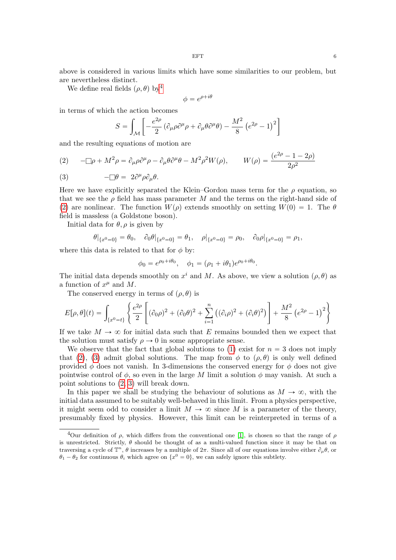above is considered in various limits which have some similarities to our problem, but are nevertheless distinct.

We define real fields  $(\rho, \theta)$  by<sup>[4](#page-5-0)</sup>

$$
\phi = e^{\rho + i\theta}
$$

in terms of which the action becomes ż "

$$
S = \int_{\mathcal{M}} \left[ -\frac{e^{2\rho}}{2} \left( \partial_{\mu}\rho \partial^{\mu}\rho + \partial_{\mu}\theta \partial^{\mu}\theta \right) - \frac{M^2}{8} \left( e^{2\rho} - 1 \right)^2 \right]
$$

and the resulting equations of motion are

<span id="page-5-1"></span>(2) 
$$
-\Box \rho + M^2 \rho = \partial_{\mu} \rho \partial^{\mu} \rho - \partial_{\mu} \theta \partial^{\mu} \theta - M^2 \rho^2 W(\rho), \qquad W(\rho) = \frac{(e^{2\rho} - 1 - 2\rho)}{2\rho^2}
$$

<span id="page-5-2"></span>(3) 
$$
-\Box \theta = 2\partial^{\mu} \rho \partial_{\mu} \theta.
$$

Here we have explicitly separated the Klein–Gordon mass term for the  $\rho$  equation, so that we see the  $\rho$  field has mass parameter M and the terms on the right-hand side of [\(2\)](#page-5-1) are nonlinear. The function  $W(\rho)$  extends smoothly on setting  $W(0) = 1$ . The  $\theta$ field is massless (a Goldstone boson).

Initial data for  $\theta$ ,  $\rho$  is given by

$$
\theta|_{\{x^0=0\}} = \theta_0, \quad \partial_0 \theta|_{\{x^0=0\}} = \theta_1, \quad \rho|_{\{x^0=0\}} = \rho_0, \quad \partial_0 \rho|_{\{x^0=0\}} = \rho_1,
$$

where this data is related to that for  $\phi$  by:

$$
\phi_0 = e^{\rho_0 + i\theta_0}, \quad \phi_1 = (\rho_1 + i\theta_1)e^{\rho_0 + i\theta_0}.
$$

The initial data depends smoothly on  $x^i$  and M. As above, we view a solution  $(\rho, \theta)$  as a function of  $x^{\mu}$  and M.

The conserved energy in terms of  $(\rho, \theta)$  is

$$
E[\rho, \theta](t) = \int_{\{x^0 = t\}} \left\{ \frac{e^{2\rho}}{2} \left[ (\partial_0 \rho)^2 + (\partial_0 \theta)^2 + \sum_{i=1}^n ((\partial_i \rho)^2 + (\partial_i \theta)^2) \right] + \frac{M^2}{8} (e^{2\rho} - 1)^2 \right\}
$$

If we take  $M \to \infty$  for initial data such that E remains bounded then we expect that the solution must satisfy  $\rho \rightarrow 0$  in some appropriate sense.

We observe that the fact that global solutions to [\(1\)](#page-4-1) exist for  $n = 3$  does not imply that [\(2\)](#page-5-1), [\(3\)](#page-5-2) admit global solutions. The map from  $\phi$  to  $(\rho, \theta)$  is only well defined provided  $\phi$  does not vanish. In 3-dimensions the conserved energy for  $\phi$  does not give pointwise control of  $\phi$ , so even in the large M limit a solution  $\phi$  may vanish. At such a point solutions to [\(2,](#page-5-1) [3\)](#page-5-2) will break down.

In this paper we shall be studying the behaviour of solutions as  $M \to \infty$ , with the initial data assumed to be suitably well-behaved in this limit. From a physics perspective, it might seem odd to consider a limit  $M \to \infty$  since M is a parameter of the theory, presumably fixed by physics. However, this limit can be reinterpreted in terms of a

<span id="page-5-0"></span><sup>&</sup>lt;sup>4</sup>Our definition of  $\rho$ , which differs from the conventional one [\[1\]](#page-44-0), is chosen so that the range of  $\rho$ is unrestricted. Strictly,  $\theta$  should be thought of as a multi-valued function since it may be that on traversing a cycle of  $\mathbb{T}^n$ ,  $\theta$  increases by a multiple of  $2\pi$ . Since all of our equations involve either  $\partial_\mu \theta$ , or  $\theta_1 - \theta_2$  for continuous  $\theta_i$  which agree on  $\{x^0 = 0\}$ , we can safely ignore this subtlety.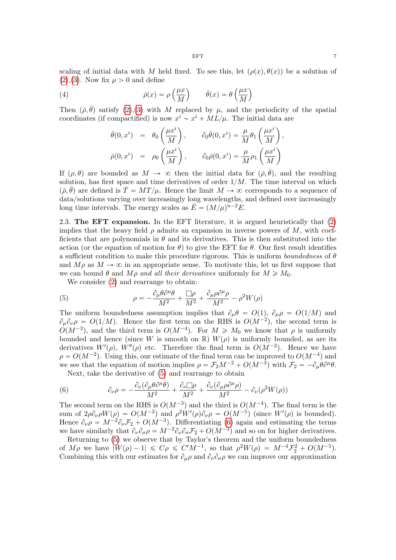scaling of initial data with M held fixed. To see this, let  $(\rho(x), \theta(x))$  be a solution of  $(2),(3)$  $(2),(3)$  $(2),(3)$ . Now fix  $\mu > 0$  and define

(4) 
$$
\bar{\rho}(x) = \rho \left(\frac{\mu x}{M}\right) \qquad \bar{\theta}(x) = \theta \left(\frac{\mu x}{M}\right)
$$

Then  $(\bar{\rho}, \bar{\theta})$  satisfy [\(2\)](#page-5-1),[\(3\)](#page-5-2) with M replaced by  $\mu$ , and the periodicity of the spatial coordinates (if compactified) is now  $x^i \sim x^i + ML/\mu$ . The initial data are

<span id="page-6-2"></span><span id="page-6-0"></span>
$$
\begin{array}{rcl}\n\bar{\theta}(0, x^i) & = & \theta_0 \left(\frac{\mu x^i}{M}\right), \qquad \partial_0 \bar{\theta}(0, x^i) = \frac{\mu}{M} \theta_1 \left(\frac{\mu x^i}{M}\right), \\
\bar{\rho}(0, x^i) & = & \rho_0 \left(\frac{\mu x^i}{M}\right), \qquad \partial_0 \bar{\rho}(0, x^i) = \frac{\mu}{M} \rho_1 \left(\frac{\mu x^i}{M}\right)\n\end{array}
$$

If  $(\rho, \theta)$  are bounded as  $M \to \infty$  then the initial data for  $(\bar{\rho}, \bar{\theta})$ , and the resulting solution, has first space and time derivatives of order  $1/M$ . The time interval on which  $(\bar{\rho}, \bar{\theta})$  are defined is  $\bar{T} = MT/\mu$ . Hence the limit  $M \to \infty$  corresponds to a sequence of data/solutions varying over increasingly long wavelengths, and defined over increasingly long time intervals. The energy scales as  $\overline{E} = (M/\mu)^{n-2}E$ .

2.3. The EFT expansion. In the EFT literature, it is argued heuristically that [\(2\)](#page-5-1) implies that the heavy field  $\rho$  admits an expansion in inverse powers of M, with coefficients that are polynomials in  $\theta$  and its derivatives. This is then substituted into the action (or the equation of motion for  $\theta$ ) to give the EFT for  $\theta$ . Our first result identifies a sufficient condition to make this procedure rigorous. This is uniform *boundedness* of  $\theta$ and  $M \rho$  as  $M \to \infty$  in an appropriate sense. To motivate this, let us first suppose that we can bound  $\theta$  and  $M\rho$  and all their derivatives uniformly for  $M \geq M_0$ .

We consider [\(2\)](#page-5-1) and rearrange to obtain:

(5) 
$$
\rho = -\frac{\partial_{\mu}\theta\partial^{\mu}\theta}{M^2} + \frac{\Box\rho}{M^2} + \frac{\partial_{\mu}\rho\partial^{\mu}\rho}{M^2} - \rho^2 W(\rho)
$$

The uniform boundedness assumption implies that  $\partial_{\mu} \theta = O(1), \ \partial_{\mu} \rho = O(1/M)$  and  $\partial_{\mu}\partial_{\nu}\rho = O(1/M)$ . Hence the first term on the RHS is  $O(M^{-2})$ , the second term is  $O(M^{-3})$ , and the third term is  $O(M^{-4})$ . For  $M \geq M_0$  we know that  $\rho$  is uniformly bounded and hence (since W is smooth on R)  $W(\rho)$  is uniformly bounded, as are its derivatives  $W'(\rho)$ ,  $W''(\rho)$  etc. Therefore the final term is  $O(M^{-2})$ . Hence we have  $\rho = O(M^{-2})$ . Using this, our estimate of the final term can be improved to  $O(M^{-4})$  and we see that the equation of motion implies  $\rho = \mathcal{F}_2 M^{-2} + O(M^{-3})$  with  $\mathcal{F}_2 = -\partial_\mu \theta \partial^\mu \theta$ .

<span id="page-6-1"></span>Next, take the derivative of [\(5\)](#page-6-0) and rearrange to obtain

(6) 
$$
\partial_{\nu}\rho = -\frac{\partial_{\nu}(\partial_{\mu}\theta\partial^{\mu}\theta)}{M^{2}} + \frac{\partial_{\nu}\Box\rho}{M^{2}} + \frac{\partial_{\nu}(\partial_{\mu}\rho\partial^{\mu}\rho)}{M^{2}} - \partial_{\nu}(\rho^{2}W(\rho))
$$

The second term on the RHS is  $O(M^{-3})$  and the third is  $O(M^{-4})$ . The final term is the sum of  $2\rho \partial_\nu \rho W(\rho) = O(M^{-3})$  and  $\rho^2 W'(\rho) \partial_\nu \rho = O(M^{-5})$  (since  $W'(\rho)$  is bounded). Hence  $\partial_{\nu}\rho = M^{-2}\partial_{\nu}\mathcal{F}_2 + O(M^{-3})$ . Differentiating [\(6\)](#page-6-1) again and estimating the terms we have similarly that  $\partial_{\nu}\partial_{\sigma}\rho = M^{-2}\partial_{\nu}\partial_{\sigma}\mathcal{F}_2 + O(M^{-3})$  and so on for higher derivatives.

Returning to [\(5\)](#page-6-0) we observe that by Taylor's theorem and the uniform boundedness of  $M\rho$  we have  $|W(\rho) - 1| \leq C\rho \leq C'M^{-1}$ , so that  $\rho^2 W(\rho) = M^{-4} \mathcal{F}_2^2 + O(M^{-5})$ . Combining this with our estimates for  $\partial_{\mu}\rho$  and  $\partial_{\nu}\partial_{\sigma}\rho$  we can improve our approximation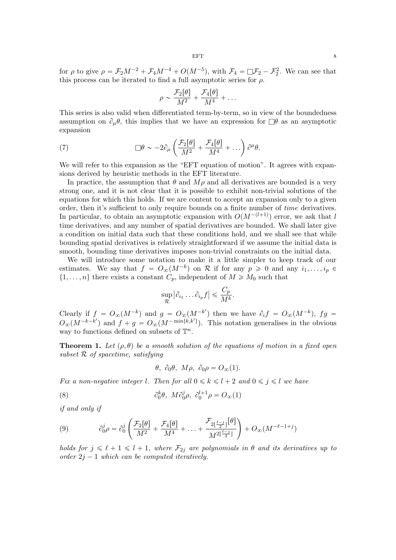for  $\rho$  to give  $\rho = \mathcal{F}_2 M^{-2} + \mathcal{F}_4 M^{-4} + O(M^{-5})$ , with  $\mathcal{F}_4 = \Box \mathcal{F}_2 - \mathcal{F}_2^2$ . We can see that this process can be iterated to find a full asymptotic series for  $\rho$ .

<span id="page-7-2"></span>
$$
\rho \sim \frac{\mathcal{F}_2[\theta]}{M^2} + \frac{\mathcal{F}_4[\theta]}{M^4} + \dots
$$

This series is also valid when differentiated term-by-term, so in view of the boundedness assumption on  $\partial_{\mu}\theta$ , this implies that we have an expression for  $\Box \theta$  as an asymptotic expansion

(7) 
$$
\Box \theta \sim -2\partial_{\mu} \left( \frac{\mathcal{F}_2[\theta]}{M^2} + \frac{\mathcal{F}_4[\theta]}{M^4} + \ldots \right) \partial^{\mu} \theta.
$$

We will refer to this expansion as the "EFT equation of motion". It agrees with expansions derived by heuristic methods in the EFT literature.

In practice, the assumption that  $\theta$  and  $M\rho$  and all derivatives are bounded is a very strong one, and it is not clear that it is possible to exhibit non-trivial solutions of the equations for which this holds. If we are content to accept an expansion only to a given order, then it's sufficient to only require bounds on a finite number of time derivatives. In particular, to obtain an asymptotic expansion with  $O(M^{-(l+1)})$  error, we ask that l time derivatives, and any number of spatial derivatives are bounded. We shall later give a condition on initial data such that these conditions hold, and we shall see that while bounding spatial derivatives is relatively straightforward if we assume the initial data is smooth, bounding time derivatives imposes non-trivial constraints on the initial data.

We will introduce some notation to make it a little simpler to keep track of our estimates. We say that  $f = O_{\infty}(M^{-k})$  on R if for any  $p \geq 0$  and any  $i_1, \ldots, i_p \in$  $\{1, \ldots, n\}$  there exists a constant  $C_p$ , independent of  $M \geq M_0$  such that

$$
\sup_{\mathcal{R}} |\partial_{i_1} \dots \partial_{i_p} f| \leqslant \frac{C_p}{M^k}.
$$

Clearly if  $f = O_{\infty}(M^{-k})$  and  $g = O_{\infty}(M^{-k'})$  then we have  $\partial_i f = O_{\infty}(M^{-k})$ ,  $fg =$  $O_{\infty}(M^{-k-k'})$  and  $f + g = O_{\infty}(M^{-\min\{k,k'\}})$ . This notation generalises in the obvious way to functions defined on subsets of  $\mathbb{T}^n$ .

<span id="page-7-3"></span>**Theorem 1.** Let  $(\rho, \theta)$  be a smooth solution of the equations of motion in a fixed open subset R of spacetime, satisfying

<span id="page-7-1"></span>θ,  $\partial_0$ θ, Μρ,  $\partial_0 \rho = O_{\infty}(1)$ .

Fix a non-negative integer l. Then for all  $0 \le k \le l + 2$  and  $0 \le j \le l$  we have

(8) 
$$
\partial_0^k \theta, \ M \partial_0^j \rho, \ \partial_0^{l+1} \rho = O_{\infty}(1)
$$

if and only if

<span id="page-7-0"></span>(9) 
$$
\partial_0^j \rho = \partial_0^j \left( \frac{\mathcal{F}_2[\theta]}{M^2} + \frac{\mathcal{F}_4[\theta]}{M^4} + \dots + \frac{\mathcal{F}_{2\lfloor \frac{\ell - j}{2} \rfloor}[\theta]}{M^{2\lfloor \frac{\ell - j}{2} \rfloor}} \right) + O_{\infty}(M^{-\ell - 1 + j})
$$

holds for  $j \leq \ell + 1 \leq l + 1$ , where  $\mathcal{F}_{2j}$  are polynomials in  $\theta$  and its derivatives up to order  $2j - 1$  which can be computed iteratively.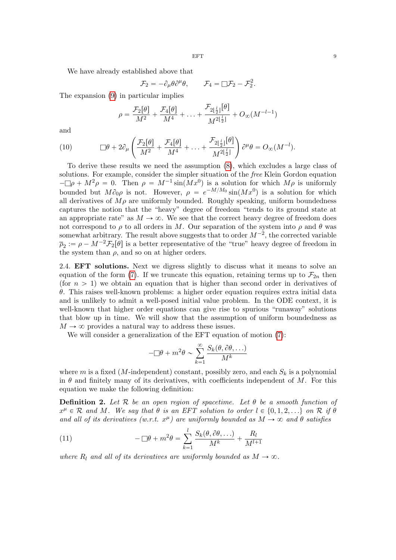We have already established above that

$$
\mathcal{F}_2 = -\partial_\mu \theta \partial^\mu \theta, \qquad \mathcal{F}_4 = \Box \mathcal{F}_2 - \mathcal{F}_2^2.
$$

The expansion [\(9\)](#page-7-0) in particular implies

<span id="page-8-0"></span>
$$
\rho = \frac{\mathcal{F}_2[\theta]}{M^2} + \frac{\mathcal{F}_4[\theta]}{M^4} + \ldots + \frac{\mathcal{F}_{2\lfloor \frac{l}{2} \rfloor}[\theta]}{M^{2\lfloor \frac{l}{2} \rfloor}} + O_{\infty}(M^{-l-1})
$$

and

and  
\n(10) 
$$
\Box \theta + 2 \partial_{\mu} \left( \frac{\mathcal{F}_2[\theta]}{M^2} + \frac{\mathcal{F}_4[\theta]}{M^4} + \ldots + \frac{\mathcal{F}_{2\lfloor \frac{l}{2} \rfloor}[\theta]}{M^{2\lfloor \frac{l}{2} \rfloor}} \right) \partial^{\mu} \theta = O_{\infty}(M^{-l}).
$$

To derive these results we need the assumption [\(8\)](#page-7-1), which excludes a large class of solutions. For example, consider the simpler situation of the *free* Klein Gordon equation  $-\Box \rho + M^2 \rho = 0$ . Then  $\rho = M^{-1} \sin(Mx^0)$  is a solution for which  $M \rho$  is uniformly bounded but  $M\partial_0 \rho$  is not. However,  $\rho = e^{-M/M_0} \sin(Mx^0)$  is a solution for which all derivatives of  $M\rho$  are uniformly bounded. Roughly speaking, uniform boundedness captures the notion that the "heavy" degree of freedom "tends to its ground state at an appropriate rate" as  $M \to \infty$ . We see that the correct heavy degree of freedom does not correspond to  $\rho$  to all orders in M. Our separation of the system into  $\rho$  and  $\theta$  was somewhat arbitrary. The result above suggests that to order  $M^{-2}$ , the corrected variable  $\overline{\rho}_2 := \rho - M^{-2} \mathcal{F}_2[\theta]$  is a better representative of the "true" heavy degree of freedom in the system than  $\rho$ , and so on at higher orders.

2.4. EFT solutions. Next we digress slightly to discuss what it means to solve an equation of the form [\(7\)](#page-7-2). If we truncate this equation, retaining terms up to  $\mathcal{F}_{2n}$  then (for  $n > 1$ ) we obtain an equation that is higher than second order in derivatives of  $\theta$ . This raises well-known problems: a higher order equation requires extra initial data and is unlikely to admit a well-posed initial value problem. In the ODE context, it is well-known that higher order equations can give rise to spurious "runaway" solutions that blow up in time. We will show that the assumption of uniform boundedness as  $M \rightarrow \infty$  provides a natural way to address these issues.

We will consider a generalization of the EFT equation of motion [\(7\)](#page-7-2):

$$
-\Box \theta + m^2 \theta \sim \sum_{k=1}^{\infty} \frac{S_k(\theta, \partial \theta, \ldots)}{M^k}
$$

where m is a fixed (M-independent) constant, possibly zero, and each  $S_k$  is a polynomial in  $\theta$  and finitely many of its derivatives, with coefficients independent of M. For this equation we make the following definition:

<span id="page-8-1"></span>**Definition 2.** Let R be an open region of spacetime. Let  $\theta$  be a smooth function of  $x^{\mu} \in \mathcal{R}$  and M. We say that  $\theta$  is an EFT solution to order  $l \in \{0, 1, 2, ...\}$  on  $\mathcal{R}$  if  $\theta$ and all of its derivatives (w.r.t.  $x^{\mu}$ ) are uniformly bounded as  $M \to \infty$  and  $\theta$  satisfies

<span id="page-8-2"></span>(11) 
$$
-\Box \theta + m^2 \theta = \sum_{k=1}^l \frac{S_k(\theta, \partial \theta, \ldots)}{M^k} + \frac{R_l}{M^{l+1}}
$$

where  $R_l$  and all of its derivatives are uniformly bounded as  $M \to \infty$ .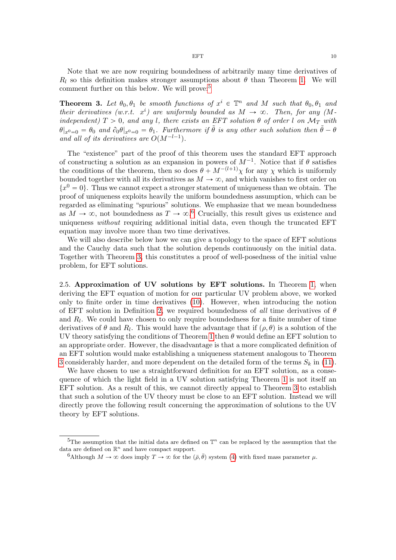Note that we are now requiring boundedness of arbitrarily many time derivatives of  $R_l$  so this definition makes stronger assumptions about  $\theta$  than Theorem [1.](#page-7-3) We will comment further on this below. We will prove:[5](#page-9-0)

<span id="page-9-2"></span>**Theorem 3.** Let  $\theta_0, \theta_1$  be smooth functions of  $x^i \in \mathbb{T}^n$  and M such that  $\theta_0, \theta_1$  and their derivatives (w.r.t.  $x^i$ ) are uniformly bounded as  $M \to \infty$ . Then, for any (Mindependent)  $T > 0$ , and any l, there exists an EFT solution  $\theta$  of order l on  $\mathcal{M}_T$  with  $\theta|_{x^0=0} = \theta_0$  and  $\partial_0 \theta|_{x^0=0} = \theta_1$ . Furthermore if  $\tilde{\theta}$  is any other such solution then  $\tilde{\theta} - \theta$ and all of its derivatives are  $O(M^{-l-1})$ .

The "existence" part of the proof of this theorem uses the standard EFT approach of constructing a solution as an expansion in powers of  $M^{-1}$ . Notice that if  $\theta$  satisfies the conditions of the theorem, then so does  $\theta + M^{-(l+1)}\chi$  for any  $\chi$  which is uniformly bounded together with all its derivatives as  $M \to \infty$ , and which vanishes to first order on  ${x<sup>0</sup> = 0}$ . Thus we cannot expect a stronger statement of uniqueness than we obtain. The proof of uniqueness exploits heavily the uniform boundedness assumption, which can be regarded as eliminating "spurious" solutions. We emphasize that we mean boundedness as  $M \to \infty$ , not boundedness as  $T \to \infty$ .<sup>[6](#page-9-1)</sup> Crucially, this result gives us existence and uniqueness *without* requiring additional initial data, even though the truncated EFT equation may involve more than two time derivatives.

We will also describe below how we can give a topology to the space of EFT solutions and the Cauchy data such that the solution depends continuously on the initial data. Together with Theorem [3,](#page-9-2) this constitutes a proof of well-posedness of the initial value problem, for EFT solutions.

2.5. Approximation of UV solutions by EFT solutions. In Theorem [1,](#page-7-3) when deriving the EFT equation of motion for our particular UV problem above, we worked only to finite order in time derivatives [\(10\)](#page-8-0). However, when introducing the notion of EFT solution in Definition [2,](#page-8-1) we required boundedness of all time derivatives of  $\theta$ and  $R_l$ . We could have chosen to only require boundedness for a finite number of time derivatives of  $\theta$  and  $R_l$ . This would have the advantage that if  $(\rho, \theta)$  is a solution of the UV theory satisfying the conditions of Theorem [1](#page-7-3) then  $\theta$  would define an EFT solution to an appropriate order. However, the disadvantage is that a more complicated definition of an EFT solution would make establishing a uniqueness statement analogous to Theorem [3](#page-9-2) considerably harder, and more dependent on the detailed form of the terms  $S_k$  in [\(11\)](#page-8-2).

We have chosen to use a straightforward definition for an EFT solution, as a consequence of which the light field in a UV solution satisfying Theorem [1](#page-7-3) is not itself an EFT solution. As a result of this, we cannot directly appeal to Theorem [3](#page-9-2) to establish that such a solution of the UV theory must be close to an EFT solution. Instead we will directly prove the following result concerning the approximation of solutions to the UV theory by EFT solutions.

<span id="page-9-0"></span><sup>&</sup>lt;sup>5</sup>The assumption that the initial data are defined on  $\mathbb{T}^n$  can be replaced by the assumption that the data are defined on  $\mathbb{R}^n$  and have compact support.

<span id="page-9-1"></span><sup>6</sup>Although  $M \to \infty$  does imply  $T \to \infty$  for the  $(\bar{\rho}, \bar{\theta})$  system [\(4\)](#page-6-2) with fixed mass parameter  $\mu$ .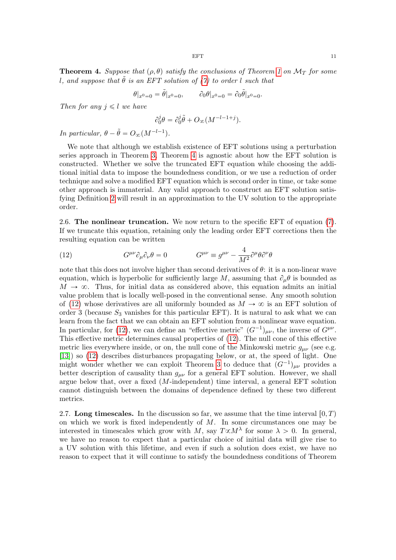<span id="page-10-0"></span>**Theorem 4.** Suppose that  $(\rho, \theta)$  satisfy the conclusions of Theorem [1](#page-7-3) on  $\mathcal{M}_T$  for some l, and suppose that  $\ddot{\theta}$  is an EFT solution of [\(7\)](#page-7-2) to order l such that

$$
\theta|_{x^0=0} = \tilde{\theta}|_{x^0=0}, \qquad \partial_0 \theta|_{x^0=0} = \partial_0 \tilde{\theta}|_{x^0=0}.
$$

Then for any  $j \leq l$  we have

$$
\partial_0^j \theta = \partial_0^j \tilde{\theta} + O_{\infty}(M^{-l-1+j}).
$$

In particular,  $\theta - \tilde{\theta} = O_{\infty}(M^{-l-1}).$ 

We note that although we establish existence of EFT solutions using a perturbation series approach in Theorem [3,](#page-9-2) Theorem [4](#page-10-0) is agnostic about how the EFT solution is constructed. Whether we solve the truncated EFT equation while choosing the additional initial data to impose the boundedness condition, or we use a reduction of order technique and solve a modified EFT equation which is second order in time, or take some other approach is immaterial. Any valid approach to construct an EFT solution satisfying Definition [2](#page-8-1) will result in an approximation to the UV solution to the appropriate order.

2.6. The nonlinear truncation. We now return to the specific EFT of equation [\(7\)](#page-7-2). If we truncate this equation, retaining only the leading order EFT corrections then the resulting equation can be written

<span id="page-10-1"></span>(12) 
$$
G^{\mu\nu}\partial_{\mu}\partial_{\nu}\theta = 0 \qquad G^{\mu\nu} \equiv g^{\mu\nu} - \frac{4}{M^2}\partial^{\mu}\theta \partial^{\nu}\theta
$$

note that this does not involve higher than second derivatives of  $\theta$ : it is a non-linear wave equation, which is hyperbolic for sufficiently large M, assuming that  $\partial_{\mu}\theta$  is bounded as  $M \to \infty$ . Thus, for initial data as considered above, this equation admits an initial value problem that is locally well-posed in the conventional sense. Any smooth solution of [\(12\)](#page-10-1) whose derivatives are all uniformly bounded as  $M \to \infty$  is an EFT solution of order 3 (because  $S_3$  vanishes for this particular EFT). It is natural to ask what we can learn from the fact that we can obtain an EFT solution from a nonlinear wave equation. In particular, for [\(12\)](#page-10-1), we can define an "effective metric"  $(G^{-1})_{\mu\nu}$ , the inverse of  $G^{\mu\nu}$ . This effective metric determines causal properties of [\(12\)](#page-10-1). The null cone of this effective metric lies everywhere inside, or on, the null cone of the Minkowski metric  $q_{\mu\nu}$  (see e.g. [\[13\]](#page-45-11)) so [\(12\)](#page-10-1) describes disturbances propagating below, or at, the speed of light. One might wonder whether we can exploit Theorem [3](#page-9-2) to deduce that  $(G^{-1})_{\mu\nu}$  provides a better description of causality than  $g_{\mu\nu}$  for a general EFT solution. However, we shall argue below that, over a fixed (M-independent) time interval, a general EFT solution cannot distinguish between the domains of dependence defined by these two different metrics.

2.7. Long timescales. In the discussion so far, we assume that the time interval  $[0, T)$ on which we work is fixed independently of  $M$ . In some circumstances one may be interested in timescales which grow with M, say  $T \propto M^{\lambda}$  for some  $\lambda > 0$ . In general, we have no reason to expect that a particular choice of initial data will give rise to a UV solution with this lifetime, and even if such a solution does exist, we have no reason to expect that it will continue to satisfy the boundedness conditions of Theorem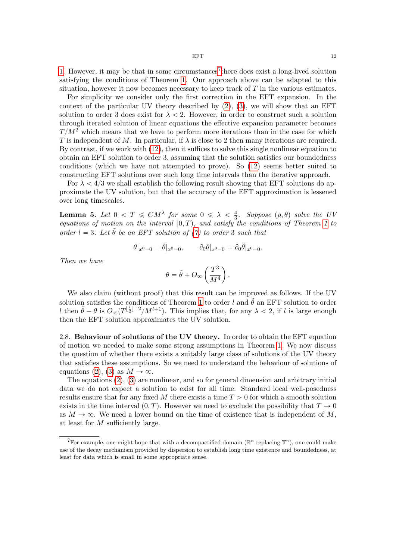[1.](#page-7-3) However, it may be that in some circumstances<sup>[7](#page-11-0)</sup> there does exist a long-lived solution satisfying the conditions of Theorem [1.](#page-7-3) Our approach above can be adapted to this situation, however it now becomes necessary to keep track of  $T$  in the various estimates.

For simplicity we consider only the first correction in the EFT expansion. In the context of the particular UV theory described by  $(2)$ ,  $(3)$ , we will show that an EFT solution to order 3 does exist for  $\lambda < 2$ . However, in order to construct such a solution through iterated solution of linear equations the effective expansion parameter becomes  $T/M^2$  which means that we have to perform more iterations than in the case for which T is independent of M. In particular, if  $\lambda$  is close to 2 then many iterations are required. By contrast, if we work with [\(12\)](#page-10-1), then it suffices to solve this single nonlinear equation to obtain an EFT solution to order 3, assuming that the solution satisfies our boundedness conditions (which we have not attempted to prove). So [\(12\)](#page-10-1) seems better suited to constructing EFT solutions over such long time intervals than the iterative approach.

For  $\lambda < 4/3$  we shall establish the following result showing that EFT solutions do approximate the UV solution, but that the accuracy of the EFT approximation is lessened over long timescales.

<span id="page-11-1"></span>**Lemma 5.** Let  $0 < T \leq C M^{\lambda}$  for some  $0 \leq \lambda < \frac{4}{3}$  $\frac{4}{3}$ . Suppose  $(\rho, \theta)$  solve the UV equations of motion on the interval  $[0, T)$ , and satisfy the conditions of Theorem [1](#page-7-3) to order  $l = 3$ . Let  $\tilde{\theta}$  be an EFT solution of [\(7\)](#page-7-2) to order 3 such that

$$
\theta|_{x^0=0} = \tilde{\theta}|_{x^0=0}, \qquad \partial_0 \theta|_{x^0=0} = \partial_0 \tilde{\theta}|_{x^0=0}.
$$

Then we have

$$
\theta = \tilde{\theta} + O_{\infty} \left( \frac{T^3}{M^4} \right).
$$

We also claim (without proof) that this result can be improved as follows. If the UV solution satisfies the conditions of Theorem [1](#page-7-3) to order l and  $\tilde{\theta}$  an EFT solution to order l then  $\tilde{\theta} - \theta$  is  $O_{\infty}(T^{\lfloor \frac{l}{2} \rfloor + 2}/M^{l+1})$ . This implies that, for any  $\lambda < 2$ , if l is large enough then the EFT solution approximates the UV solution.

2.8. Behaviour of solutions of the UV theory. In order to obtain the EFT equation of motion we needed to make some strong assumptions in Theorem [1.](#page-7-3) We now discuss the question of whether there exists a suitably large class of solutions of the UV theory that satisfies these assumptions. So we need to understand the behaviour of solutions of equations [\(2\)](#page-5-1), [\(3\)](#page-5-2) as  $M \to \infty$ .

The equations [\(2\)](#page-5-1), [\(3\)](#page-5-2) are nonlinear, and so for general dimension and arbitrary initial data we do not expect a solution to exist for all time. Standard local well-posedness results ensure that for any fixed M there exists a time  $T > 0$  for which a smooth solution exists in the time interval  $(0, T)$ . However we need to exclude the possibility that  $T \to 0$ as  $M \to \infty$ . We need a lower bound on the time of existence that is independent of M, at least for M sufficiently large.

<span id="page-11-0"></span><sup>&</sup>lt;sup>7</sup>For example, one might hope that with a decompactified domain ( $\mathbb{R}^n$  replacing  $\mathbb{T}^n$ ), one could make use of the decay mechanism provided by dispersion to establish long time existence and boundedness, at least for data which is small in some appropriate sense.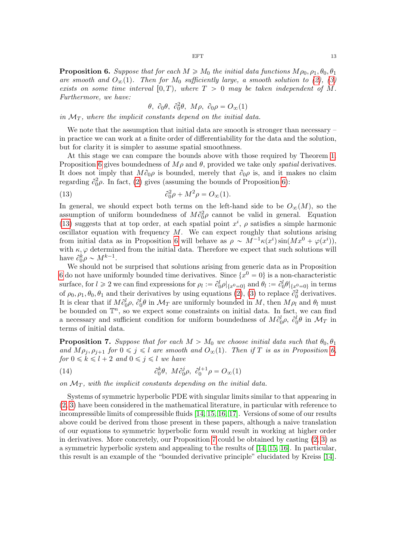<span id="page-12-0"></span>**Proposition 6.** Suppose that for each  $M \ge M_0$  the initial data functions  $M \rho_0, \rho_1, \theta_0, \theta_1$ are smooth and  $O_{\infty}(1)$ . Then for  $M_0$  sufficiently large, a smooth solution to [\(2\)](#page-5-1), [\(3\)](#page-5-2) exists on some time interval  $[0, T)$ , where  $T > 0$  may be taken independent of M. Furthermore, we have:

<span id="page-12-1"></span>
$$
\theta, \ \partial_0 \theta, \ \partial_0^2 \theta, \ M\rho, \ \partial_0 \rho = O_{\infty}(1)
$$

in  $\mathcal{M}_T$ , where the implicit constants depend on the initial data.

We note that the assumption that initial data are smooth is stronger than necessary – in practice we can work at a finite order of differentiability for the data and the solution, but for clarity it is simpler to assume spatial smoothness.

At this stage we can compare the bounds above with those required by Theorem [1.](#page-7-3) Proposition [6](#page-12-0) gives boundedness of  $M\rho$  and  $\theta$ , provided we take only *spatial* derivatives. It does not imply that  $M\partial_0\rho$  is bounded, merely that  $\partial_0\rho$  is, and it makes no claim regarding  $\partial_0^2 \rho$ . In fact, [\(2\)](#page-5-1) gives (assuming the bounds of Proposition [6\)](#page-12-0):

(13) 
$$
\partial_0^2 \rho + M^2 \rho = O_{\infty}(1).
$$

In general, we should expect both terms on the left-hand side to be  $O_{\infty}(M)$ , so the assumption of uniform boundedness of  $M\partial_0^2 \rho$  cannot be valid in general. Equation [\(13\)](#page-12-1) suggests that at top order, at each spatial point  $x^i$ ,  $\rho$  satisfies a simple harmonic oscillator equation with frequency  $M$ . We can expect roughly that solutions arising from initial data as in Proposition [6](#page-12-0) will behave as  $\rho \sim M^{-1} \kappa(x^i) \sin(Mx^0 + \varphi(x^i))$ , with  $\kappa, \varphi$  determined from the initial data. Therefore we expect that such solutions will have  $\partial_0^k \rho \sim M^{k-1}$ .

We should not be surprised that solutions arising from generic data as in Proposition [6](#page-12-0) do not have uniformly bounded time derivatives. Since  $\{x^0 = 0\}$  is a non-characteristic surface, for  $l \geq 2$  we can find expressions for  $\rho_l := \partial_0^l \rho|_{\{x^0 = 0\}}$  and  $\theta_l := \partial_0^l \theta|_{\{x^0 = 0\}}$  in terms of  $\rho_0$ ,  $\rho_1$ ,  $\theta_0$ ,  $\theta_1$  and their derivatives by using equations [\(2\)](#page-5-1), [\(3\)](#page-5-2) to replace  $\partial_0^2$  derivatives. It is clear that if  $M\partial_0^l \rho$ ,  $\partial_0^l \theta$  in  $\mathcal{M}_T$  are uniformly bounded in M, then  $M\rho_l$  and  $\theta_l$  must be bounded on  $\mathbb{T}^n$ , so we expect some constraints on initial data. In fact, we can find a necessary and sufficient condition for uniform boundedness of  $M \partial_0^l \rho$ ,  $\partial_0^l \theta$  in  $\mathcal{M}_T$  in terms of initial data.

<span id="page-12-2"></span>**Proposition 7.** Suppose that for each  $M > M_0$  we choose initial data such that  $\theta_0, \theta_1$ and  $M \rho_j, \rho_{j+1}$  for  $0 \leq j \leq l$  are smooth and  $O_{\infty}(1)$ . Then if T is as in Proposition [6,](#page-12-0) for  $0 \leq k \leq l + 2$  and  $0 \leq j \leq l$  we have

(14) 
$$
\partial_0^k \theta, \ M \partial_0^j \rho, \ \partial_0^{l+1} \rho = O_{\infty}(1)
$$

on  $\mathcal{M}_T$ , with the implicit constants depending on the initial data.

Systems of symmetric hyperbolic PDE with singular limits similar to that appearing in [\(2,](#page-5-1) [3\)](#page-5-2) have been considered in the mathematical literature, in particular with reference to incompressible limits of compressible fluids [\[14,](#page-46-0) [15,](#page-46-1) [16,](#page-46-2) [17\]](#page-46-3). Versions of some of our results above could be derived from those present in these papers, although a naive translation of our equations to symmetric hyperbolic form would result in working at higher order in derivatives. More concretely, our Proposition [7](#page-12-2) could be obtained by casting [\(2,](#page-5-1) [3\)](#page-5-2) as a symmetric hyperbolic system and appealing to the results of [\[14,](#page-46-0) [15,](#page-46-1) [16\]](#page-46-2). In particular, this result is an example of the "bounded derivative principle" elucidated by Kreiss [\[14\]](#page-46-0).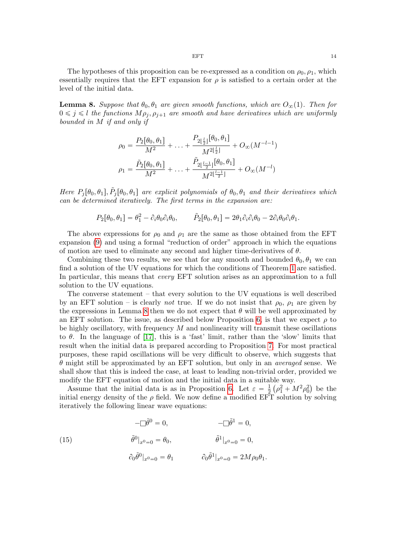The hypotheses of this proposition can be re-expressed as a condition on  $\rho_0$ ,  $\rho_1$ , which essentially requires that the EFT expansion for  $\rho$  is satisfied to a certain order at the level of the initial data.

<span id="page-13-0"></span>**Lemma 8.** Suppose that  $\theta_0$ ,  $\theta_1$  are given smooth functions, which are  $O_{\infty}(1)$ . Then for  $0 \leq j \leq l$  the functions  $M \rho_j, \rho_{j+1}$  are smooth and have derivatives which are uniformly bounded in M if and only if

$$
\rho_0 = \frac{P_2[\theta_0, \theta_1]}{M^2} + \dots + \frac{P_{2\lfloor \frac{l}{2} \rfloor}[\theta_0, \theta_1]}{M^{2\lfloor \frac{l}{2} \rfloor}} + O_{\infty}(M^{-l-1})
$$

$$
\rho_1 = \frac{\tilde{P}_2[\theta_0, \theta_1]}{M^2} + \dots + \frac{\tilde{P}_{2\lfloor \frac{l-1}{2} \rfloor}[\theta_0, \theta_1]}{M^{2\lfloor \frac{l-1}{2} \rfloor}} + O_{\infty}(M^{-l})
$$

Here  $P_j[\theta_0, \theta_1], \tilde{P}_j[\theta_0, \theta_1]$  are explicit polynomials of  $\theta_0, \theta_1$  and their derivatives which can be determined iteratively. The first terms in the expansion are:

$$
P_2[\theta_0, \theta_1] = \theta_1^2 - \partial_i \theta_0 \partial_i \theta_0, \qquad \tilde{P}_2[\theta_0, \theta_1] = 2\theta_1 \partial_i \partial_i \theta_0 - 2\partial_i \theta_0 \partial_i \theta_1.
$$

The above expressions for  $\rho_0$  and  $\rho_1$  are the same as those obtained from the EFT expansion [\(9\)](#page-7-0) and using a formal "reduction of order" approach in which the equations of motion are used to eliminate any second and higher time-derivatives of  $\theta$ .

Combining these two results, we see that for any smooth and bounded  $\theta_0, \theta_1$  we can find a solution of the UV equations for which the conditions of Theorem [1](#page-7-3) are satisfied. In particular, this means that *every* EFT solution arises as an approximation to a full solution to the UV equations.

The converse statement – that every solution to the UV equations is well described by an EFT solution – is clearly *not* true. If we do not insist that  $\rho_0$ ,  $\rho_1$  are given by the expressions in Lemma [8](#page-13-0) then we do not expect that  $\theta$  will be well approximated by an EFT solution. The issue, as described below Proposition [6,](#page-12-0) is that we expect  $\rho$  to be highly oscillatory, with frequency  $M$  and nonlinearity will transmit these oscillations to  $\theta$ . In the language of [\[17\]](#page-46-3), this is a 'fast' limit, rather than the 'slow' limits that result when the initial data is prepared according to Proposition [7.](#page-12-2) For most practical purposes, these rapid oscillations will be very difficult to observe, which suggests that  $\theta$  might still be approximated by an EFT solution, but only in an *averaged* sense. We shall show that this is indeed the case, at least to leading non-trivial order, provided we modify the EFT equation of motion and the initial data in a suitable way. `

Assume that the initial data is as in Proposition [6.](#page-12-0) Let  $\varepsilon = \frac{1}{2}$  $\frac{1}{2}(\rho_1^2 + M^2 \rho_0^2)$  be the initial energy density of the  $\rho$  field. We now define a modified EFT solution by solving iteratively the following linear wave equations:

<span id="page-13-1"></span>(15) 
$$
-\Box \tilde{\theta}^{0} = 0, \qquad -\Box \tilde{\theta}^{1} = 0,
$$

$$
\tilde{\theta}^{0}|_{x^{0}=0} = \theta_{0}, \qquad \tilde{\theta}^{1}|_{x^{0}=0} = 0,
$$

$$
\partial_{0} \tilde{\theta}^{0}|_{x^{0}=0} = \theta_{1} \qquad \partial_{0} \tilde{\theta}^{1}|_{x^{0}=0} = 2M\rho_{0}\theta_{1}.
$$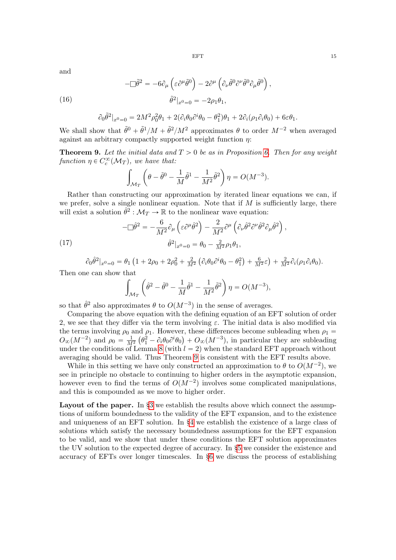and

(16)

<span id="page-14-1"></span>
$$
-\Box \tilde{\theta}^2 = -6\partial_\mu \left( \varepsilon \partial^\mu \tilde{\theta}^0 \right) - 2\partial^\mu \left( \partial_\nu \tilde{\theta}^0 \partial^\nu \tilde{\theta}^0 \partial_\mu \tilde{\theta}^0 \right),
$$

$$
\tilde{\theta}^2|_{x^0=0} = -2\rho_1 \theta_1,
$$

$$
\partial_0 \tilde{\theta}^2|_{x^0=0} = 2M^2 \rho_0^2 \theta_1 + 2(\partial_i \theta_0 \partial^i \theta_0 - \theta_1^2)\theta_1 + 2\partial_i(\rho_1 \partial_i \theta_0) + 6\varepsilon\theta_1.
$$

We shall show that  $\tilde{\theta}^0 + \tilde{\theta}^1/M + \tilde{\theta}^2/M^2$  approximates  $\theta$  to order  $M^{-2}$  when averaged against an arbitrary compactly supported weight function  $\eta$ :

<span id="page-14-0"></span>**Theorem 9.** Let the initial data and  $T > 0$  be as in Proposition [6.](#page-12-0) Then for any weight function  $\eta \in C_c^{\infty}(\mathcal{M}_T)$ , we have that:

$$
\int_{\mathcal{M}_T} \left( \theta - \tilde{\theta}^0 - \frac{1}{M} \tilde{\theta}^1 - \frac{1}{M^2} \tilde{\theta}^2 \right) \eta = O(M^{-3}).
$$

Rather than constructing our approximation by iterated linear equations we can, if we prefer, solve a single nonlinear equation. Note that if  $M$  is sufficiently large, there will exist a solution  $\hat{\theta}^2 : \mathcal{M}_T \to \mathbb{R}$  to the nonlinear wave equation:

(17) 
$$
-\Box \hat{\theta}^2 = -\frac{6}{M^2} \partial_\mu \left( \varepsilon \partial^\mu \hat{\theta}^2 \right) - \frac{2}{M^2} \partial^\mu \left( \partial_\nu \hat{\theta}^2 \partial^\nu \hat{\theta}^2 \partial_\mu \hat{\theta}^2 \right),
$$

$$
\hat{\theta}^2 \vert_{x^0 = 0} = \theta_0 - \frac{2}{M^2} \rho_1 \theta_1,
$$

<span id="page-14-2"></span>
$$
\partial_0 \hat{\theta}^2|_{x^0=0} = \theta_1 \left(1 + 2\rho_0 + 2\rho_0^2 + \frac{2}{M^2} \left(\partial_i \theta_0 \partial^i \theta_0 - \theta_1^2\right) + \frac{6}{M^2} \varepsilon\right) + \frac{2}{M^2} \partial_i (\rho_1 \partial_i \theta_0).
$$

Then one can show that

nat  

$$
\int_{\mathcal{M}_T} \left( \hat{\theta}^2 - \tilde{\theta}^0 - \frac{1}{M} \tilde{\theta}^1 - \frac{1}{M^2} \tilde{\theta}^2 \right) \eta = O(M^{-3}),
$$

so that  $\hat{\theta}^2$  also approximates  $\theta$  to  $O(M^{-3})$  in the sense of averages.

Comparing the above equation with the defining equation of an EFT solution of order 2, we see that they differ via the term involving  $\varepsilon$ . The initial data is also modified via the terms involving  $\rho_0$  and  $\rho_1$ . However, these differences become subleading when  $\rho_1$  $O_{\infty}(M^{-2})$  and  $\rho_0 = \frac{1}{M^2}$  $\mathfrak{g}$  $\theta_1^2 - \partial_i \theta_0 \partial^i \theta_0$ ˘  $+ O_{\infty}(M^{-3})$ , in particular they are subleading under the conditions of Lemma [8](#page-13-0) (with  $l = 2$ ) when the standard EFT approach without averaging should be valid. Thus Theorem [9](#page-14-0) is consistent with the EFT results above.

While in this setting we have only constructed an approximation to  $\theta$  to  $O(M^{-2})$ , we see in principle no obstacle to continuing to higher orders in the asymptotic expansion, however even to find the terms of  $O(M^{-2})$  involves some complicated manipulations, and this is compounded as we move to higher order.

Layout of the paper. In  $\S$  we establish the results above which connect the assumptions of uniform boundedness to the validity of the EFT expansion, and to the existence and uniqueness of an EFT solution. In §[4](#page-19-0) we establish the existence of a large class of solutions which satisfy the necessary boundedness assumptions for the EFT expansion to be valid, and we show that under these conditions the EFT solution approximates the UV solution to the expected degree of accuracy. In §[5](#page-31-0) we consider the existence and accuracy of EFTs over longer timescales. In §[6](#page-34-0) we discuss the process of establishing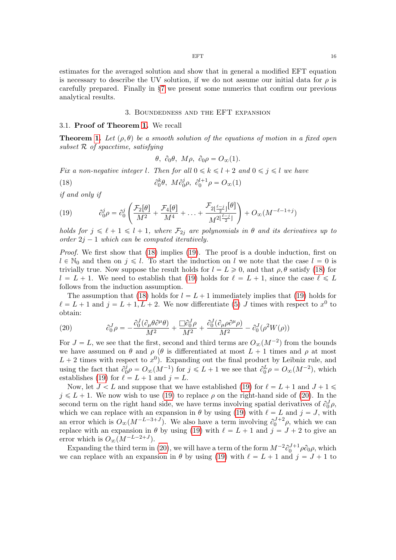estimates for the averaged solution and show that in general a modified EFT equation is necessary to describe the UV solution, if we do not assume our initial data for  $\rho$  is carefully prepared. Finally in §[7](#page-41-0) we present some numerics that confirm our previous analytical results.

## 3. Boundedness and the EFT expansion

#### <span id="page-15-0"></span>3.1. Proof of Theorem [1.](#page-7-3) We recall

**Theorem [1.](#page-7-3)** Let  $(\rho, \theta)$  be a smooth solution of the equations of motion in a fixed open subset R of spacetime, satisfying

<span id="page-15-1"></span>
$$
\theta, \ \partial_0 \theta, \ M\rho, \ \partial_0 \rho = O_{\infty}(1).
$$

Fix a non-negative integer l. Then for all  $0 \le k \le l + 2$  and  $0 \le j \le l$  we have

(18) 
$$
\partial_0^k \theta, \ M \partial_0^j \rho, \ \partial_0^{l+1} \rho = O_{\infty}(1)
$$

if and only if

<span id="page-15-2"></span>(19) 
$$
\partial_0^j \rho = \partial_0^j \left( \frac{\mathcal{F}_2[\theta]}{M^2} + \frac{\mathcal{F}_4[\theta]}{M^4} + \dots + \frac{\mathcal{F}_{2\lfloor \frac{\ell - j}{2} \rfloor}[\theta]}{M^{2\lfloor \frac{\ell - j}{2} \rfloor}} \right) + O_{\infty}(M^{-\ell - 1 + j})
$$

holds for  $j \leq \ell + 1 \leq l + 1$ , where  $\mathcal{F}_{2j}$  are polynomials in  $\theta$  and its derivatives up to order  $2j - 1$  which can be computed iteratively.

Proof. We first show that [\(18\)](#page-15-1) implies [\(19\)](#page-15-2). The proof is a double induction, first on  $l \in \mathbb{N}_0$  and then on  $j \leq l$ . To start the induction on l we note that the case  $l = 0$  is trivially true. Now suppose the result holds for  $l = L \geq 0$ , and that  $\rho, \theta$  satisfy [\(18\)](#page-15-1) for  $l = L + 1$ . We need to establish that [\(19\)](#page-15-2) holds for  $\ell = L + 1$ , since the case  $\ell \leq L$ follows from the induction assumption.

The assumption that [\(18\)](#page-15-1) holds for  $l = L + 1$  immediately implies that [\(19\)](#page-15-2) holds for  $\ell = L + 1$  and  $j = L + 1, L + 2$ . We now differentiate [\(5\)](#page-6-0) J times with respect to  $x^0$  to obtain:

<span id="page-15-3"></span>(20) 
$$
\partial_0^J \rho = -\frac{\partial_0^J (\partial_\mu \theta \partial^\mu \theta)}{M^2} + \frac{\Box \partial_0^J \rho}{M^2} + \frac{\partial_0^J (\partial_\mu \rho \partial^\mu \rho)}{M^2} - \partial_0^J (\rho^2 W(\rho))
$$

For  $J = L$ , we see that the first, second and third terms are  $O_{\infty}(M^{-2})$  from the bounds we have assumed on  $\theta$  and  $\rho$  ( $\theta$  is differentiated at most  $L + 1$  times and  $\rho$  at most  $L + 2$  times with respect to  $x^0$ ). Expanding out the final product by Leibniz rule, and using the fact that  $\partial_0^j$  $0^j_{0}\rho = O_{\infty}(M^{-1})$  for  $j \leq L+1$  we see that  $\partial_{0}^{L}\rho = O_{\infty}(M^{-2})$ , which establishes [\(19\)](#page-15-2) for  $\ell = L + 1$  and  $j = L$ .

Now, let  $J < L$  and suppose that we have established [\(19\)](#page-15-2) for  $\ell = L + 1$  and  $J + 1 \le \ell$  $j \leq L + 1$ . We now wish to use [\(19\)](#page-15-2) to replace  $\rho$  on the right-hand side of [\(20\)](#page-15-3). In the second term on the right hand side, we have terms involving spatial derivatives of  $\partial_0^J \rho$ , which we can replace with an expansion in  $\theta$  by using [\(19\)](#page-15-2) with  $\ell = L$  and  $j = J$ , with an error which is  $O_{\infty}(M^{-L-3+J})$ . We also have a term involving  $\partial_0^{J+2}\rho$ , which we can replace with an expansion in  $\theta$  by using [\(19\)](#page-15-2) with  $\ell = L + 1$  and  $j = J + 2$  to give an error which is  $O_{\infty}(M^{-L-2+J}).$ 

Expanding the third term in [\(20\)](#page-15-3), we will have a term of the form  $M^{-2}\partial_0^{J+1}\rho\partial_0\rho$ , which we can replace with an expansion in  $\theta$  by using [\(19\)](#page-15-2) with  $\ell = L + 1$  and  $j = J + 1$  to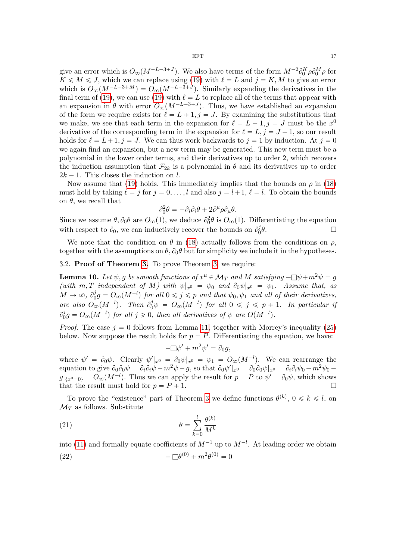give an error which is  $O_{\infty}(M^{-L-3+J})$ . We also have terms of the form  $M^{-2}\partial_0^K \rho \partial_0^M \rho$  for  $K \leq M \leq J$ , which we can replace using [\(19\)](#page-15-2) with  $\ell = L$  and  $j = K, M$  to give an error which is  $O_{\infty}(M^{-L-3+M}) = O_{\infty}(M^{-L-3+J})$ . Similarly expanding the derivatives in the final term of [\(19\)](#page-15-2), we can use (19) with  $\ell = L$  to replace all of the terms that appear with an expansion in  $\theta$  with error  $O_{\infty}(M^{-L-3+J})$ . Thus, we have established an expansion of the form we require exists for  $\ell = L + 1$ ,  $j = J$ . By examining the substitutions that we make, we see that each term in the expansion for  $\ell = L + 1, j = J$  must be the  $x^0$ derivative of the corresponding term in the expansion for  $\ell = L, j = J - 1$ , so our result holds for  $\ell = L+1, j = J$ . We can thus work backwards to  $j = 1$  by induction. At  $j = 0$ we again find an expansion, but a new term may be generated. This new term must be a polynomial in the lower order terms, and their derivatives up to order 2, which recovers the induction assumption that  $\mathcal{F}_{2k}$  is a polynomial in  $\theta$  and its derivatives up to order  $2k - 1$ . This closes the induction on l.

Now assume that [\(19\)](#page-15-2) holds. This immediately implies that the bounds on  $\rho$  in [\(18\)](#page-15-1) must hold by taking  $\ell = j$  for  $j = 0, \ldots, l$  and also  $j = l+1, \ell = l$ . To obtain the bounds on  $\theta$ , we recall that

$$
\partial_0^2 \theta = -\partial_i \partial_i \theta + 2\partial^\mu \rho \partial_\mu \theta.
$$

Since we assume  $\theta$ ,  $\partial_0 \theta$  are  $O_\infty(1)$ , we deduce  $\partial_0^2 \theta$  is  $O_\infty(1)$ . Differentiating the equation with respect to  $\partial_0$ , we can inductively recover the bounds on  $\partial_0^j$  $\overline{0}$  $\theta$ .

We note that the condition on  $\theta$  in [\(18\)](#page-15-1) actually follows from the conditions on  $\rho$ , together with the assumptions on  $\theta$ ,  $\partial_{0}\theta$  but for simplicity we include it in the hypotheses.

<span id="page-16-3"></span>3.2. Proof of Theorem [3.](#page-9-2) To prove Theorem [3,](#page-9-2) we require:

<span id="page-16-1"></span>**Lemma 10.** Let  $\psi, g$  be smooth functions of  $x^{\mu} \in \mathcal{M}_T$  and  $M$  satisfying  $-\Box \psi + m^2 \psi = g$ (with m, T independent of M) with  $\psi|x_0 = \psi_0$  and  $\partial_0 \psi|x_0 = \psi_1$ . Assume that, as  $M \to \infty$ ,  $\partial_0^j$  $\psi^j_{0}g = O_{\infty}(M^{-l})$  for all  $0 \leqslant j \leqslant p$  and that  $\psi_0, \psi_1$  and all of their derivatives, are also  $O_{\infty}(M^{-l})$ . Then  $\partial_0^j \psi = O_{\infty}(M^{-l})$  for all  $0 \leq j \leq p+1$ . In particular if  $\partial_0^j$  $\partial_0^j g = O_{\infty}(M^{-l})$  for all  $j \geqslant 0$ , then all derivatives of  $\psi$  are  $O(M^{-l})$ .

*Proof.* The case  $j = 0$  follows from Lemma [11,](#page-20-0) together with Morrey's inequality [\(25\)](#page-20-1) below. Now suppose the result holds for  $p = P$ . Differentiating the equation, we have:

<span id="page-16-2"></span>
$$
-\Box \psi' + m^2 \psi' = \partial_0 g,
$$

where  $\psi' = \partial_0 \psi$ . Clearly  $\psi'|_{x^0} = \partial_0 \psi|_{x^0} = \psi_1 = O_{\infty}(M^{-l})$ . We can rearrange the equation to give  $\partial_0 \partial_0 \psi = \partial_i \partial_i \psi - m^2 \psi - g$ , so that  $\partial_0 \psi' |_{x^0} = \partial_0 \partial_0 \psi |_{x^0} = \partial_i \partial_i \psi_0 - m^2 \psi_0 - g$  $g|_{\{x^0=0\}} = O_{\infty}(M^{-l})$ . Thus we can apply the result for  $p = P$  to  $\psi' = \partial_0 \psi$ , which shows that the result must hold for  $p = P + 1$ .

To prove the "existence" part of Theorem [3](#page-9-2) we define functions  $\theta^{(k)}$ ,  $0 \le k \le l$ , on  $\mathcal{M}_T$  as follows. Substitute

(21) 
$$
\theta = \sum_{k=0}^{l} \frac{\theta^{(k)}}{M^k}
$$

<span id="page-16-0"></span>into [\(11\)](#page-8-2) and formally equate coefficients of  $M^{-1}$  up to  $M^{-l}$ . At leading order we obtain (22)  $-\Box \theta^{(0)} + m^2 \theta^{(0)} = 0$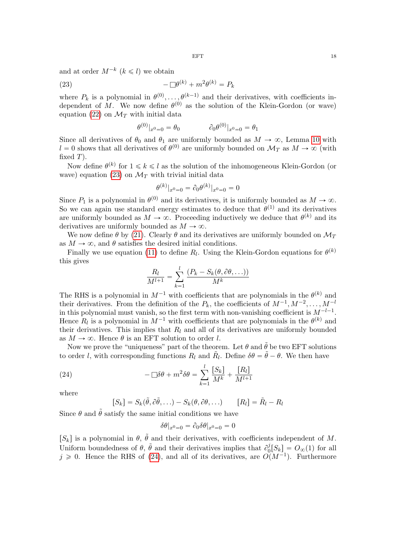and at order  $M^{-k}$   $(k \leq l)$  we obtain

$$
(23) \qquad \qquad -\Box \theta^{(k)} + m^2 \theta^{(k)} = P_k
$$

where  $P_k$  is a polynomial in  $\theta^{(0)}, \ldots, \theta^{(k-1)}$  and their derivatives, with coefficients independent of M. We now define  $\theta^{(0)}$  as the solution of the Klein-Gordon (or wave) equation [\(22\)](#page-16-0) on  $\mathcal{M}_T$  with initial data

<span id="page-17-0"></span>
$$
\theta^{(0)}|_{x^0=0} = \theta_0 \qquad \qquad \partial_0 \theta^{(0)}|_{x^0=0} = \theta_1
$$

Since all derivatives of  $\theta_0$  and  $\theta_1$  are uniformly bounded as  $M \to \infty$ , Lemma [10](#page-16-1) with  $l = 0$  shows that all derivatives of  $\theta^{(0)}$  are uniformly bounded on  $\mathcal{M}_T$  as  $M \to \infty$  (with fixed  $T$ ).

Now define  $\theta^{(k)}$  for  $1 \leq k \leq l$  as the solution of the inhomogeneous Klein-Gordon (or wave) equation [\(23\)](#page-17-0) on  $\mathcal{M}_T$  with trivial initial data

$$
\theta^{(k)}|_{x^0=0} = \partial_0 \theta^{(k)}|_{x^0=0} = 0
$$

Since  $P_1$  is a polynomial in  $\theta^{(0)}$  and its derivatives, it is uniformly bounded as  $M \to \infty$ . So we can again use standard energy estimates to deduce that  $\theta^{(1)}$  and its derivatives are uniformly bounded as  $M \to \infty$ . Proceeding inductively we deduce that  $\theta^{(k)}$  and its derivatives are uniformly bounded as  $M \to \infty$ .

We now define  $\theta$  by [\(21\)](#page-16-2). Clearly  $\theta$  and its derivatives are uniformly bounded on  $\mathcal{M}_T$ as  $M \to \infty$ , and  $\theta$  satisfies the desired initial conditions.

Finally we use equation [\(11\)](#page-8-2) to define  $R_l$ . Using the Klein-Gordon equations for  $\theta^{(k)}$ this gives

$$
\frac{R_l}{M^{l+1}} = \sum_{k=1}^{l} \frac{(P_k - S_k(\theta, \partial \theta, \ldots))}{M^k}
$$

The RHS is a polynomial in  $M^{-1}$  with coefficients that are polynomials in the  $\theta^{(k)}$  and their derivatives. From the definition of the  $P_k$ , the coefficients of  $M^{-1}, M^{-2}, \ldots, M^{-l}$ in this polynomial must vanish, so the first term with non-vanishing coefficient is  $M^{-l-1}$ . Hence  $R_l$  is a polynomial in  $M^{-1}$  with coefficients that are polynomials in the  $\theta^{(k)}$  and their derivatives. This implies that  $R_l$  and all of its derivatives are uniformly bounded as  $M \to \infty$ . Hence  $\theta$  is an EFT solution to order l.

Now we prove the "uniqueness" part of the theorem. Let  $\theta$  and  $\tilde{\theta}$  be two EFT solutions to order *l*, with corresponding functions  $R_l$  and  $\tilde{R}_l$ . Define  $\delta\theta = \tilde{\theta} - \theta$ . We then have

(24) 
$$
-\Box \delta \theta + m^2 \delta \theta = \sum_{k=1}^l \frac{[S_k]}{M^k} + \frac{[R_l]}{M^{l+1}}
$$

where

<span id="page-17-1"></span>
$$
[S_k] = S_k(\tilde{\theta}, \partial \tilde{\theta}, \ldots) - S_k(\theta, \partial \theta, \ldots) \qquad [R_l] = \tilde{R}_l - R_l
$$

Since  $\theta$  and  $\tilde{\theta}$  satisfy the same initial conditions we have

$$
\delta\theta|_{x^0=0} = \partial_0 \delta\theta|_{x^0=0} = 0
$$

[ $S_k$ ] is a polynomial in  $\theta$ ,  $\tilde{\theta}$  and their derivatives, with coefficients independent of M. Uniform boundedness of  $\theta$ ,  $\tilde{\theta}$  and their derivatives implies that  $\partial_0^j$  $\partial_0^j[S_k] = O_{\infty}(1)$  for all  $j \geq 0$ . Hence the RHS of [\(24\)](#page-17-1), and all of its derivatives, are  $O(M^{-1})$ . Furthermore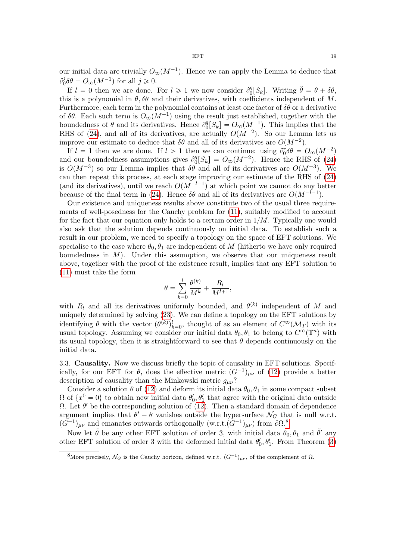If  $l = 0$  then we are done. For  $l \geq 1$  we now consider  $\partial_0^q$  $\theta_0^q[S_k]$ . Writing  $\tilde{\theta} = \theta + \delta\theta$ , this is a polynomial in  $\theta$ ,  $\delta\theta$  and their derivatives, with coefficients independent of M. Furthermore, each term in the polynomial contains at least one factor of  $\delta\theta$  or a derivative of  $\delta\theta$ . Each such term is  $O_{\infty}(M^{-1})$  using the result just established, together with the boundedness of  $\theta$  and its derivatives. Hence  $\partial_0^q$  $\int_0^q [S_k] = O_\infty(M^{-1})$ . This implies that the RHS of [\(24\)](#page-17-1), and all of its derivatives, are actually  $O(M^{-2})$ . So our Lemma lets us improve our estimate to deduce that  $\delta\theta$  and all of its derivatives are  $O(M^{-2})$ .

If  $l = 1$  then we are done. If  $l > 1$  then we can continue: using  $\partial_0^r \delta \theta = O_{\infty}(M^{-2})$ and our boundedness assumptions gives  $\partial_0^q$  $P_0^q[S_k] = O_\infty(M^{-2})$ . Hence the RHS of [\(24\)](#page-17-1) is  $O(M^{-3})$  so our Lemma implies that  $\delta\theta$  and all of its derivatives are  $O(M^{-3})$ . We can then repeat this process, at each stage improving our estimate of the RHS of [\(24\)](#page-17-1) (and its derivatives), until we reach  $O(M^{-l-1})$  at which point we cannot do any better because of the final term in [\(24\)](#page-17-1). Hence  $\delta\theta$  and all of its derivatives are  $O(M^{-l-1})$ .

Our existence and uniqueness results above constitute two of the usual three requirements of well-posedness for the Cauchy problem for [\(11\)](#page-8-2), suitably modified to account for the fact that our equation only holds to a certain order in  $1/M$ . Typically one would also ask that the solution depends continuously on initial data. To establish such a result in our problem, we need to specify a topology on the space of EFT solutions. We specialise to the case where  $\theta_0$ ,  $\theta_1$  are independent of M (hitherto we have only required boundedness in  $M$ ). Under this assumption, we observe that our uniqueness result above, together with the proof of the existence result, implies that any EFT solution to [\(11\)](#page-8-2) must take the form

$$
\theta = \sum_{k=0}^l \frac{\theta^{(k)}}{M^k} + \frac{R_l}{M^{l+1}},
$$

with  $R_l$  and all its derivatives uniformly bounded, and  $\theta^{(k)}$  independent of M and uniquely determined by solving [\(23\)](#page-17-0). We can define a topology on the EFT solutions by identifying  $\theta$  with the vector  $(\theta^{(k)})_{k=0}^l$ , thought of as an element of  $C^{\infty}(\mathcal{M}_T)$  with its usual topology. Assuming we consider our initial data  $\theta_0, \theta_1$  to belong to  $C^{\infty}(\mathbb{T}^n)$  with its usual topology, then it is straightforward to see that  $\theta$  depends continuously on the initial data.

3.3. Causality. Now we discuss briefly the topic of causality in EFT solutions. Specifically, for our EFT for  $\theta$ , does the effective metric  $(G^{-1})_{\mu\nu}$  of [\(12\)](#page-10-1) provide a better description of causality than the Minkowski metric  $g_{\mu\nu}$ ?

Consider a solution  $\theta$  of [\(12\)](#page-10-1) and deform its initial data  $\theta_0$ ,  $\theta_1$  in some compact subset  $\Omega$  of  $\{x^0 = 0\}$  to obtain new initial data  $\theta'_0$ ,  $\theta'_1$  that agree with the original data outside  $Ω$ . Let  $θ'$  be the corresponding solution of [\(12\)](#page-10-1). Then a standard domain of dependence argument implies that  $\theta' - \theta$  vanishes outside the hypersurface  $\mathcal{N}_G$  that is null w.r.t.  $(G^{-1})_{\mu\nu}$  and emanates outwards orthogonally  $(\text{w.r.t.} (G^{-1})_{\mu\nu})$  from  $\partial\Omega$ .<sup>[8](#page-18-0)</sup>

Now let  $\tilde{\theta}$  be any other EFT solution of order 3, with initial data  $\theta_0, \theta_1$  and  $\tilde{\theta}'$  any other EFT solution of order 3 with the deformed initial data  $\theta'_0$ ,  $\theta'_1$ . From Theorem [\(3\)](#page-9-2)

<span id="page-18-0"></span><sup>&</sup>lt;sup>8</sup>More precisely,  $\mathcal{N}_G$  is the Cauchy horizon, defined w.r.t.  $(G^{-1})_{\mu\nu}$ , of the complement of  $\Omega$ .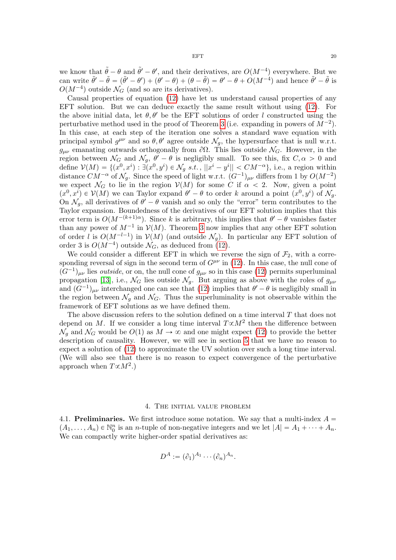we know that  $\tilde{\theta} - \theta$  and  $\tilde{\theta}' - \theta'$ , and their derivatives, are  $O(M^{-4})$  everywhere. But we can write  $\tilde{\theta}' - \tilde{\theta} = (\tilde{\theta}' - \theta') + (\theta' - \theta) + (\theta - \tilde{\theta}) = \theta' - \theta + O(M^{-4})$  and hence  $\tilde{\theta}' - \tilde{\theta}$  is  $O(M^{-4})$  outside  $\mathcal{N}_G$  (and so are its derivatives).

Causal properties of equation [\(12\)](#page-10-1) have let us understand causal properties of any EFT solution. But we can deduce exactly the same result without using [\(12\)](#page-10-1). For the above initial data, let  $\theta$ ,  $\theta'$  be the EFT solutions of order l constructed using the perturbative method used in the proof of Theorem [3](#page-9-2) (i.e. expanding in powers of  $M^{-2}$ ). In this case, at each step of the iteration one solves a standard wave equation with principal symbol  $g^{\mu\nu}$  and so  $\theta$ ,  $\theta'$  agree outside  $\mathcal{N}_g$ , the hypersurface that is null w.r.t.  $g_{\mu\nu}$  emanating outwards orthogonally from  $\partial\Omega$ . This lies outside  $\mathcal{N}_G$ . However, in the region between  $\mathcal{N}_G$  and  $\mathcal{N}_g$ ,  $\theta' - \theta$  is negligibly small. To see this, fix  $C, \alpha > 0$  and define  $\mathcal{V}(M) = \{(x^0, x^i) : \exists (x^0, y^i) \in \mathcal{N}_g \text{ s.t. }, ||x^i - y^i|| < CM^{-\alpha}\}\text{, i.e., a region within }\}$ distance  $CM^{-\alpha}$  of  $\mathcal{N}_g$ . Since the speed of light w.r.t.  $(G^{-1})_{\mu\nu}$  differs from 1 by  $O(M^{-2})$ we expect  $\mathcal{N}_G$  to lie in the region  $\mathcal{V}(M)$  for some C if  $\alpha < 2$ . Now, given a point  $(x^0, x^i) \in \mathcal{V}(M)$  we can Taylor expand  $\theta' - \theta$  to order k around a point  $(x^0, y^i)$  of  $\mathcal{N}_g$ . On  $\mathcal{N}_g$ , all derivatives of  $\theta' - \theta$  vanish and so only the "error" term contributes to the Taylor expansion. Boundedness of the derivatives of our EFT solution implies that this error term is  $O(M^{-(k+1)\alpha})$ . Since k is arbitrary, this implies that  $\theta' - \theta$  vanishes faster than any power of  $M^{-1}$  in  $\mathcal{V}(M)$ . Theorem [3](#page-9-2) now implies that any other EFT solution of order l is  $O(M^{-l-1})$  in  $\mathcal{V}(M)$  (and outside  $\mathcal{N}_g$ ). In particular any EFT solution of order 3 is  $O(M^{-4})$  outside  $\mathcal{N}_G$ , as deduced from [\(12\)](#page-10-1).

We could consider a different EFT in which we reverse the sign of  $\mathcal{F}_2$ , with a corresponding reversal of sign in the second term of  $G^{\mu\nu}$  in [\(12\)](#page-10-1). In this case, the null cone of  $(G^{-1})_{\mu\nu}$  lies *outside*, or on, the null cone of  $g_{\mu\nu}$  so in this case [\(12\)](#page-10-1) permits superluminal propagation [\[13\]](#page-45-11), i.e.,  $\mathcal{N}_G$  lies outside  $\mathcal{N}_g$ . But arguing as above with the roles of  $g_{\mu\nu}$ and  $(G^{-1})_{\mu\nu}$  interchanged one can see that [\(12\)](#page-10-1) implies that  $\theta' - \theta$  is negligibly small in the region between  $\mathcal{N}_q$  and  $\mathcal{N}_q$ . Thus the superluminality is not observable within the framework of EFT solutions as we have defined them.

The above discussion refers to the solution defined on a time interval  $T$  that does not depend on M. If we consider a long time interval  $T \propto M^2$  then the difference between  $\mathcal{N}_g$  and  $\mathcal{N}_G$  would be  $O(1)$  as  $M \to \infty$  and one might expect [\(12\)](#page-10-1) to provide the better description of causality. However, we will see in section [5](#page-31-0) that we have no reason to expect a solution of [\(12\)](#page-10-1) to approximate the UV solution over such a long time interval. (We will also see that there is no reason to expect convergence of the perturbative approach when  $T \propto M^2$ .)

#### 4. The initial value problem

<span id="page-19-0"></span>4.1. Preliminaries. We first introduce some notation. We say that a multi-index  $A =$  $(A_1, \ldots, A_n) \in \mathbb{N}_0^n$  is an *n*-tuple of non-negative integers and we let  $|A| = A_1 + \cdots + A_n$ . We can compactly write higher-order spatial derivatives as:

$$
D^A := (\partial_1)^{A_1} \cdots (\partial_n)^{A_n}.
$$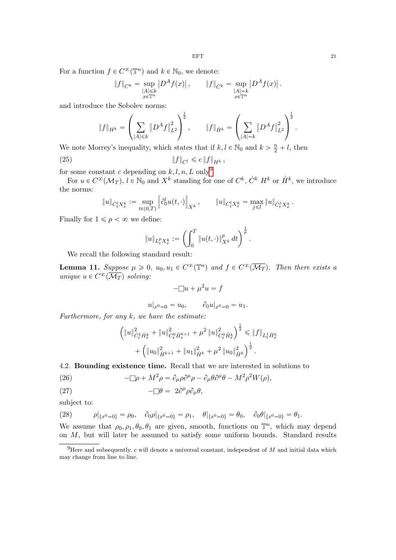For a function  $f \in C^{\infty}(\mathbb{T}^n)$  and  $k \in \mathbb{N}_0$ , we denote:

$$
\|f\|_{C^k} = \sup_{\substack{|A| \leq k \\ x \in \mathbb{T}^n}} |D^A f(x)|, \qquad \|f\|_{\dot{C}^k} = \sup_{\substack{|A| = k \\ x \in \mathbb{T}^n}} |D^A f(x)|.
$$

and introduce the Sobolev norms:

$$
||f||_{H^k} = \left(\sum_{|A| \le k} ||D^A f||_{L^2}^2\right)^{\frac{1}{2}}, \qquad ||f||_{\dot{H}^k} = \left(\sum_{|A|=k} ||D^A f||_{L^2}^2\right)^{\frac{1}{2}}.
$$

We note Morrey's inequality, which states that if  $k, l \in \mathbb{N}_0$  and  $k > \frac{n}{2} + l$ , then

(25) 
$$
||f||_{C^l} \leq c ||f||_{H^k},
$$

for some constant c depending on  $k, l, n, L$  only<sup>[9](#page-20-2)</sup>.

For  $u \in C^{\infty}(\mathcal{M}_T)$ ,  $l \in \mathbb{N}_0$  and  $X^k$  standing for one of  $C^k$ ,  $\dot{C}^k$   $H^k$  or  $\dot{H}^k$ , we introduce the norms:

$$
\|u\|_{\dot{C}_t^l X^k_x} := \sup_{t \in (0,T)} \left\| \partial_0^l u(t,\cdot) \right\|_{X^k}, \qquad \|u\|_{C_t^l X^k_x} = \max_{j \leq l} \|u\|_{\dot{C}_t^j X^k_x}.
$$

Finally for  $1 \leqslant p < \infty$  we define:

<span id="page-20-1"></span>
$$
\|u\|_{L^p_tX^k_x}:=\left(\int_0^T\|u(t,\cdot)\|_{X^k}^p\,dt\right)^{\frac{1}{p}}.
$$

We recall the following standard result:

<span id="page-20-0"></span>**Lemma 11.** Suppose  $\mu \geq 0$ ,  $u_0, u_1 \in C^{\infty}(\mathbb{T}^n)$  and  $f \in C^{\infty}(\overline{\mathcal{M}_T})$ . Then there exists a unique  $u \in C^{\infty}(\overline{\mathcal{M}_T})$  solving:

$$
-\Box u + \mu^2 u = f
$$

$$
u|_{x^0=0} = u_0, \qquad \partial_0 u|_{x^0=0} = u_1.
$$

Furthermore, for any  $k$ , we have the estimate:

$$
\begin{aligned}\n\left(\|u\|_{\dot{C}^1_t\dot{H}^k_x}^2+\|u\|_{C^0_t\dot{H}^{k+1}_x}^2+\mu^2\left\|u\right\|_{C^0_t\dot{H}^k_x}^2\right)^{\frac{1}{2}} &\leqslant \|f\|_{L^1_t\dot{H}^k_x} \\
&+\left(\|u_0\|_{\dot{H}^{k+1}}^2+\|u_1\|_{\dot{H}^k}^2+\mu^2\left\|u_0\right\|_{\dot{H}^k}^2\right)^{\frac{1}{2}}.\n\end{aligned}
$$

4.2. Bounding existence time. Recall that we are interested in solutions to

<span id="page-20-3"></span>(26) 
$$
-\Box \rho + M^2 \rho = \partial_\mu \rho \partial^\mu \rho - \partial_\mu \theta \partial^\mu \theta - M^2 \rho^2 W(\rho),
$$

<span id="page-20-4"></span>(27) 
$$
-\Box \theta = 2\partial^{\mu} \rho \partial_{\mu} \theta,
$$

subject to:

<span id="page-20-5"></span>(28) 
$$
\rho|_{\{x^0=0\}} = \rho_0, \quad \partial_0 \rho|_{\{x^0=0\}} = \rho_1, \quad \theta|_{\{x^0=0\}} = \theta_0, \quad \partial_0 \theta|_{\{x^0=0\}} = \theta_1.
$$

We assume that  $\rho_0, \rho_1, \theta_0, \theta_1$  are given, smooth, functions on  $\mathbb{T}^n$ , which may depend on  $M$ , but will later be assumed to satisfy some uniform bounds. Standard results

<span id="page-20-2"></span><sup>&</sup>lt;sup>9</sup>Here and subsequently, c will denote a universal constant, independent of  $M$  and initial data which may change from line to line.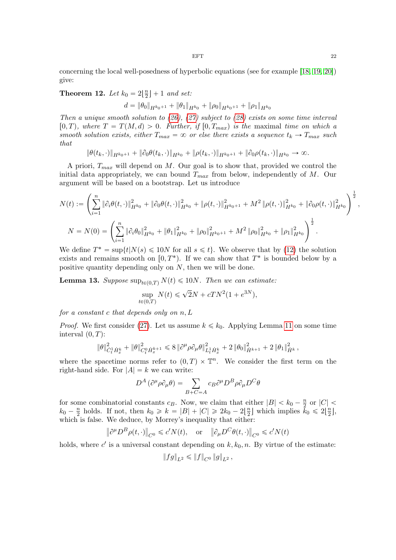concerning the local well-posedness of hyperbolic equations (see for example [\[18,](#page-46-4) [19,](#page-46-5) [20\]](#page-46-6)) give:

<span id="page-21-0"></span>**Theorem 12.** Let  $k_0 = 2\left\lfloor \frac{n}{2} \right\rfloor$  $\frac{n}{2}$  | + 1 and set:

$$
d = \|\theta_0\|_{H^{k_0+1}} + \|\theta_1\|_{H^{k_0}} + \|\rho_0\|_{H^{k_0+1}} + \|\rho_1\|_{H^{k_0}}
$$

Then a unique smooth solution to  $(26)$ ,  $(27)$  subject to  $(28)$  exists on some time interval  $[0, T)$ , where  $T = T(M, d) > 0$ . Further, if  $[0, T_{max})$  is the maximal time on which a smooth solution exists, either  $T_{max} = \infty$  or else there exists a sequence  $t_k \to T_{max}$  such that

 $\|\theta(t_k, \cdot)\|_{H^{k_0+1}} + \|\partial_0 \theta(t_k, \cdot)\|_{H^{k_0}} + \|\rho(t_k, \cdot)\|_{H^{k_0+1}} + \|\partial_0 \rho(t_k, \cdot)\|_{H^{k_0}} \to \infty.$ 

A priori,  $T_{max}$  will depend on M. Our goal is to show that, provided we control the initial data appropriately, we can bound  $T_{max}$  from below, independently of M. Our argument will be based on a bootstrap. Let us introduce

$$
N(t) := \left(\sum_{i=1}^{n} \|\partial_i \theta(t, \cdot)\|_{H^{k_0}}^2 + \|\partial_0 \theta(t, \cdot)\|_{H^{k_0}}^2 + \|\rho(t, \cdot)\|_{H^{k_0+1}}^2 + M^2 \|\rho(t, \cdot)\|_{H^{k_0}}^2 + \|\partial_0 \rho(t, \cdot)\|_{H^{k_0}}^2\right)^{\frac{1}{2}},
$$
  

$$
N = N(0) = \left(\sum_{i=1}^{n} \|\partial_i \theta_0\|_{H^{k_0}}^2 + \|\theta_1\|_{H^{k_0}}^2 + \|\rho_0\|_{H^{k_0+1}}^2 + M^2 \|\rho_0\|_{H^{k_0}}^2 + \|\rho_1\|_{H^{k_0}}^2\right)^{\frac{1}{2}}.
$$

We define  $T^* = \sup\{t | N(s) \leq 10N \text{ for all } s \leq t\}$ . We observe that by [\(12\)](#page-21-0) the solution exists and remains smooth on  $[0, T^* )$ . If we can show that  $T^*$  is bounded below by a positive quantity depending only on N, then we will be done.

**Lemma 13.** Suppose  $\sup_{t\in(0,T)} N(t) \leq 10N$ . Then we can estimate:

$$
\sup_{t \in (0,T)} N(t) \leq \sqrt{2}N + cTN^2(1 + e^{3N}),
$$

for a constant  $c$  that depends only on  $n, L$ 

*Proof.* We first consider [\(27\)](#page-20-4). Let us assume  $k \leq k_0$ . Applying Lemma [11](#page-20-0) on some time interval  $(0, T)$ :

$$
\|\theta\|_{\dot{C}_t^1\dot{H}_x^k}^2+\|\theta\|_{C_t^0\dot{H}_x^{k+1}}^2\leqslant 8\left\|\partial^\mu\rho\partial_\mu\theta\right\|_{L_t^1\dot{H}_x^k}^2+2\left\|\theta_0\right\|_{\dot{H}^{k+1}}^2+2\left\|\theta_1\right\|_{\dot{H}^k}^2,
$$

where the spacetime norms refer to  $(0, T) \times \mathbb{T}^n$ . We consider the first term on the right-hand side. For  $|A| = k$  we can write:

$$
D^{A}(\partial^{\mu}\rho \partial_{\mu}\theta) = \sum_{B+C=A} c_{B} \partial^{\mu} D^{B} \rho \partial_{\mu} D^{C} \theta
$$

for some combinatorial constants  $c_B$ . Now, we claim that either  $|B| < k_0 - \frac{n}{2}$  $\frac{n}{2}$  or  $|C|$  <  $k_0 - \frac{n}{2}$  $\frac{n}{2}$  holds. If not, then  $k_0 \ge k = |B| + |C| \ge 2k_0 - 2\lfloor \frac{n}{2} \rfloor$  $\frac{n}{2}$  which implies  $k_0 \leq 2\left\lfloor \frac{n}{2} \right\rfloor$  $\frac{n}{2}$ , which is false. We deduce, by Morrey's inequality that either:

$$
\left\|\partial^{\mu}D^{B}\rho(t,\cdot)\right\|_{C^{0}}\leqslant c'N(t),\quad\text{or}\quad\left\|\partial_{\mu}D^{C}\theta(t,\cdot)\right\|_{C^{0}}\leqslant c'N(t)
$$

holds, where  $c'$  is a universal constant depending on  $k, k_0, n$ . By virtue of the estimate:

$$
||fg||_{L^2} \le ||f||_{C^0} ||g||_{L^2},
$$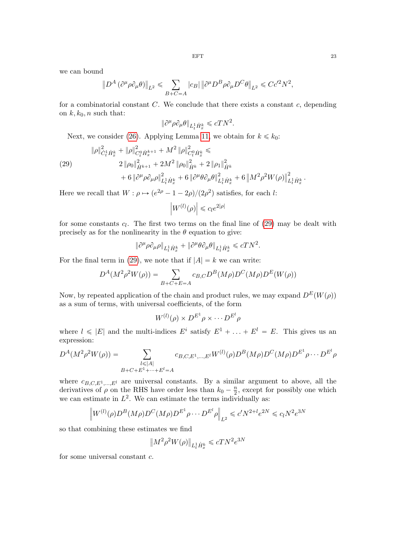we can bound

$$
\left\| D^A \left( \partial^{\mu} \rho \partial_{\mu} \theta \right) \right\|_{L^2} \leqslant \sum_{B+C=A} |c_B| \left\| \partial^{\mu} D^B \rho \partial_{\mu} D^C \theta \right\|_{L^2} \leqslant C c'^2 N^2,
$$

for a combinatorial constant  $C$ . We conclude that there exists a constant  $c$ , depending on  $k, k_0, n$  such that:

$$
\|\partial^{\mu}\rho \partial_{\mu}\theta\|_{L^{1}_{t}\dot{H}^{k}_{x}} \leqslant cTN^{2}.
$$

Next, we consider [\(26\)](#page-20-3). Applying Lemma [11,](#page-20-0) we obtain for  $k \leq k_0$ :

<span id="page-22-0"></span>(29)  
\n
$$
\|\rho\|_{\dot{C}_t^1\dot{H}_x^k}^2 + \|\rho\|_{C_t^0\dot{H}_x^{k+1}}^2 + M^2 \|\rho\|_{C_t^0\dot{H}_x^k}^2 \le
$$
\n
$$
2 \|\rho_0\|_{\dot{H}^{k+1}}^2 + 2M^2 \|\rho_0\|_{\dot{H}^k}^2 + 2 \|\rho_1\|_{\dot{H}^k}^2
$$
\n
$$
+ 6 \|\partial^\mu \rho \partial_\mu \rho\|_{L_t^1\dot{H}_x^k}^2 + 6 \|\partial^\mu \theta \partial_\mu \theta\|_{L_t^1\dot{H}_x^k}^2 + 6 \left\|M^2 \rho^2 W(\rho)\right\|_{L_t^1\dot{H}_x^k}^2.
$$

Here we recall that  $W: \rho \mapsto (e^{2\rho} - 1 - 2\rho)/(2\rho^2)$  satisfies, for each l:

 $W^{(l)}(\rho)$  $\leq c_l e^{2|\rho|}$ 

for some constants  $c_l$ . The first two terms on the final line of  $(29)$  may be dealt with precisely as for the nonlinearity in the  $\theta$  equation to give:

$$
\|\partial^{\mu}\rho\partial_{\mu}\rho\|_{L^{1}_{t}\dot{H}^{k}_{x}}+\|\partial^{\mu}\theta\partial_{\mu}\theta\|_{L^{1}_{t}\dot{H}^{k}_{x}}\leqslant cTN^{2}.
$$

For the final term in [\(29\)](#page-22-0), we note that if  $|A| = k$  we can write:

$$
D^{A}(M^{2}\rho^{2}W(\rho)) = \sum_{B+C+E=A} c_{B,C}D^{B}(M\rho)D^{C}(M\rho)D^{E}(W(\rho))
$$

Now, by repeated application of the chain and product rules, we may expand  $D^{E}(W(\rho))$ as a sum of terms, with universal coefficients, of the form

$$
W^{(l)}(\rho) \times D^{E^1} \rho \times \cdots D^{E^l} \rho
$$

where  $l \leqslant |E|$  and the multi-indices  $E^i$  satisfy  $E^1 + \ldots + E^l = E$ . This gives us an expression:

$$
D^{A}(M^{2}\rho^{2}W(\rho)) = \sum_{\substack{l \leq |A| \\ B+C+E^{1}+\cdots+E^{l}=A}} c_{B,C,E^{1},\ldots,E^{l}}W^{(l)}(\rho)D^{B}(M\rho)D^{C}(M\rho)D^{E^{1}}\rho\cdots D^{E^{l}}\rho
$$

where  $c_{B,C,E^1,...,E^l}$  are universal constants. By a similar argument to above, all the derivatives of  $\rho$  on the RHS have order less than  $k_0 - \frac{n}{2}$  $\frac{n}{2}$ , except for possibly one which we can estimate in  $L^2$ . We can estimate the terms individually as:

$$
\left\|W^{(l)}(\rho)D^B(M\rho)D^C(M\rho)D^{E^1}\rho\cdots D^{E^l}\rho\right\|_{L^2}\leq c'N^{2+l}e^{2N}\leq c_lN^2e^{3N}
$$

so that combining these estimates we find

$$
\big\|M^2\rho^2W(\rho)\big\|_{L^1_t\dot{H}^k_x}\leqslant cTN^2e^{3N}
$$

for some universal constant c.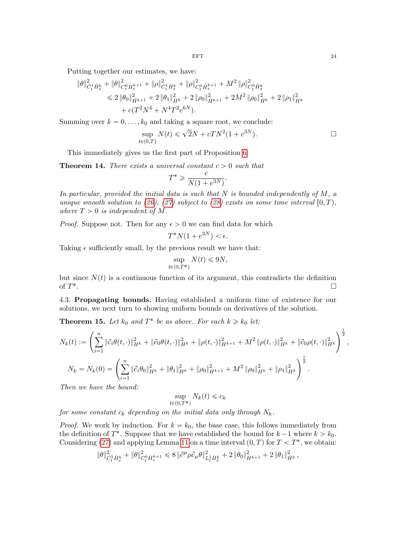Putting together our estimates, we have:

$$
\begin{split} \|\theta\|_{\dot{C}^1_t \dot{H}^k_x}^2 + \|\theta\|_{C^0_t \dot{H}^{k+1}_x}^2 + \|\rho\|_{\dot{C}^1_t \dot{H}^k_x}^2 + \|\rho\|_{C^0_t \dot{H}^{k+1}_x}^2 + M^2 \|\rho\|_{C^0_t \dot{H}^k_x}^2 \\ \leq 2 \|\theta_0\|_{\dot{H}^{k+1}}^2 + 2 \|\theta_1\|_{\dot{H}^k}^2 + 2 \|\rho_0\|_{\dot{H}^{k+1}}^2 + 2M^2 \|\rho_0\|_{\dot{H}^k}^2 + 2 \|\rho_1\|_{\dot{H}^k}^2 \\ &+ c(T^2 N^4 + N^4 T^2 e^{6N}). \end{split}
$$

Summing over  $k = 0, \ldots, k_0$  and taking a square root, we conclude:

$$
\sup_{t \in (0,T)} N(t) \leq \sqrt{2}N + cTN^2(1 + e^{3N}).
$$

This immediately gives us the first part of Proposition [6:](#page-12-0)

**Theorem 14.** There exists a universal constant  $c > 0$  such that

$$
T^* \geqslant \frac{c}{N(1 + e^{3N})}.
$$

In particular, provided the initial data is such that  $N$  is bounded independently of  $M$ , a unique smooth solution to [\(26\)](#page-20-3), [\(27\)](#page-20-4) subject to [\(28\)](#page-20-5) exists on some time interval  $[0, T)$ , where  $T > 0$  is independent of M.

*Proof.* Suppose not. Then for any  $\epsilon > 0$  we can find data for which

$$
T^*N(1+e^{3N}) < \epsilon.
$$

Taking  $\epsilon$  sufficiently small, by the previous result we have that:

$$
\sup_{t \in (0,T^*)} N(t) \le 9N,
$$

but since  $N(t)$  is a continuous function of its argument, this contradicts the definition of  $T^*$ . In the contract of the contract of the contract of the contract of the contract of the contract of the contract of

4.3. Propagating bounds. Having established a uniform time of existence for our solutions, we next turn to showing uniform bounds on derivatives of the solution.

**Theorem 15.** Let  $k_0$  and  $T^*$  be as above. For each  $k \ge k_0$  let:

$$
N_k(t) := \left(\sum_{i=1}^n \|\partial_i \theta(t,\cdot)\|_{H^k}^2 + \|\partial_0 \theta(t,\cdot)\|_{H^k}^2 + \|\rho(t,\cdot)\|_{H^{k+1}}^2 + M^2 \|\rho(t,\cdot)\|_{H^k}^2 + \|\partial_0 \rho(t,\cdot)\|_{H^k}^2\right)^{\frac{1}{2}},
$$
  
\n
$$
N_k = N_k(0) = \left(\sum_{i=1}^n \|\partial_i \theta_0\|_{H^k}^2 + \|\theta_1\|_{H^k}^2 + \|\rho_0\|_{H^{k+1}}^2 + M^2 \|\rho_0\|_{H^k}^2 + \|\rho_1\|_{H^k}^2\right)^{\frac{1}{2}}.
$$
  
\nThen, we have the bound:

Then we have the bound:

$$
\sup_{t \in (0,T^*)} N_k(t) \leq c_k
$$

for some constant  $c_k$  depending on the initial data only through  $N_k$ .

*Proof.* We work by induction. For  $k = k_0$ , the base case, this follows immediately from the definition of  $T^*$ . Suppose that we have established the bound for  $k-1$  where  $k > k_0$ . Considering [\(27\)](#page-20-4) and applying Lemma [11](#page-20-0) on a time interval  $(0, T)$  for  $T < T^*$ , we obtain:

$$
\|\theta\|_{\dot{C}_t^1\dot{H}_x^k}^2+\|\theta\|_{C_t^0\dot{H}_x^{k+1}}^2\leqslant 8\left\|\partial^\mu\rho\partial_\mu\theta\right\|_{L_t^1\dot{H}_x^k}^2+2\left\|\theta_0\right\|_{\dot{H}^{k+1}}^2+2\left\|\theta_1\right\|_{\dot{H}^k}^2,
$$

 $\overline{1}$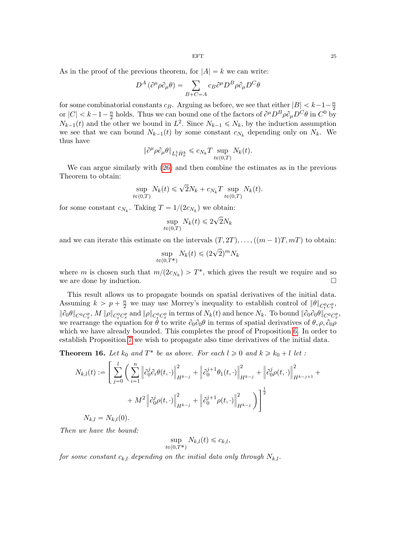As in the proof of the previous theorem, for  $|A| = k$  we can write:

$$
D^{A}(\partial^{\mu}\rho \partial_{\mu}\theta) = \sum_{B+C=A} c_{B} \partial^{\mu} D^{B} \rho \partial_{\mu} D^{C} \theta
$$

for some combinatorial constants  $c_B$ . Arguing as before, we see that either  $|B| < k-1-\frac{n}{2}$ 2 or  $|C| < k-1-\frac{n}{2}$  $\frac{n}{2}$  holds. Thus we can bound one of the factors of  $\partial^{\mu}D^{B}\rho\partial_{\mu}D^{C}\theta$  in  $C^{0}$  by  $N_{k-1}(t)$  and the other we bound in  $L^2$ . Since  $N_{k-1} \leq N_k$ , by the induction assumption we see that we can bound  $N_{k-1}(t)$  by some constant  $c_{N_k}$  depending only on  $N_k$ . We thus have

$$
\|\partial^{\mu}\rho \partial_{\mu}\theta\|_{L^{1}_{t}\dot{H}^{k}_{x}} \leqslant c_{N_{k}}T \sup_{t\in(0,T)} N_{k}(t).
$$

We can argue similarly with [\(26\)](#page-20-3) and then combine the estimates as in the previous Theorem to obtain:

$$
\sup_{t \in (0,T)} N_k(t) \leq \sqrt{2} N_k + c_{N_k} T \sup_{t \in (0,T)} N_k(t).
$$

for some constant  $c_{N_k}$ . Taking  $T = 1/(2c_{N_k})$  we obtain:

$$
\sup_{t \in (0,T)} N_k(t) \leq 2\sqrt{2}N_k
$$

and we can iterate this estimate on the intervals  $(T, 2T), \ldots, (m-1)T, mT$  to obtain:

$$
\sup_{t \in (0,T^*)} N_k(t) \le (2\sqrt{2})^m N_k
$$

where m is chosen such that  $m/(2c_{N_k}) > T^*$ , which gives the result we require and so we are done by induction.

This result allows us to propagate bounds on spatial derivatives of the initial data. Assuming  $k > p + \frac{n}{2}$  we may use Morrey's inequality to establish control of  $\|\theta\|_{C^0_t C^p_x}$ ,  $\|\partial_0\theta\|_{C^0C^p_x}, M\|\rho\|_{C^0_tC^p_x}$  and  $\|\rho\|_{C^0_tC^p_x}$  in terms of  $N_k(t)$  and hence  $N_k$ . To bound  $\|\partial_0\partial_0\theta\|_{C^0C^p_x}$ , we rearrange the equation for  $\hat{\theta}$  to write  $\partial_0\partial_0\theta$  in terms of spatial derivatives of  $\theta$ ,  $\rho$ ,  $\partial_0\rho$ which we have already bounded. This completes the proof of Proposition [6.](#page-12-0) In order to establish Proposition [7](#page-12-2) we wish to propagate also time derivatives of the initial data.

<span id="page-24-0"></span>**Theorem 16.** Let  $k_0$  and  $T^*$  be as above. For each  $l \ge 0$  and  $k \ge k_0 + l$  let :

$$
N_{k,l}(t) := \left[ \sum_{j=0}^{l} \left( \sum_{i=1}^{n} \left\| \partial_0^j \partial_i \theta(t, \cdot) \right\|_{H^{k-j}}^2 + \left\| \partial_0^{j+1} \theta_1(t, \cdot) \right\|_{H^{k-j}}^2 + \left\| \partial_0^j \rho(t, \cdot) \right\|_{H^{k-j+1}}^2 + \right. \\ + M^2 \left\| \partial_0^j \rho(t, \cdot) \right\|_{H^{k-j}}^2 + \left\| \partial_0^{j+1} \rho(t, \cdot) \right\|_{H^{k-j}}^2 \right]
$$

 $N_{k,l} = N_{k,l}(0)$ .

Then we have the bound:

$$
\sup_{t \in (0,T^*)} N_{k,l}(t) \leq c_{k,l},
$$

for some constant  $c_{k,l}$  depending on the initial data only through  $N_{k,l}$ .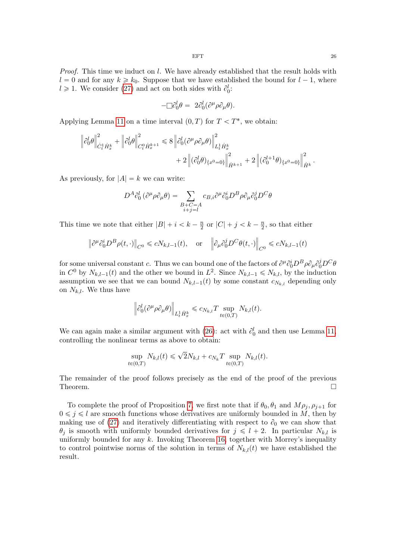*Proof.* This time we induct on  $l$ . We have already established that the result holds with  $l = 0$  and for any  $k \ge k_0$ . Suppose that we have established the bound for  $l - 1$ , where  $l \geq 1$ . We consider [\(27\)](#page-20-4) and act on both sides with  $\partial_0^l$ :

$$
-\Box \partial_0^l \theta = 2\partial_0^l (\partial^\mu \rho \partial_\mu \theta).
$$

Applying Lemma [11](#page-20-0) on a time interval  $(0, T)$  for  $T < T^*$ , we obtain:

$$
\begin{split} \left\|\partial_{0}^{l}\theta\right\|^{2}_{\dot{C}_{t}^{1}\dot{H}_{x}^{k}} & +\left\|\partial_{0}^{l}\theta\right\|^{2}_{C_{t}^{0}\dot{H}_{x}^{k+1}} \leqslant 8\left\|\partial_{0}^{l}(\partial^{\mu}\rho\partial_{\mu}\theta)\right\|^{2}_{L_{t}^{1}\dot{H}_{x}^{k}} \\ & +2\left\|(\partial_{0}^{l}\theta)_{\{x^{0}=0\}}\right\|^{2}_{\dot{H}^{k+1}}+2\left\|(\partial_{0}^{l+1}\theta)_{\{x^{0}=0\}}\right\|^{2}_{\dot{H}^{k}}. \end{split}
$$

As previously, for  $|A| = k$  we can write:

$$
D^{A}\partial_{0}^{l}(\partial^{\mu}\rho\partial_{\mu}\theta) = \sum_{\substack{B+C=A\\i+j=l}} c_{B,i}\partial^{\mu}\partial_{0}^{i}D^{B}\rho\partial_{\mu}\partial_{0}^{j}D^{C}\theta
$$

This time we note that either  $|B| + i < k - \frac{n}{2}$  $\frac{n}{2}$  or  $|C| + j < k - \frac{n}{2}$  $\frac{n}{2}$ , so that either

$$
\left\|\partial^{\mu}\partial_{0}^{i}D^{B}\rho(t,\cdot)\right\|_{C^{0}} \leqslant cN_{k,l-1}(t), \quad \text{or} \quad \left\|\partial_{\mu}\partial_{0}^{j}D^{C}\theta(t,\cdot)\right\|_{C^{0}} \leqslant cN_{k,l-1}(t)
$$

for some universal constant c. Thus we can bound one of the factors of  $\partial^{\mu}\partial_{0}^{i}D^{B}\rho\partial_{\mu}\partial_{0}^{j}D^{C}\theta$ in  $C^0$  by  $N_{k,l-1}(t)$  and the other we bound in  $L^2$ . Since  $N_{k,l-1} \leq N_{k,l}$ , by the induction assumption we see that we can bound  $N_{k,l-1}(t)$  by some constant  $c_{N_{k,l}}$  depending only on  $N_{k,l}$ . We thus have

$$
\left\|\partial_0^l (\partial^\mu \rho \partial_\mu \theta)\right\|_{L^1_t \dot H^k_x} \leq c_{N_{k,l}} T \sup_{t\in (0,T)} N_{k,l}(t).
$$

We can again make a similar argument with [\(26\)](#page-20-3): act with  $\partial_0^l$  and then use Lemma [11,](#page-20-0) controlling the nonlinear terms as above to obtain:

$$
\sup_{t \in (0,T)} N_{k,l}(t) \leq \sqrt{2} N_{k,l} + c_{N_k} T \sup_{t \in (0,T)} N_{k,l}(t).
$$

The remainder of the proof follows precisely as the end of the proof of the previous Theorem.

To complete the proof of Proposition [7,](#page-12-2) we first note that if  $\theta_0, \theta_1$  and  $M \rho_i, \rho_{i+1}$  for  $0 \leq j \leq l$  are smooth functions whose derivatives are uniformly bounded in M, then by making use of [\(27\)](#page-20-4) and iteratively differentiating with respect to  $\partial_0$  we can show that  $\theta_j$  is smooth with uniformly bounded derivatives for  $j \leq l + 2$ . In particular  $N_{k,l}$  is uniformly bounded for any  $k$ . Invoking Theorem [16,](#page-24-0) together with Morrey's inequality to control pointwise norms of the solution in terms of  $N_{k,l}(t)$  we have established the result.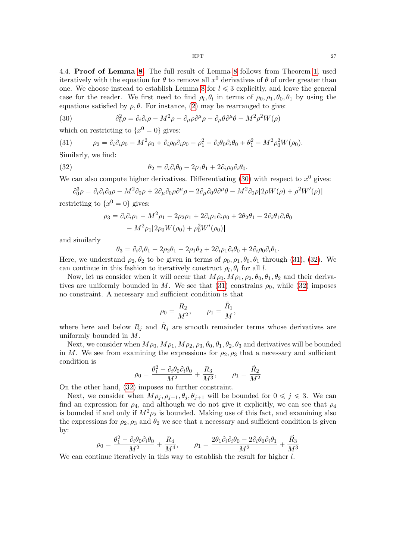4.4. Proof of Lemma [8.](#page-13-0) The full result of Lemma [8](#page-13-0) follows from Theorem [1,](#page-7-3) used iteratively with the equation for  $\theta$  to remove all  $x^0$  derivatives of  $\theta$  of order greater than one. We choose instead to establish Lemma [8](#page-13-0) for  $l \leq 3$  explicitly, and leave the general case for the reader. We first need to find  $\rho_l, \theta_l$  in terms of  $\rho_0, \rho_1, \theta_0, \theta_1$  by using the equations satisfied by  $\rho$ ,  $\theta$ . For instance, [\(2\)](#page-5-1) may be rearranged to give:

<span id="page-26-0"></span>(30) 
$$
\partial_0^2 \rho = \partial_i \partial_i \rho - M^2 \rho + \partial_\mu \rho \partial^\mu \rho - \partial_\mu \theta \partial^\mu \theta - M^2 \rho^2 W(\rho)
$$

which on restricting to  $\{x^0 = 0\}$  gives:

<span id="page-26-1"></span>(31) 
$$
\rho_2 = \partial_i \partial_i \rho_0 - M^2 \rho_0 + \partial_i \rho_0 \partial_i \rho_0 - \rho_1^2 - \partial_i \theta_0 \partial_i \theta_0 + \theta_1^2 - M^2 \rho_0^2 W(\rho_0).
$$

Similarly, we find:

(32) 
$$
\theta_2 = \partial_i \partial_i \theta_0 - 2\rho_1 \theta_1 + 2 \partial_i \rho_0 \partial_i \theta_0.
$$

We can also compute higher derivatives. Differentiating  $(30)$  with respect to  $x^0$  gives:

$$
\partial_0^3 \rho = \partial_i \partial_i \partial_0 \rho - M^2 \partial_0 \rho + 2 \partial_\mu \partial_0 \rho \partial^\mu \rho - 2 \partial_\mu \partial_0 \theta \partial^\mu \theta - M^2 \partial_0 \rho [2 \rho W(\rho) + \rho^2 W'(\rho)]
$$

restricting to  $\{x^0 = 0\}$  gives:

<span id="page-26-2"></span>
$$
\rho_3 = \partial_i \partial_i \rho_1 - M^2 \rho_1 - 2 \rho_2 \rho_1 + 2 \partial_i \rho_1 \partial_i \rho_0 + 2 \theta_2 \theta_1 - 2 \partial_i \theta_1 \partial_i \theta_0 - M^2 \rho_1 [2 \rho_0 W(\rho_0) + \rho_0^2 W'(\rho_0)]
$$

and similarly

$$
\theta_3 = \partial_i \partial_i \theta_1 - 2\rho_2 \theta_1 - 2\rho_1 \theta_2 + 2\partial_i \rho_1 \partial_i \theta_0 + 2\partial_i \rho_0 \partial_i \theta_1.
$$

Here, we understand  $\rho_2, \theta_2$  to be given in terms of  $\rho_0, \rho_1, \theta_0, \theta_1$  through [\(31\)](#page-26-1), [\(32\)](#page-26-2). We can continue in this fashion to iteratively construct  $\rho_l, \theta_l$  for all l.

Now, let us consider when it will occur that  $M\rho_0, M\rho_1, \rho_2, \theta_0, \theta_1, \theta_2$  and their deriva-tives are uniformly bounded in M. We see that [\(31\)](#page-26-1) constrains  $\rho_0$ , while [\(32\)](#page-26-2) imposes no constraint. A necessary and sufficient condition is that

$$
\rho_0 = \frac{R_2}{M^2}, \qquad \rho_1 = \frac{\tilde{R}_1}{M},
$$

where here and below  $R_j$  and  $\tilde{R}_j$  are smooth remainder terms whose derivatives are uniformly bounded in M.

Next, we consider when  $M\rho_0$ ,  $M\rho_1$ ,  $M\rho_2$ ,  $\rho_3$ ,  $\theta_0$ ,  $\theta_1$ ,  $\theta_2$ ,  $\theta_3$  and derivatives will be bounded in M. We see from examining the expressions for  $\rho_2$ ,  $\rho_3$  that a necessary and sufficient condition is

$$
\rho_0 = \frac{\theta_1^2 - \partial_i \theta_0 \partial_i \theta_0}{M^2} + \frac{R_3}{M^3}, \qquad \rho_1 = \frac{\tilde{R}_2}{M^2}
$$

On the other hand, [\(32\)](#page-26-2) imposes no further constraint.

Next, we consider when  $M \rho_j, \rho_{j+1}, \theta_j, \theta_{j+1}$  will be bounded for  $0 \leq j \leq 3$ . We can find an expression for  $\rho_4$ , and although we do not give it explicitly, we can see that  $\rho_4$ is bounded if and only if  $M^2 \rho_2$  is bounded. Making use of this fact, and examining also the expressions for  $\rho_2$ ,  $\rho_3$  and  $\theta_2$  we see that a necessary and sufficient condition is given by:

$$
\rho_0 = \frac{\theta_1^2 - \partial_i \theta_0 \partial_i \theta_0}{M^2} + \frac{R_4}{M^4}, \qquad \rho_1 = \frac{2\theta_1 \partial_i \partial_i \theta_0 - 2\partial_i \theta_0 \partial_i \theta_1}{M^2} + \frac{\tilde{R_3}}{M^3}
$$

We can continue iteratively in this way to establish the result for higher  $l$ .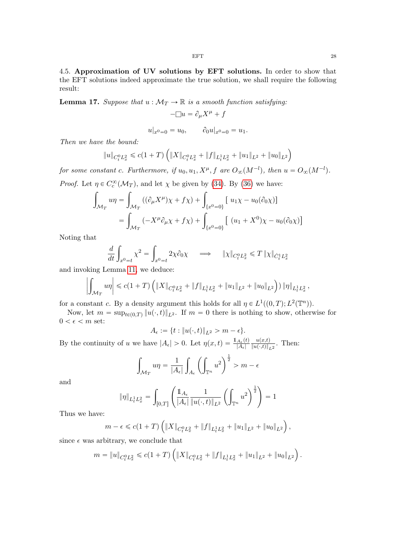4.5. Approximation of UV solutions by EFT solutions. In order to show that the EFT solutions indeed approximate the true solution, we shall require the following result:

<span id="page-27-0"></span>**Lemma 17.** Suppose that  $u : \mathcal{M}_T \to \mathbb{R}$  is a smooth function satisfying:

$$
-\Box u = \partial_{\mu} X^{\mu} + f
$$

$$
u|_{x^0=0} = u_0, \qquad \partial_0 u|_{x^0=0} = u_1.
$$

Then we have the bound:

$$
||u||_{C_t^0 L_x^2} \leq c(1+T) \left( ||X||_{C_t^0 L_x^2} + ||f||_{L_t^1 L_x^2} + ||u_1||_{L^2} + ||u_0||_{L^2} \right)
$$

for some constant c. Furthermore, if  $u_0, u_1, X^{\mu}, f$  are  $O_{\infty}(M^{-l})$ , then  $u = O_{\infty}(M^{-l})$ .

*Proof.* Let 
$$
\eta \in C_c^{\infty}(\mathcal{M}_T)
$$
, and let  $\chi$  be given by (34). By (36) we have:  
\n
$$
\int_{\mathcal{M}_T} u\eta = \int_{\mathcal{M}_T} ((\partial_{\mu}X^{\mu})\chi + f\chi) + \int_{\{x^0 = 0\}} [u_1\chi - u_0(\partial_0\chi)]
$$
\n
$$
= \int_{\mathcal{M}_T} (-X^{\mu}\partial_{\mu}\chi + f\chi) + \int_{\{x^0 = 0\}} [(u_1 + X^0)\chi - u_0(\partial_0\chi)]
$$

Noting that

$$
\frac{d}{dt} \int_{x^0 = t} \chi^2 = \int_{x^0 = t} 2\chi \partial_0 \chi \quad \implies \quad \|\chi\|_{C_t^0 L_x^2} \leq T \|\chi\|_{\dot{C}_t^1 L_x^2}
$$

and invoking Lemma [11,](#page-20-0) we deduce:

$$
\left| \int_{\mathcal{M}_T} u \eta \right| \leqslant c \left( 1 + T \right) \left( \| X \|_{C^0_t L^2_x} + \| f \|_{L^1_t L^2_x} + \| u_1 \|_{L^2} + \| u_0 \|_{L^2} \right) \right) \| \eta \|_{L^1_t L^2_x},
$$

for a constant c. By a density argument this holds for all  $\eta \in L^1((0,T); L^2(\mathbb{T}^n))$ .

Now, let  $m = \sup_{t \in (0,T)} ||u(\cdot, t)||_{L^2}$ . If  $m = 0$  there is nothing to show, otherwise for  $0 < \epsilon < m$  set:

$$
A_\epsilon:=\{t: \|u(\cdot,t)\|_{L^2}>m-\epsilon\}.
$$

By the continuity of u we have  $|A_{\epsilon}| > 0$ . Let  $\eta(x, t) = \frac{1_{A_{\epsilon}}(t)}{|A_{\epsilon}|}$  $|A_{\epsilon}|$  $u(x,t)$  $\frac{u(x,t)}{\|u(\cdot,t)\|_{L^2}}$ . Then:  $\sim$  1

$$
\int_{\mathcal{M}_T} u\eta = \frac{1}{|A_{\epsilon}|} \int_{A_{\epsilon}} \left( \int_{\mathbb{T}^n} u^2 \right)^{\frac{1}{2}} > m - \epsilon
$$

and

$$
\|\eta\|_{L^1_tL^2_x}=\int_{[0,T]}\left(\frac{\mathbb{1}_{A_\epsilon}}{|A_\epsilon|}\frac{1}{\|u(\cdot,t)\|_{L^2}}\left(\int_{\mathbb{T}^n}u^2\right)^{\frac{1}{2}}\right)=1
$$

Thus we have:

$$
m - \epsilon \leqslant c(1+T) \left( \|X\|_{C^0_t L^2_x} + \|f\|_{L^1_t L^2_x} + \|u_1\|_{L^2} + \|u_0\|_{L^2} \right),
$$

since  $\epsilon$  was arbitrary, we conclude that

$$
m = \|u\|_{C_t^0 L_x^2} \leq c(1+T) \left( \|X\|_{C_t^0 L_x^2} + \|f\|_{L_t^1 L_x^2} + \|u_1\|_{L^2} + \|u_0\|_{L^2} \right).
$$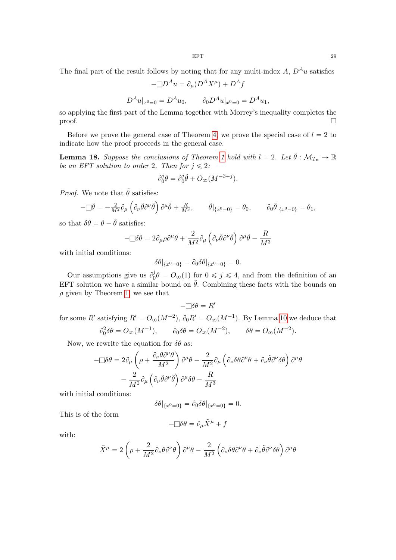The final part of the result follows by noting that for any multi-index A,  $D^A u$  satisfies

$$
-\Box D^A u = \partial_\mu (D^A X^\mu) + D^A f
$$

$$
D^A u|_{x^0=0} = D^A u_0, \qquad \partial_0 D^A u|_{x^0=0} = D^A u_1,
$$

so applying the first part of the Lemma together with Morrey's inequality completes the proof.

Before we prove the general case of Theorem [4,](#page-10-0) we prove the special case of  $l = 2$  to indicate how the proof proceeds in the general case.

**Lemma [1](#page-7-3)8.** Suppose the conclusions of Theorem 1 hold with  $l = 2$ . Let  $\tilde{\theta} : \mathcal{M}_{T_{*}} \to \mathbb{R}$ be an EFT solution to order 2. Then for  $j \leq 2$ :

$$
\partial_0^j \theta = \partial_0^j \tilde{\theta} + O_{\infty}(M^{-3+j}).
$$

*Proof.* We note that  $\tilde{\theta}$  satisfies:

$$
-\Box \tilde{\theta} = -\frac{2}{M^2} \partial_{\mu} \left( \partial_{\nu} \tilde{\theta} \partial^{\nu} \tilde{\theta} \right) \partial^{\mu} \tilde{\theta} + \frac{R}{M^3}, \qquad \tilde{\theta}|_{\{x^0 = 0\}} = \theta_0, \qquad \partial_0 \tilde{\theta}|_{\{x^0 = 0\}} = \theta_1,
$$

so that  $\delta \theta = \theta - \tilde{\theta}$  satisfies:

$$
-\Box \delta \theta = 2 \partial_{\mu} \rho \partial^{\mu} \theta + \frac{2}{M^2} \partial_{\mu} \left( \partial_{\nu} \tilde{\theta} \partial^{\nu} \tilde{\theta} \right) \partial^{\mu} \tilde{\theta} - \frac{R}{M^3}
$$

with initial conditions:

$$
\delta\theta|_{\{x^0=0\}} = \partial_0 \delta\theta|_{\{x^0=0\}} = 0.
$$

Our assumptions give us  $\partial_0^j$  $\partial_0^j \theta = O_{\infty}(1)$  for  $0 \leq j \leq 4$ , and from the definition of an EFT solution we have a similar bound on  $\tilde{\theta}$ . Combining these facts with the bounds on  $\rho$  given by Theorem [1,](#page-7-3) we see that

$$
-\Box \delta \theta = R'
$$

for some R' satisfying  $R' = O_{\infty}(M^{-2}), \partial_0 R' = O_{\infty}(M^{-1}).$  By Lemma [10](#page-16-1) we deduce that

$$
\partial_0^2 \delta \theta = O_{\infty}(M^{-1}), \qquad \partial_0 \delta \theta = O_{\infty}(M^{-2}), \qquad \delta \theta = O_{\infty}(M^{-2}).
$$

Now, we rewrite the equation for  $\delta\theta$  as:

$$
-\Box \delta \theta = 2 \partial_{\mu} \left( \rho + \frac{\partial_{\nu} \theta \partial^{\nu} \theta}{M^2} \right) \partial^{\mu} \theta - \frac{2}{M^2} \partial_{\mu} \left( \partial_{\nu} \delta \theta \partial^{\nu} \theta + \partial_{\nu} \tilde{\theta} \partial^{\nu} \delta \theta \right) \partial^{\mu} \theta
$$

$$
- \frac{2}{M^2} \partial_{\mu} \left( \partial_{\nu} \tilde{\theta} \partial^{\nu} \tilde{\theta} \right) \partial^{\mu} \delta \theta - \frac{R}{M^3}
$$

with initial conditions:

$$
\delta\theta|_{\{x^0=0\}} = \partial_0 \delta\theta|_{\{x^0=0\}} = 0.
$$

This is of the form

$$
-\Box \delta \theta = \partial_\mu \tilde{X}^\mu + f
$$

with:

$$
\tilde{X}^{\mu} = 2\left(\rho + \frac{2}{M^2}\partial_{\nu}\theta\partial^{\nu}\theta\right)\partial^{\mu}\theta - \frac{2}{M^2}\left(\partial_{\nu}\delta\theta\partial^{\nu}\theta + \partial_{\nu}\tilde{\theta}\partial^{\nu}\delta\theta\right)\partial^{\mu}\theta
$$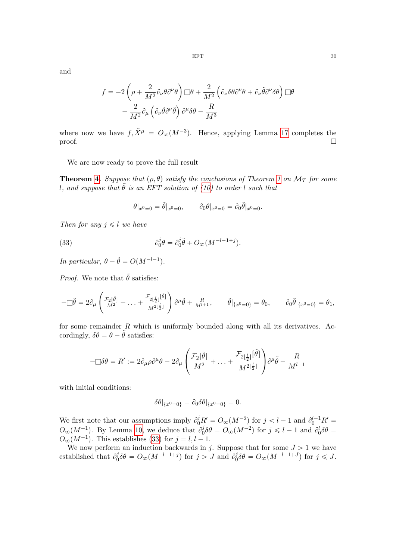and

$$
f = -2\left(\rho + \frac{2}{M^2}\partial_{\nu}\theta\partial^{\nu}\theta\right)\Box\theta + \frac{2}{M^2}\left(\partial_{\nu}\delta\theta\partial^{\nu}\theta + \partial_{\nu}\tilde{\theta}\partial^{\nu}\delta\theta\right)\Box\theta
$$

$$
-\frac{2}{M^2}\partial_{\mu}\left(\partial_{\nu}\tilde{\theta}\partial^{\nu}\tilde{\theta}\right)\partial^{\mu}\delta\theta - \frac{R}{M^3}
$$

where now we have  $f, \tilde{X}^{\mu} = O_{\infty}(M^{-3})$ . Hence, applying Lemma [17](#page-27-0) completes the  $\Box$ 

We are now ready to prove the full result

**Theorem [4.](#page-10-0)** Suppose that  $(\rho, \theta)$  satisfy the conclusions of Theorem [1](#page-7-3) on  $\mathcal{M}_T$  for some l, and suppose that  $\tilde{\theta}$  is an EFT solution of [\(10\)](#page-8-0) to order l such that

<span id="page-29-0"></span>
$$
\theta|_{x^0=0} = \tilde{\theta}|_{x^0=0}, \qquad \partial_0 \theta|_{x^0=0} = \partial_0 \tilde{\theta}|_{x^0=0}.
$$

Then for any  $i \leq l$  we have

(33) 
$$
\partial_0^j \theta = \partial_0^j \tilde{\theta} + O_{\infty}(M^{-l-1+j}).
$$

In particular,  $\theta - \tilde{\theta} = O(M^{-l-1}).$ 

*Proof.* We note that  $\tilde{\theta}$  satisfies:

$$
-\Box \tilde{\theta} = 2\partial_{\mu}\left(\frac{\mathcal{F}_2[\tilde{\theta}]}{M^2} + \ldots + \frac{\mathcal{F}_{2\lfloor \frac{l}{2} \rfloor}[\tilde{\theta}]}{M^{2\lfloor \frac{l}{2} \rfloor}}\right)\partial^{\mu}\tilde{\theta} + \frac{R}{M^{l+1}}, \qquad \tilde{\theta}|_{\{x^0=0\}} = \theta_0, \qquad \partial_0\tilde{\theta}|_{\{x^0=0\}} = \theta_1,
$$

for some remainder  $R$  which is uniformly bounded along with all its derivatives. Accordingly,  $\delta\theta = \theta - \tilde{\theta}$  satisfies:

$$
-\Box \delta \theta = R' := 2\partial_\mu \rho \partial^\mu \theta - 2\partial_\mu \left( \frac{\mathcal{F}_2[\tilde{\theta}]}{M^2} + \ldots + \frac{\mathcal{F}_{2\lfloor \frac{l}{2} \rfloor}[\tilde{\theta}]}{M^{2\lfloor \frac{l}{2} \rfloor}} \right) \partial^\mu \tilde{\theta} - \frac{R}{M^{l+1}}
$$

with initial conditions:

$$
\delta\theta|_{\{x^0=0\}} = \partial_0 \delta\theta|_{\{x^0=0\}} = 0.
$$

We first note that our assumptions imply  $\partial_0^j R' = O_{\infty}(M^{-2})$  for  $j < l-1$  and  $\partial_0^{l-1} R' =$  $O_{\infty}(M^{-1})$ . By Lemma [10,](#page-16-1) we deduce that  $\partial_0^j$  $\partial_0^j \delta \theta = O_{\infty}(M^{-2})$  for  $j \leq l - 1$  and  $\partial_0^l \delta \theta =$  $O_{\infty}(M^{-1})$ . This establishes [\(33\)](#page-29-0) for  $j = l, l - 1$ .

We now perform an induction backwards in j. Suppose that for some  $J > 1$  we have established that  $\partial_0^j$  $\partial_0^j \delta \theta = O_{\infty}(M^{-l-1+j})$  for  $j > J$  and  $\partial_0^j$  $0^j_0 \delta \theta = O_{\infty}(M^{-l-1+J})$  for  $j \leqslant J$ .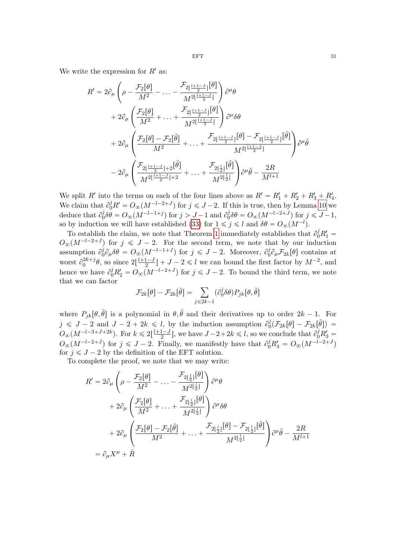We write the expression for  $R'$  as:

$$
R' = 2\partial_{\mu}\left(\rho - \frac{\mathcal{F}_2[\theta]}{M^2} - \dots - \frac{\mathcal{F}_{2\lfloor \frac{l+1-J}{2} \rfloor}[\theta]}{M^{2\lfloor \frac{l+1-J}{2} \rfloor}}\right)\partial^{\mu}\theta
$$
  
+ 
$$
2\partial_{\mu}\left(\frac{\mathcal{F}_2[\theta]}{M^2} + \dots + \frac{\mathcal{F}_{2\lfloor \frac{l+1-J}{2} \rfloor}[\theta]}{M^{2\lfloor \frac{l+1-J}{2} \rfloor}}\right)\partial^{\mu}\delta\theta
$$
  
+ 
$$
2\partial_{\mu}\left(\frac{\mathcal{F}_2[\theta] - \mathcal{F}_2[\tilde{\theta}]}{M^2} + \dots + \frac{\mathcal{F}_{2\lfloor \frac{l+1-J}{2} \rfloor}[\theta] - \mathcal{F}_{2\lfloor \frac{l+1-J}{2} \rfloor}[\tilde{\theta}]}{M^{2\lfloor \frac{l+1-J}{2} \rfloor}}\right)\partial^{\mu}\tilde{\theta}
$$
  
- 
$$
2\partial_{\mu}\left(\frac{\mathcal{F}_{2\lfloor \frac{l+1-J}{2} \rfloor+2}[\tilde{\theta}]}{M^{2\lfloor \frac{l+1-J}{2} \rfloor+2}} + \dots + \frac{\mathcal{F}_{2\lfloor \frac{l}{2} \rfloor}[\tilde{\theta}]}{M^{2\lfloor \frac{l}{2} \rfloor}}\right)\partial^{\mu}\tilde{\theta} - \frac{2R}{M^{l+1}}
$$

We split R' into the terms on each of the four lines above as  $R' = R'_1 + R'_2 + R'_3 + R'_4$ . We claim that  $\partial_0^j R' = O_{\infty}(M^{-l-2+J})$  for  $j \leq J-2$ . If this is true, then by Lemma [10](#page-16-1) we deduce that  $\partial_0^j$  $\partial_0^j \delta \theta = O_{\infty}(M^{-l-1+j})$  for  $j > J-1$  and  $\partial_0^j$  $\partial_0^j \delta \theta = O_{\infty}(M^{-l-2+J}) \text{ for } j \leq J-1,$ so by induction we will have established [\(33\)](#page-29-0) for  $1 \leq j \leq l$  and  $\delta\theta = O_{\infty}(M^{-l})$ .

To establish the claim, we note that Theorem [1](#page-7-3) immediately establishes that  $\partial_0^j R_1' =$  $O_{\infty}(M^{-l-2+J})$  for  $j \leqslant J-2$ . For the second term, we note that by our induction assumption  $\partial_0^j$  $\partial_0^j \partial_\mu \delta \theta = O_{\infty}(M^{-l-1+J})$  for  $j \leq J-2$ . Moreover,  $\partial_0^j$  $\partial_0^j \partial_\mu \mathcal{F}_{2k}[\theta]$  contains at worst  $\partial_0^{2k+j}\theta$ , so since  $2\lfloor \frac{l+1-J}{2} \rfloor + J - 2 \leq l$  we can bound the first factor by  $M^{-2}$ , and hence we have  $\partial_0^j R_2' = O_{\infty}(M^{-l-2+J})$  for  $j \leq J-2$ . To bound the third term, we note that we can factor

$$
\mathcal{F}_{2k}[\theta] - \mathcal{F}_{2k}[\tilde{\theta}] = \sum_{j \le 2k-1} (\partial_0^j \delta \theta) P_{jk}[\theta, \tilde{\theta}]
$$

where  $P_{ik}[\theta, \tilde{\theta}]$  is a polynomial in  $\theta, \tilde{\theta}$  and their derivatives up to order  $2k - 1$ . For  $j \leqslant J - 2$  and  $J - 2 + 2k \leqslant l$ , by the induction assumption  $\partial_l^j$  $\partial_0^j ( \mathcal{F}_{2k}[\theta] - \mathcal{F}_{2k}[\tilde{\theta}]) \; = \;$  $O_{\infty}(M^{-l-3+J+2k})$ . For  $k \leq 2\lfloor \frac{l+1-J}{2} \rfloor$ , we have  $J-2+2k \leq l$ , so we conclude that  $\partial_0^j R_3' =$  $O_{\infty}(M^{-l-2+J})$  for  $j \leqslant J-2$ . Finally, we manifestly have that  $\partial_0^j R_4 = O_{\infty}(M^{-l-2+J})$ for  $j \leq J - 2$  by the definition of the EFT solution.

To complete the proof, we note that we may write:  $\frac{1}{2}$ 

$$
R' = 2\partial_{\mu} \left( \rho - \frac{\mathcal{F}_2[\theta]}{M^2} - \dots - \frac{\mathcal{F}_{2\lfloor \frac{t}{2} \rfloor}[\theta]}{M^{2\lfloor \frac{t}{2} \rfloor}} \right) \partial^{\mu} \theta
$$
  
+ 
$$
2\partial_{\mu} \left( \frac{\mathcal{F}_2[\theta]}{M^2} + \dots + \frac{\mathcal{F}_{2\lfloor \frac{t}{2} \rfloor}[\theta]}{M^{2\lfloor \frac{t}{2} \rfloor}} \right) \partial^{\mu} \delta \theta
$$
  
+ 
$$
2\partial_{\mu} \left( \frac{\mathcal{F}_2[\theta] - \mathcal{F}_2[\tilde{\theta}]}{M^2} + \dots + \frac{\mathcal{F}_{2\lfloor \frac{t}{2} \rfloor}[\theta] - \mathcal{F}_{2\lfloor \frac{t}{2} \rfloor}[\tilde{\theta}]}{M^{2\lfloor \frac{t}{2} \rfloor}} \right) \partial^{\mu} \tilde{\theta} - \frac{2R}{M^{l+1}}
$$
  
= 
$$
\partial_{\mu} X^{\mu} + \tilde{R}
$$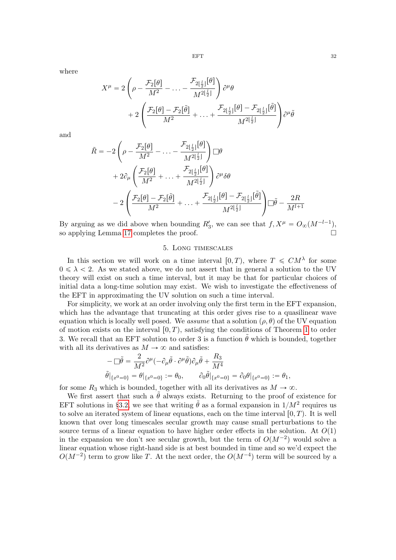where

$$
X^{\mu} = 2\left(\rho - \frac{\mathcal{F}_2[\theta]}{M^2} - \dots - \frac{\mathcal{F}_{2\lfloor \frac{l}{2} \rfloor}[\theta]}{M^{2\lfloor \frac{l}{2} \rfloor}}\right) \partial^{\mu} \theta + 2\left(\frac{\mathcal{F}_2[\theta] - \mathcal{F}_2[\tilde{\theta}]}{M^2} + \dots + \frac{\mathcal{F}_{2\lfloor \frac{l}{2} \rfloor}[\theta] - \mathcal{F}_{2\lfloor \frac{l}{2} \rfloor}[\tilde{\theta}]}{M^{2\lfloor \frac{l}{2} \rfloor}}\right) \partial^{\mu} \tilde{\theta}
$$

and

$$
\tilde{R} = -2\left(\rho - \frac{\mathcal{F}_2[\theta]}{M^2} - \dots - \frac{\mathcal{F}_{2\lfloor \frac{l}{2} \rfloor}[\theta]}{M^{2\lfloor \frac{l}{2} \rfloor}}\right) \Box \theta \n+ 2\partial_\mu \left(\frac{\mathcal{F}_2[\theta]}{M^2} + \dots + \frac{\mathcal{F}_{2\lfloor \frac{l}{2} \rfloor}[\theta]}{M^{2\lfloor \frac{l}{2} \rfloor}}\right) \partial^\mu \delta \theta \n- 2\left(\frac{\mathcal{F}_2[\theta] - \mathcal{F}_2[\tilde{\theta}]}{M^2} + \dots + \frac{\mathcal{F}_{2\lfloor \frac{l}{2} \rfloor}[\theta] - \mathcal{F}_{2\lfloor \frac{l}{2} \rfloor}[\tilde{\theta}]}{M^{2\lfloor \frac{l}{2} \rfloor}}\right) \Box \tilde{\theta} - \frac{2R}{M^{l+1}}
$$

By arguing as we did above when bounding  $R'_3$ , we can see that  $f, X^{\mu} = O_{\infty}(M^{-l-1}),$ so applying Lemma [17](#page-27-0) completes the proof.

### 5. Long timescales

<span id="page-31-0"></span>In this section we will work on a time interval  $[0, T)$ , where  $T \leq C M^{\lambda}$  for some  $0 \leq \lambda < 2$ . As we stated above, we do not assert that in general a solution to the UV theory will exist on such a time interval, but it may be that for particular choices of initial data a long-time solution may exist. We wish to investigate the effectiveness of the EFT in approximating the UV solution on such a time interval.

For simplicity, we work at an order involving only the first term in the EFT expansion, which has the advantage that truncating at this order gives rise to a quasilinear wave equation which is locally well posed. We assume that a solution  $(\rho, \theta)$  of the UV equation of motion exists on the interval  $[0, T)$ , satisfying the conditions of Theorem [1](#page-7-3) to order 3. We recall that an EFT solution to order 3 is a function  $\tilde{\theta}$  which is bounded, together with all its derivatives as  $M \to \infty$  and satisfies:

$$
\begin{aligned} &-\square\tilde{\theta}=\frac{2}{M^2}\partial^{\mu}(-\partial_{\mu}\tilde{\theta}\cdot\partial^{\mu}\tilde{\theta})\partial_{\mu}\tilde{\theta}+\frac{R_3}{M^4}\\ &\tilde{\theta}|_{\{x^0=0\}}=\theta|_{\{x^0=0\}}:=\theta_0,\qquad \partial_0\tilde{\theta}|_{\{x^0=0\}}=\partial_0\theta|_{\{x^0=0\}}:=\theta_1, \end{aligned}
$$

for some  $R_3$  which is bounded, together with all its derivatives as  $M \to \infty$ .

We first assert that such a  $\tilde{\theta}$  always exists. Returning to the proof of existence for EFT solutions in §[3.2,](#page-16-3) we see that writing  $\tilde{\theta}$  as a formal expansion in  $1/M^2$  requires us to solve an iterated system of linear equations, each on the time interval  $[0, T)$ . It is well known that over long timescales secular growth may cause small perturbations to the source terms of a linear equation to have higher order effects in the solution. At  $O(1)$ in the expansion we don't see secular growth, but the term of  $O(M^{-2})$  would solve a linear equation whose right-hand side is at best bounded in time and so we'd expect the  $O(M^{-2})$  term to grow like T. At the next order, the  $O(M^{-4})$  term will be sourced by a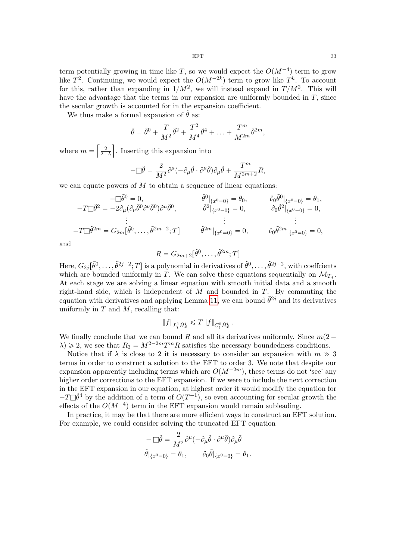term potentially growing in time like T, so we would expect the  $O(M^{-4})$  term to grow like  $T^2$ . Continuing, we would expect the  $O(M^{-2k})$  term to grow like  $T^k$ . To account for this, rather than expanding in  $1/M^2$ , we will instead expand in  $T/M^2$ . This will have the advantage that the terms in our expansion are uniformly bounded in  $T$ , since the secular growth is accounted for in the expansion coefficient.

We thus make a formal expansion of  $\tilde{\theta}$  as:

$$
\tilde{\theta} = \tilde{\theta}^0 + \frac{T}{M^2} \tilde{\theta}^2 + \frac{T^2}{M^4} \tilde{\theta}^4 + \ldots + \frac{T^m}{M^{2m}} \tilde{\theta}^{2m},
$$

where  $m =$ **Contract Contract Contract Contract Contract Contract Contract Contract Contract Contract Contract Contract Co** 2  $\overline{2-\lambda}$ **U** . Inserting this expansion into

$$
-\Box \tilde{\theta} = \frac{2}{M^2} \partial^{\mu} (-\partial_{\mu} \tilde{\theta} \cdot \partial^{\mu} \tilde{\theta}) \partial_{\mu} \tilde{\theta} + \frac{T^m}{M^{2m+2}} R,
$$

we can equate powers of  $M$  to obtain a sequence of linear equations:

$$
-T\Box \tilde{\theta}^{2} = -2\partial_{\mu}(\partial_{\nu}\tilde{\theta}^{0})\partial^{\mu}\tilde{\theta}^{0}, \qquad \tilde{\theta}^{0}|_{\{x^{0}=0\}} = \theta_{0}, \qquad \partial_{0}\tilde{\theta}^{0}|_{\{x^{0}=0\}} = \theta_{1},
$$
  
\n
$$
-T\Box \tilde{\theta}^{2} = -2\partial_{\mu}(\partial_{\nu}\tilde{\theta}^{0})\partial^{\mu}\tilde{\theta}^{0}, \qquad \tilde{\theta}^{2}|_{\{x^{0}=0\}} = 0, \qquad \partial_{0}\tilde{\theta}^{2}|_{\{x^{0}=0\}} = 0,
$$
  
\n
$$
\vdots \qquad \vdots
$$
  
\n
$$
-T\Box \tilde{\theta}^{2m} = G_{2m}[\tilde{\theta}^{0}, \ldots, \tilde{\theta}^{2m-2}; T] \qquad \tilde{\theta}^{2m}|_{\{x^{0}=0\}} = 0, \qquad \partial_{0}\tilde{\theta}^{2m}|_{\{x^{0}=0\}} = 0,
$$

and

$$
R = G_{2m+2}[\tilde{\theta}^0, \dots, \tilde{\theta}^{2m}; T]
$$

Here,  $G_{2j}[\tilde{\theta}^0,\ldots,\tilde{\theta}^{2j-2};T]$  is a polynomial in derivatives of  $\tilde{\theta}^0,\ldots,\tilde{\theta}^{2j-2}$ , with coeffcients which are bounded uniformly in T. We can solve these equations sequentially on  $\mathcal{M}_{T_*}$ . At each stage we are solving a linear equation with smooth initial data and a smooth right-hand side, which is independent of  $M$  and bounded in  $T$ . By commuting the equation with derivatives and applying Lemma [11,](#page-20-0) we can bound  $\tilde{\theta}^{2j}$  and its derivatives uniformly in  $T$  and  $M$ , recalling that:

$$
\|f\|_{L_t^1 \dot H_x^k} \leq T \|f\|_{C_t^0 \dot H_x^k} \, .
$$

We finally conclude that we can bound R and all its derivatives uniformly. Since  $m(2 \lambda \geqslant 2$ , we see that  $R_3 = M^{2-2m}T^mR$  satisfies the necessary boundedness conditions.

Notice that if  $\lambda$  is close to 2 it is necessary to consider an expansion with  $m \gg 3$ terms in order to construct a solution to the EFT to order 3. We note that despite our expansion apparently including terms which are  $O(M^{-2m})$ , these terms do not 'see' any higher order corrections to the EFT expansion. If we were to include the next correction in the EFT expansion in our equation, at highest order it would modify the equation for  $-T\square \tilde{\theta}^4$  by the addition of a term of  $O(T^{-1})$ , so even accounting for secular growth the effects of the  $O(M^{-4})$  term in the EFT expansion would remain subleading.

In practice, it may be that there are more efficient ways to construct an EFT solution. For example, we could consider solving the truncated EFT equation

$$
\begin{split} -\mathop{\Box}\!\bar{\theta}=\frac{2}{M^2}\partial^\mu(-\partial_\mu\tilde{\theta}\cdot\partial^\mu\tilde{\theta})\partial_\mu\tilde{\theta}\\ \tilde{\theta}|_{\{x^0=0\}}&=\theta_1,\qquad\partial_0\tilde{\theta}|_{\{x^0=0\}}=\theta_1. \end{split}
$$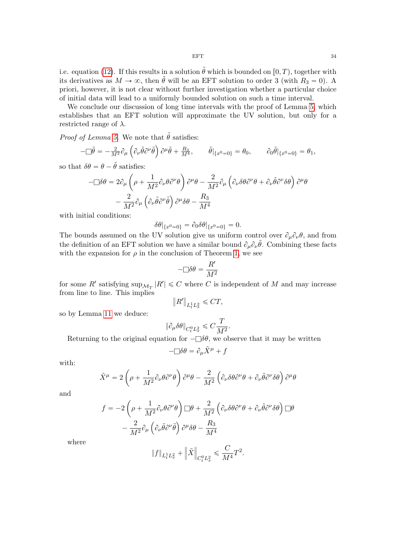i.e. equation [\(12\)](#page-10-1). If this results in a solution  $\tilde{\theta}$  which is bounded on [0, T], together with its derivatives as  $M \to \infty$ , then  $\tilde{\theta}$  will be an EFT solution to order 3 (with  $R_3 = 0$ ). A priori, however, it is not clear without further investigation whether a particular choice of initial data will lead to a uniformly bounded solution on such a time interval.

We conclude our discussion of long time intervals with the proof of Lemma [5,](#page-11-1) which establishes that an EFT solution will approximate the UV solution, but only for a restricted range of  $\lambda$ .

*Proof of Lemma [5.](#page-11-1)* We note that  $\tilde{\theta}$  satisfies:

$$
-\Box \tilde{\theta} = -\frac{2}{M^2} \partial_{\mu} \left( \partial_{\nu} \tilde{\theta} \partial^{\nu} \tilde{\theta} \right) \partial^{\mu} \tilde{\theta} + \frac{R_3}{M^4}, \qquad \tilde{\theta} \vert_{\{x^0 = 0\}} = \theta_0, \qquad \partial_0 \tilde{\theta} \vert_{\{x^0 = 0\}} = \theta_1,
$$

so that  $\delta\theta = \theta - \tilde{\theta}$  satisfies:

$$
-\Box \delta \theta = 2 \partial_{\mu} \left( \rho + \frac{1}{M^2} \partial_{\nu} \theta \partial^{\nu} \theta \right) \partial^{\mu} \theta - \frac{2}{M^2} \partial_{\mu} \left( \partial_{\nu} \delta \theta \partial^{\nu} \theta + \partial_{\nu} \tilde{\theta} \partial^{\nu} \delta \theta \right) \partial^{\mu} \theta - \frac{2}{M^2} \partial_{\mu} \left( \partial_{\nu} \tilde{\theta} \partial^{\nu} \tilde{\theta} \right) \partial^{\mu} \delta \theta - \frac{R_3}{M^4}
$$

with initial conditions:

$$
\delta\theta|_{\{x^0=0\}} = \partial_0 \delta\theta|_{\{x^0=0\}} = 0.
$$

The bounds assumed on the UV solution give us uniform control over  $\partial_{\mu}\partial_{\nu}\theta$ , and from the definition of an EFT solution we have a similar bound  $\partial_{\mu}\partial_{\nu}\tilde{\theta}$ . Combining these facts with the expansion for  $\rho$  in the conclusion of Theorem [1,](#page-7-3) we see

$$
-\Box \delta \theta = \frac{R'}{M^2}
$$

for some R' satisfying  $\sup_{\mathcal{M}_T} |R'| \leq C$  where C is independent of M and may increase from line to line. This implies

$$
\left\|R'\right\|_{L^{1}_tL^2_x}\leqslant CT,
$$

so by Lemma [11](#page-20-0) we deduce:

$$
\|\partial_\mu\delta\theta\|_{C^0_tL^2_x}\leqslant C\frac{T}{M^2}.
$$

Returning to the original equation for  $-\Box \delta \theta$ , we observe that it may be written

$$
-\Box \delta \theta = \partial_{\mu} \tilde{X}^{\mu} + f
$$

with:

$$
\tilde{X}^{\mu} = 2\left(\rho + \frac{1}{M^2}\partial_{\nu}\theta\partial^{\nu}\theta\right)\partial^{\mu}\theta - \frac{2}{M^2}\left(\partial_{\nu}\delta\theta\partial^{\nu}\theta + \partial_{\nu}\tilde{\theta}\partial^{\nu}\delta\theta\right)\partial^{\mu}\theta
$$

and

$$
f = -2\left(\rho + \frac{1}{M^2}\partial_{\nu}\theta\partial^{\nu}\theta\right)\Box\theta + \frac{2}{M^2}\left(\partial_{\nu}\delta\theta\partial^{\nu}\theta + \partial_{\nu}\tilde{\theta}\partial^{\nu}\delta\theta\right)\Box\theta
$$

$$
-\frac{2}{M^2}\partial_{\mu}\left(\partial_{\nu}\tilde{\theta}\partial^{\nu}\tilde{\theta}\right)\partial^{\mu}\delta\theta - \frac{R_3}{M^4}
$$

where

$$
\|f\|_{L^1_tL^2_x}+\Big\|\tilde{X}\Big\|_{C^0_tL^2_x}\leqslant \frac{C}{M^4}T^2.
$$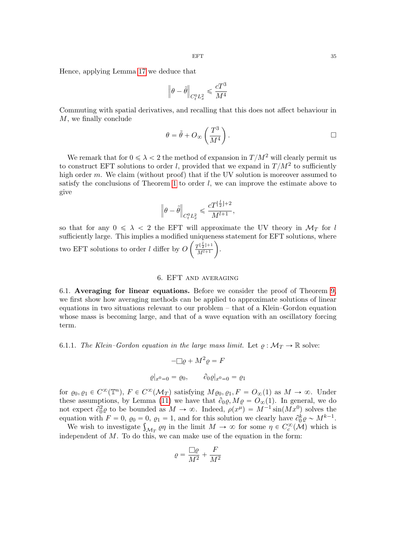Hence, applying Lemma [17](#page-27-0) we deduce that

$$
\left\|\theta-\tilde{\theta}\right\|_{C^0_tL^2_x}\leqslant \frac{cT^3}{M^4}
$$

Commuting with spatial derivatives, and recalling that this does not affect behaviour in M, we finally conclude ˆ ˙

$$
\theta = \tilde{\theta} + O_{\infty} \left( \frac{T^3}{M^4} \right).
$$

We remark that for  $0 \le \lambda < 2$  the method of expansion in  $T/M^2$  will clearly permit us to construct EFT solutions to order l, provided that we expand in  $T/M^2$  to sufficiently high order  $m$ . We claim (without proof) that if the UV solution is moreover assumed to satisfy the conclusions of Theorem [1](#page-7-3) to order  $l$ , we can improve the estimate above to give

$$
\left\|\theta-\tilde{\theta}\right\|_{C_t^0L_x^2}\leqslant \frac{c T^{\lfloor\frac{l}{2}\rfloor+2}}{M^{l+1}},
$$

so that for any  $0 \le \lambda < 2$  the EFT will approximate the UV theory in  $\mathcal{M}_T$  for l sufficiently large. This implies a modified uniqueness statement for EFT solutions, where two EFT solutions to order l differ by  $O\left(\frac{T^{\lfloor \frac{l}{2}\rfloor+1}}{M^{l+1}}\right)$  $\frac{N^{l+1}}{M^{l+1}}$ ).

#### 6. EFT and averaging

<span id="page-34-0"></span>6.1. Averaging for linear equations. Before we consider the proof of Theorem [9,](#page-14-0) we first show how averaging methods can be applied to approximate solutions of linear equations in two situations relevant to our problem – that of a Klein–Gordon equation whose mass is becoming large, and that of a wave equation with an oscillatory forcing term.

6.1.1. The Klein–Gordon equation in the large mass limit. Let  $\rho : \mathcal{M}_T \to \mathbb{R}$  solve:

$$
-\Box \varrho + M^2 \varrho = F
$$

$$
\varrho|_{x^0=0} = \varrho_0, \qquad \partial_0 \varrho|_{x^0=0} = \varrho_1
$$

for  $\varrho_0, \varrho_1 \in C^{\infty}(\mathbb{T}^n)$ ,  $F \in C^{\infty}(\mathcal{M}_T)$  satisfying  $M \varrho_0, \varrho_1, F = O_{\infty}(1)$  as  $M \to \infty$ . Under these assumptions, by Lemma [\(11\)](#page-20-0) we have that  $\partial_{0}\rho$ ,  $M\rho = O_{\infty}(1)$ . In general, we do not expect  $\partial_0^2 \varrho$  to be bounded as  $M \to \infty$ . Indeed,  $\rho(x^{\mu}) = M^{-1} \sin(Mx^0)$  solves the equation with  $F = 0$ ,  $\varrho_0 = 0$ ,  $\varrho_1 = 1$ , and for this solution we clearly have  $\partial_0^k \varrho \sim M^{k-1}$ .

uation with  $F = 0$ ,  $\varrho_0 = 0$ ,  $\varrho_1 = 1$ , and for this solution we clearly have  $\partial_0^{\kappa} \varrho \sim M^{\kappa - 1}$ .<br>We wish to investigate  $\int_{\mathcal{M}_T} \varrho \eta$  in the limit  $M \to \infty$  for some  $\eta \in C_c^{\infty}(\mathcal{M})$  which is independent of  $M$ . To do this, we can make use of the equation in the form:

$$
\varrho=\frac{\Box\varrho}{M^2}+\frac{F}{M^2}
$$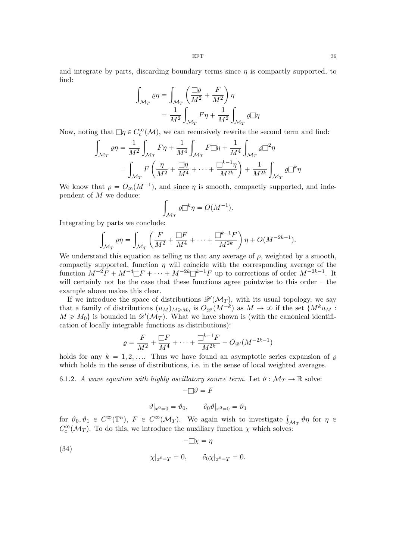and integrate by parts, discarding boundary terms since  $\eta$  is compactly supported, to find:

$$
\int_{\mathcal{M}_T} \varrho \eta = \int_{\mathcal{M}_T} \left( \frac{\Box \varrho}{M^2} + \frac{F}{M^2} \right) \eta
$$

$$
= \frac{1}{M^2} \int_{\mathcal{M}_T} F \eta + \frac{1}{M^2} \int_{\mathcal{M}_T} \varrho \Box \eta
$$

Now, noting that  $\Box \eta \in C_c^{\infty}(\mathcal{M})$ , we can recursively rewrite the second term and find:

$$
\int_{\mathcal{M}_T} \varrho \eta = \frac{1}{M^2} \int_{\mathcal{M}_T} F \eta + \frac{1}{M^4} \int_{\mathcal{M}_T} F \square \eta + \frac{1}{M^4} \int_{\mathcal{M}_T} \varrho \square^2 \eta
$$
\n
$$
= \int_{\mathcal{M}_T} F \left( \frac{\eta}{M^2} + \frac{\square \eta}{M^4} + \dots + \frac{\square^{k-1} \eta}{M^{2k}} \right) + \frac{1}{M^{2k}} \int_{\mathcal{M}_T} \varrho \square^k \eta
$$

We know that  $\rho = O_{\infty}(M^{-1})$ , and since  $\eta$  is smooth, compactly supported, and independent of M we deduce:

$$
\int_{\mathcal{M}_T} \varrho \Box^k \eta = O(M^{-1}).
$$

Integrating by parts we conclude:

$$
\int_{\mathcal{M}_T} \varrho \eta = \int_{\mathcal{M}_T} \left( \frac{F}{M^2} + \frac{\Box F}{M^4} + \dots + \frac{\Box^{k-1} F}{M^{2k}} \right) \eta + O(M^{-2k-1}).
$$

We understand this equation as telling us that any average of  $\rho$ , weighted by a smooth, compactly supported, function  $\eta$  will coincide with the corresponding average of the function  $M^{-2}F + M^{-4} \Box F + \cdots + M^{-2k} \Box^{k-1}F$  up to corrections of order  $M^{-2k-1}$ . It will certainly not be the case that these functions agree pointwise to this order – the example above makes this clear.

If we introduce the space of distributions  $\mathscr{D}'(\mathcal{M}_T)$ , with its usual topology, we say that a family of distributions  $(u_M)_{M \ge M_0}$  is  $O_{\mathscr{D}'}(M^{-k})$  as  $M \to \infty$  if the set  $\{M^k u_M :$  $M \geq M_0$  is bounded in  $\mathscr{D}'(\mathcal{M}_T)$ . What we have shown is (with the canonical identification of locally integrable functions as distributions):

$$
\varrho = \frac{F}{M^2} + \frac{\Box F}{M^4} + \dots + \frac{\Box^{k-1} F}{M^{2k}} + O_{\mathscr{D}'}(M^{-2k-1})
$$

holds for any  $k = 1, 2, \ldots$  Thus we have found an asymptotic series expansion of  $\rho$ which holds in the sense of distributions, i.e. in the sense of local weighted averages.

6.1.2. A wave equation with highly oscillatory source term. Let  $\vartheta : \mathcal{M}_T \to \mathbb{R}$  solve:

$$
-\Box \vartheta = F
$$

<span id="page-35-0"></span>
$$
\vartheta|_{x^0=0} = \vartheta_0, \qquad \partial_0 \vartheta|_{x^0=0} = \vartheta_1
$$

for  $\vartheta_0, \vartheta_1 \in C^{\infty}(\mathbb{T}^n)$ ,  $F \in C^{\infty}(\mathcal{M}_T)$ . We again wish to investigate  $\int_{\mathcal{M}_T} \vartheta \eta$  for  $\eta \in$  $C_c^{\infty}(\mathcal{M}_T)$ . To do this, we introduce the auxiliary function  $\chi$  which solves:

(34) 
$$
-\Box \chi = \eta
$$

$$
\chi|_{x^0 = T} = 0, \qquad \partial_0 \chi|_{x^0 = T} = 0.
$$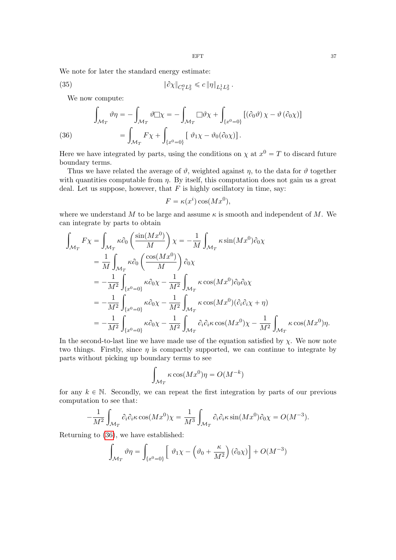We note for later the standard energy estimate:

(35) 
$$
\|\partial \chi\|_{C_t^0 L_x^2} \leq c \|\eta\|_{L_t^1 L_x^2}.
$$

<span id="page-36-1"></span>We now compute:

(36)  
\n
$$
\int_{\mathcal{M}_T} \vartheta \eta = -\int_{\mathcal{M}_T} \vartheta \square \chi = -\int_{\mathcal{M}_T} \square \vartheta \chi + \int_{\{x^0 = 0\}} [(\partial_0 \vartheta) \chi - \vartheta (\partial_0 \chi)]
$$
\n
$$
= \int_{\mathcal{M}_T} F \chi + \int_{\{x^0 = 0\}} [\vartheta_1 \chi - \vartheta_0 (\partial_0 \chi)].
$$

<span id="page-36-0"></span>Here we have integrated by parts, using the conditions on  $\chi$  at  $x^0 = T$  to discard future boundary terms.

Thus we have related the average of  $\vartheta$ , weighted against  $\eta$ , to the data for  $\vartheta$  together with quantities computable from  $\eta$ . By itself, this computation does not gain us a great deal. Let us suppose, however, that  $F$  is highly oscillatory in time, say:

$$
F = \kappa(x^i) \cos(Mx^0),
$$

where we understand M to be large and assume  $\kappa$  is smooth and independent of M. We can integrate by parts to obtain <u>໋</u><br>໋

$$
\int_{\mathcal{M}_T} F\chi = \int_{\mathcal{M}_T} \kappa \partial_0 \left( \frac{\sin(Mx^0)}{M} \right) \chi = -\frac{1}{M} \int_{\mathcal{M}_T} \kappa \sin(Mx^0) \partial_0 \chi
$$
\n
$$
= \frac{1}{M} \int_{\mathcal{M}_T} \kappa \partial_0 \left( \frac{\cos(Mx^0)}{M} \right) \partial_0 \chi
$$
\n
$$
= -\frac{1}{M^2} \int_{\{x^0 = 0\}} \kappa \partial_0 \chi - \frac{1}{M^2} \int_{\mathcal{M}_T} \kappa \cos(Mx^0) \partial_0 \partial_0 \chi
$$
\n
$$
= -\frac{1}{M^2} \int_{\{x^0 = 0\}} \kappa \partial_0 \chi - \frac{1}{M^2} \int_{\mathcal{M}_T} \kappa \cos(Mx^0) (\partial_i \partial_i \chi + \eta)
$$
\n
$$
= -\frac{1}{M^2} \int_{\{x^0 = 0\}} \kappa \partial_0 \chi - \frac{1}{M^2} \int_{\mathcal{M}_T} \partial_i \partial_i \kappa \cos(Mx^0) \chi - \frac{1}{M^2} \int_{\mathcal{M}_T} \kappa \cos(Mx^0) \eta.
$$

In the second-to-last line we have made use of the equation satisfied by  $\chi$ . We now note two things. Firstly, since  $\eta$  is compactly supported, we can continue to integrate by parts without picking up boundary terms to see

$$
\int_{\mathcal{M}_T} \kappa \cos(M x^0) \eta = O(M^{-k})
$$

for any  $k \in \mathbb{N}$ . Secondly, we can repeat the first integration by parts of our previous computation to see that: ż

$$
-\frac{1}{M^2} \int_{\mathcal{M}_T} \partial_i \partial_i \kappa \cos(Mx^0) \chi = \frac{1}{M^3} \int_{\mathcal{M}_T} \partial_i \partial_i \kappa \sin(Mx^0) \partial_0 \chi = O(M^{-3}).
$$

Returning to [\(36\)](#page-36-0), we have established:

$$
\int_{\mathcal{M}_T} \vartheta \eta = \int_{\{x^0 = 0\}} \left[ \vartheta_1 \chi - \left( \vartheta_0 + \frac{\kappa}{M^2} \right) (\partial_0 \chi) \right] + O(M^{-3})
$$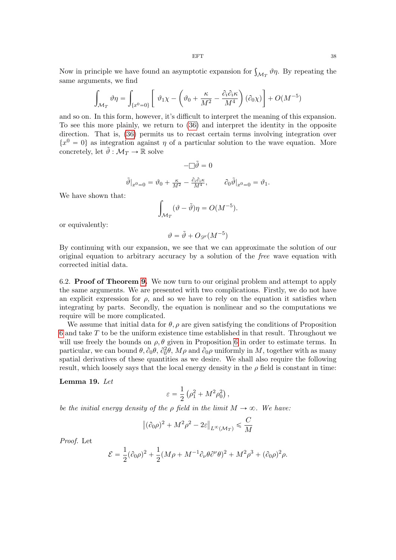Now in principle we have found an asymptotic expansion for  $\int_{\mathcal{M}_T} \vartheta \eta$ . By repeating the same arguments, we find " ˆ 

$$
\int_{\mathcal{M}_T} \vartheta \eta = \int_{\{x^0 = 0\}} \left[ \vartheta_1 \chi - \left( \vartheta_0 + \frac{\kappa}{M^2} - \frac{\partial_i \partial_i \kappa}{M^4} \right) (\partial_0 \chi) \right] + O(M^{-5})
$$

and so on. In this form, however, it's difficult to interpret the meaning of this expansion. To see this more plainly, we return to [\(36\)](#page-36-0) and interpret the identity in the opposite direction. That is, [\(36\)](#page-36-0) permits us to recast certain terms involving integration over  ${x^0 = 0}$  as integration against  $\eta$  of a particular solution to the wave equation. More concretely, let  $\tilde{\vartheta}: \mathcal{M}_T \to \mathbb{R}$  solve

$$
-\Box \tilde{\vartheta} = 0
$$

$$
\tilde{\vartheta}|_{x^0=0} = \vartheta_0 + \frac{\kappa}{M^2} - \frac{\partial_i \partial_i \kappa}{M^4}, \qquad \partial_0 \tilde{\vartheta}|_{x^0=0} = \vartheta_1.
$$
  
We have shown that:
$$
\int_{\mathcal{M}_T} (\vartheta - \tilde{\vartheta}) \eta = O(M^{-5}).
$$

or equivalently:

$$
\vartheta = \tilde{\vartheta} + O_{\mathscr{D}'}(M^{-5})
$$

By continuing with our expansion, we see that we can approximate the solution of our original equation to arbitrary accuracy by a solution of the free wave equation with corrected initial data.

<span id="page-37-1"></span>6.2. Proof of Theorem [9.](#page-14-0) We now turn to our original problem and attempt to apply the same arguments. We are presented with two complications. Firstly, we do not have an explicit expression for  $\rho$ , and so we have to rely on the equation it satisfies when integrating by parts. Secondly, the equation is nonlinear and so the computations we require will be more complicated.

We assume that initial data for  $\theta$ ,  $\rho$  are given satisfying the conditions of Proposition [6](#page-12-0) and take T to be the uniform existence time established in that result. Throughout we will use freely the bounds on  $\rho$ ,  $\theta$  given in Proposition [6](#page-12-0) in order to estimate terms. In particular, we can bound  $\theta$ ,  $\partial_0 \theta$ ,  $\partial_0^2 \theta$ ,  $M\rho$  and  $\partial_0 \rho$  uniformly in M, together with as many spatial derivatives of these quantities as we desire. We shall also require the following result, which loosely says that the local energy density in the  $\rho$  field is constant in time:

### <span id="page-37-0"></span>Lemma 19. Let

$$
\varepsilon = \frac{1}{2} \left( \rho_1^2 + M^2 \rho_0^2 \right),
$$

be the initial energy density of the  $\rho$  field in the limit  $M \to \infty$ . We have:

$$
\left\|(\partial_0 \rho)^2 + M^2 \rho^2 - 2\varepsilon\right\|_{L^\infty(\mathcal{M}_T)} \leq \frac{C}{M}
$$

Proof. Let

$$
\mathcal{E} = \frac{1}{2} (\partial_0 \rho)^2 + \frac{1}{2} (M \rho + M^{-1} \partial_\nu \theta \partial^\nu \theta)^2 + M^2 \rho^3 + (\partial_0 \rho)^2 \rho.
$$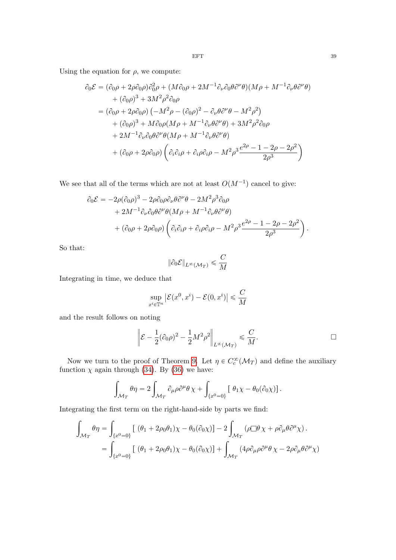Using the equation for  $\rho$ , we compute:

$$
\partial_0 \mathcal{E} = (\partial_0 \rho + 2\rho \partial_0 \rho) \partial_0^2 \rho + (M \partial_0 \rho + 2M^{-1} \partial_\nu \partial_0 \theta \partial^\nu \theta)(M\rho + M^{-1} \partial_\nu \theta \partial^\nu \theta)
$$
  
+  $(\partial_0 \rho)^3 + 3M^2 \rho^2 \partial_0 \rho$   
=  $(\partial_0 \rho + 2\rho \partial_0 \rho) (-M^2 \rho - (\partial_0 \rho)^2 - \partial_\nu \theta \partial^\nu \theta - M^2 \rho^2)$   
+  $(\partial_0 \rho)^3 + M \partial_0 \rho (M \rho + M^{-1} \partial_\nu \theta \partial^\nu \theta) + 3M^2 \rho^2 \partial_0 \rho$   
+  $2M^{-1} \partial_\nu \partial_0 \theta \partial^\nu \theta (M \rho + M^{-1} \partial_\nu \theta \partial^\nu \theta)$   
+  $(\partial_0 \rho + 2\rho \partial_0 \rho) (\partial_i \partial_i \rho + \partial_i \rho \partial_i \rho - M^2 \rho^3 \frac{e^{2\rho} - 1 - 2\rho - 2\rho^2}{2\rho^3})$ 

We see that all of the terms which are not at least  $O(M^{-1})$  cancel to give:

$$
\partial_0 \mathcal{E} = -2\rho (\partial_0 \rho)^3 - 2\rho \partial_0 \rho \partial_\nu \theta \partial^\nu \theta - 2M^2 \rho^3 \partial_0 \rho + 2M^{-1} \partial_\nu \partial_0 \theta \partial^\nu \theta (M\rho + M^{-1} \partial_\nu \theta \partial^\nu \theta) + (\partial_0 \rho + 2\rho \partial_0 \rho) \left( \partial_i \partial_i \rho + \partial_i \rho \partial_i \rho - M^2 \rho^3 \frac{e^{2\rho} - 1 - 2\rho - 2\rho^2}{2\rho^3} \right).
$$

So that:

$$
\|\partial_0 \mathcal{E}\|_{L^\infty(\mathcal{M}_T)} \leqslant \frac{C}{M}
$$

Integrating in time, we deduce that

$$
\sup_{x^i \in \mathbb{T}^n} \left| \mathcal{E}(x^0, x^i) - \mathcal{E}(0, x^i) \right| \leqslant \frac{C}{M}
$$

and the result follows on noting

$$
\left\| \mathcal{E} - \frac{1}{2} (\partial_0 \rho)^2 - \frac{1}{2} M^2 \rho^2 \right\|_{L^\infty(\mathcal{M}_T)} \leqslant \frac{C}{M}.
$$

Now we turn to the proof of Theorem [9.](#page-14-0) Let  $\eta \in C_c^{\infty}(\mathcal{M}_T)$  and define the auxiliary function  $\chi$  again through [\(34\)](#page-35-0). By [\(36\)](#page-36-0) we have:

$$
\int_{\mathcal{M}_T} \theta \eta = 2 \int_{\mathcal{M}_T} \partial_\mu \rho \partial^\mu \theta \chi + \int_{\{x^0 = 0\}} \left[ \theta_1 \chi - \theta_0 (\partial_0 \chi) \right].
$$

Integrating the first term on the right-hand-side by parts we find:

$$
\int_{\mathcal{M}_T} \theta \eta = \int_{\{x^0 = 0\}} \left[ (\theta_1 + 2\rho_0 \theta_1) \chi - \theta_0 (\partial_0 \chi) \right] - 2 \int_{\mathcal{M}_T} (\rho \Box \theta \chi + \rho \partial_\mu \theta \partial^\mu \chi).
$$
  
= 
$$
\int_{\{x^0 = 0\}} \left[ (\theta_1 + 2\rho_0 \theta_1) \chi - \theta_0 (\partial_0 \chi) \right] + \int_{\mathcal{M}_T} (4\rho \partial_\mu \rho \partial^\mu \theta \chi - 2\rho \partial_\mu \theta \partial^\mu \chi).
$$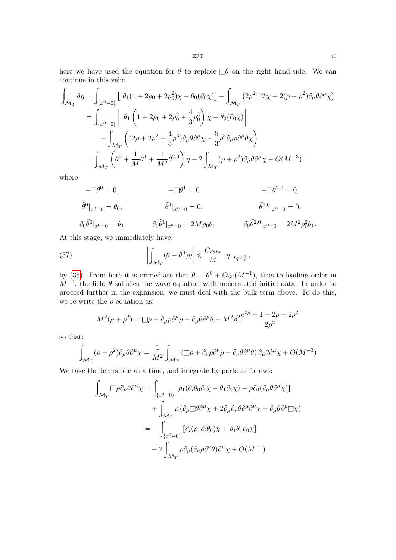here we have used the equation for  $\theta$  to replace  $\Box \theta$  on the right hand-side. We can continue in this vein:

$$
\int_{\mathcal{M}_T} \theta \eta = \int_{\{x^0 = 0\}} \left[ \theta_1 (1 + 2\rho_0 + 2\rho_0^2) \chi - \theta_0 (\partial_0 \chi) \right] - \int_{\mathcal{M}_T} (2\rho^2 \Box \theta \chi + 2(\rho + \rho^2) \partial_\mu \theta \partial^\mu \chi)
$$
  
\n
$$
= \int_{\{x^0 = 0\}} \left[ \theta_1 \left( 1 + 2\rho_0 + 2\rho_0^2 + \frac{4}{3}\rho_0^3 \right) \chi - \theta_0 (\partial_0 \chi) \right]
$$
  
\n
$$
- \int_{\mathcal{M}_T} \left( (2\rho + 2\rho^2 + \frac{4}{3}\rho^3) \partial_\mu \theta \partial^\mu \chi - \frac{8}{3}\rho^3 \partial_\mu \rho \partial^\mu \theta \chi \right)
$$
  
\n
$$
= \int_{\mathcal{M}_T} \left( \tilde{\theta}^0 + \frac{1}{M} \tilde{\theta}^1 + \frac{1}{M^2} \tilde{\theta}^{2,0} \right) \eta - 2 \int_{\mathcal{M}_T} (\rho + \rho^2) \partial_\mu \theta \partial^\mu \chi + O(M^{-3}),
$$

where

$$
-\Box \tilde{\theta}^{0} = 0, \qquad -\Box \tilde{\theta}^{1} = 0 \qquad -\Box \tilde{\theta}^{2,0} = 0,
$$
  

$$
\tilde{\theta}^{0}|_{x^{0}=0} = \theta_{0}, \qquad \tilde{\theta}^{1}|_{x^{0}=0} = 0, \qquad \tilde{\theta}^{2,0}|_{x^{0}=0} = 0,
$$
  

$$
\partial_{0} \tilde{\theta}^{0}|_{x^{0}=0} = \theta_{1} \qquad \partial_{0} \tilde{\theta}^{1}|_{x^{0}=0} = 2M\rho_{0}\theta_{1} \qquad \partial_{0} \tilde{\theta}^{2,0}|_{x^{0}=0} = 2M^{2}\rho_{0}^{2}\theta_{1}.
$$

At this stage, we immediately have: ˇ ż

(37) 
$$
\left| \int_{\mathcal{M}_T} (\theta - \tilde{\theta}^0) \eta \right| \leq \frac{C_{data}}{M} \|\eta\|_{L_t^1 L_x^2},
$$

by [\(35\)](#page-36-1). From here it is immediate that  $\theta = \tilde{\theta}^0 + O_{\mathscr{D}}(M^{-1})$ , thus to leading order in  $M^{-1}$ , the field  $\theta$  satisfies the wave equation with uncorrected initial data. In order to proceed further in the expansion, we must deal with the bulk term above. To do this, we re-write the  $\rho$  equation as:

<span id="page-39-0"></span>
$$
M^{2}(\rho + \rho^{2}) = \Box \rho + \partial_{\mu}\rho \partial^{\mu}\rho - \partial_{\mu}\theta \partial^{\mu}\theta - M^{2}\rho^{2} \frac{e^{2\rho} - 1 - 2\rho - 2\rho^{2}}{2\rho^{2}}
$$

so that: ż

$$
\int_{\mathcal{M}_T} (\rho + \rho^2) \partial_{\mu} \theta \partial^{\mu} \chi = \frac{1}{M^2} \int_{\mathcal{M}_T} (\Box \rho + \partial_{\nu} \rho \partial^{\nu} \rho - \partial_{\nu} \theta \partial^{\nu} \theta) \partial_{\mu} \theta \partial^{\mu} \chi + O(M^{-3})
$$

We take the terms one at a time, and integrate by parts as follows:

$$
\int_{\mathcal{M}_T} \Box \rho \partial_\mu \theta \partial^\mu \chi = \int_{\{x^0 = 0\}} \left[ \rho_1 (\partial_i \theta_0 \partial_i \chi - \theta_1 \partial_0 \chi) - \rho \partial_0 (\partial_\mu \theta \partial^\mu \chi) \right] \n+ \int_{\mathcal{M}_T} \rho \left( \partial_\mu \Box \theta \partial^\mu \chi + 2 \partial_\mu \partial_\nu \theta \partial^\mu \partial^\nu \chi + \partial_\mu \theta \partial^\mu \Box \chi \right) \n= - \int_{\{x^0 = 0\}} \left[ \partial_i (\rho_1 \partial_i \theta_0) \chi + \rho_1 \theta_1 \partial_0 \chi \right] \n- 2 \int_{\mathcal{M}_T} \rho \partial_\mu (\partial_\nu \rho \partial^\nu \theta) \partial^\mu \chi + O(M^{-1})
$$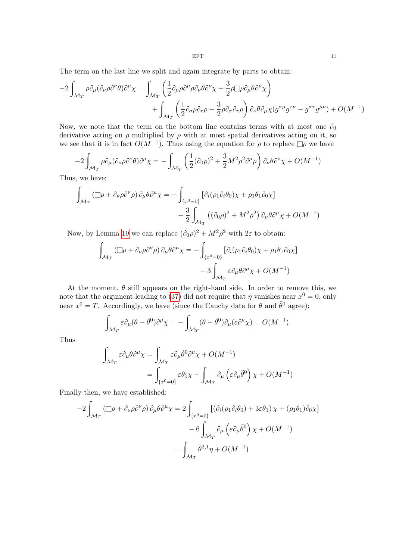The term on the last line we split and again integrate by parts to obtain: <sup>2</sup>

$$
-2\int_{\mathcal{M}_T} \rho \partial_\mu (\partial_\nu \rho \partial^\nu \theta) \partial^\mu \chi = \int_{\mathcal{M}_T} \left( \frac{1}{2} \partial_\mu \rho \partial^\mu \rho \partial_\nu \theta \partial^\nu \chi - \frac{3}{2} \rho \Box \rho \partial_\mu \theta \partial^\mu \chi \right) + \int_{\mathcal{M}_T} \left( \frac{1}{2} \partial_\sigma \rho \partial_\tau \rho - \frac{3}{2} \rho \partial_\sigma \partial_\tau \rho \right) \partial_\nu \theta \partial_\mu \chi (g^{\sigma \mu} g^{\tau \nu} - g^{\sigma \tau} g^{\mu \nu}) + O(M^{-1})
$$

Now, we note that the term on the bottom line contains terms with at most one  $\partial_0$ derivative acting on  $\rho$  multiplied by  $\rho$  with at most spatial derivatives acting on it, so we see that it is in fact  $O(M^{-1})$ . Thus using the equation for  $\rho$  to replace  $\Box \rho$  we have

$$
-2\int_{\mathcal{M}_T} \rho \partial_\mu (\partial_\nu \rho \partial^\nu \theta) \partial^\mu \chi = -\int_{\mathcal{M}_T} \left( \frac{1}{2} (\partial_0 \rho)^2 + \frac{3}{2} M^2 \rho^2 \partial^\mu \rho \right) \partial_\nu \theta \partial^\nu \chi + O(M^{-1})
$$

Thus, we have:

$$
\int_{\mathcal{M}_T} (\Box \rho + \partial_{\nu} \rho \partial^{\nu} \rho) \, \partial_{\mu} \theta \partial^{\mu} \chi = - \int_{\{x^0 = 0\}} [\partial_i (\rho_1 \partial_i \theta_0) \chi + \rho_1 \theta_1 \partial_0 \chi] - \frac{3}{2} \int_{\mathcal{M}_T} ((\partial_0 \rho)^2 + M^2 \rho^2) \, \partial_{\mu} \theta \partial^{\mu} \chi + O(M^{-1})
$$

Now, by Lemma 19 we can replace 
$$
(\partial_0 \rho)^2 + M^2 \rho^2
$$
 with  $2\varepsilon$  to obtain:  
\n
$$
\int_{\mathcal{M}_T} (\Box \rho + \partial_\nu \rho \partial^\nu \rho) \partial_\mu \theta \partial^\mu \chi = - \int_{\{x^0 = 0\}} [\partial_i (\rho_1 \partial_i \theta_0) \chi + \rho_1 \theta_1 \partial_0 \chi] - 3 \int_{\mathcal{M}_T} \varepsilon \partial_\mu \theta \partial^\mu \chi + O(M^{-1})
$$

At the moment,  $\theta$  still appears on the right-hand side. In order to remove this, we note that the argument leading to [\(37\)](#page-39-0) did not require that  $\eta$  vanishes near  $x^0 = 0$ , only

near 
$$
x^0 = T
$$
. Accordingly, we have (since the Cauchy data for  $\theta$  and  $\tilde{\theta}^0$  agree):  

$$
\int_{\mathcal{M}_T} \varepsilon \partial_\mu (\theta - \tilde{\theta}^0) \partial^\mu \chi = - \int_{\mathcal{M}_T} (\theta - \tilde{\theta}^0) \partial_\mu (\varepsilon \partial^\mu \chi) = O(M^{-1}).
$$

Thus

$$
\int_{\mathcal{M}_T} \varepsilon \partial_\mu \theta \partial^\mu \chi = \int_{\mathcal{M}_T} \varepsilon \partial_\mu \tilde{\theta}^0 \partial^\mu \chi + O(M^{-1})
$$
  
= 
$$
\int_{\{x^0 = 0\}} \varepsilon \theta_1 \chi - \int_{\mathcal{M}_T} \partial_\mu \left( \varepsilon \partial_\mu \tilde{\theta}^0 \right) \chi + O(M^{-1})
$$

Finally then, we have established:

$$
-2\int_{\mathcal{M}_T} (\Box \rho + \partial_{\nu} \rho \partial^{\nu} \rho) \partial_{\mu} \theta \partial^{\mu} \chi = 2\int_{\{x^0 = 0\}} [(\partial_i (\rho_1 \partial_i \theta_0) + 3\varepsilon \theta_1) \chi + (\rho_1 \theta_1) \partial_0 \chi] -6\int_{\mathcal{M}_T} \partial_{\mu} (\varepsilon \partial_{\mu} \tilde{\theta}^0) \chi + O(M^{-1}) = \int_{\mathcal{M}_T} \tilde{\theta}^{2,1} \eta + O(M^{-1})
$$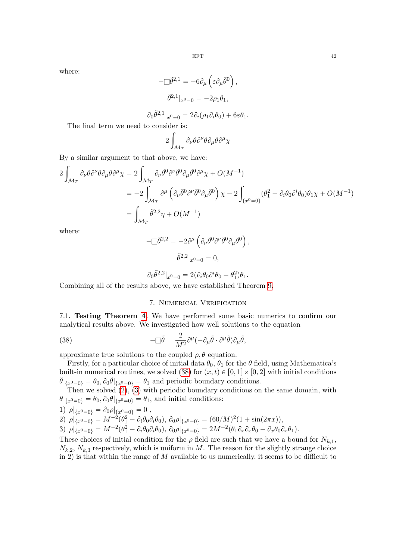where:

$$
-\Box \tilde{\theta}^{2,1} = -6\partial_{\mu} \left( \varepsilon \partial_{\mu} \tilde{\theta}^{0} \right),
$$

$$
\tilde{\theta}^{2,1} |_{x^{0}=0} = -2\rho_{1} \theta_{1},
$$

$$
\partial_0 \tilde{\theta}^{2,1}|_{x^0=0} = 2\partial_i(\rho_1 \partial_i \theta_0) + 6\varepsilon \theta_1.
$$

The final term we need to consider is:

$$
2\int_{\mathcal{M}_T} \partial_{\nu} \theta \partial^{\nu} \theta \partial_{\mu} \theta \partial^{\mu} \chi
$$

By a similar argument to that above, we have:

$$
2\int_{\mathcal{M}_T} \partial_{\nu} \theta \partial^{\nu} \theta \partial_{\mu} \theta \partial^{\mu} \chi = 2 \int_{\mathcal{M}_T} \partial_{\nu} \tilde{\theta}^0 \partial^{\nu} \tilde{\theta}^0 \partial_{\mu} \tilde{\theta}^0 \partial^{\mu} \chi + O(M^{-1})
$$
  
\n
$$
= -2 \int_{\mathcal{M}_T} \partial^{\mu} \left( \partial_{\nu} \tilde{\theta}^0 \partial^{\nu} \tilde{\theta}^0 \partial_{\mu} \tilde{\theta}^0 \right) \chi - 2 \int_{\{x^0 = 0\}} (\theta_1^2 - \partial_i \theta_0 \partial^i \theta_0) \theta_1 \chi + O(M^{-1})
$$
  
\n
$$
= \int_{\mathcal{M}_T} \tilde{\theta}^{2,2} \eta + O(M^{-1})
$$

where:

$$
-\Box \tilde{\theta}^{2,2} = -2\partial^{\mu} \left( \partial_{\nu} \tilde{\theta}^{0} \partial^{\nu} \tilde{\theta}^{0} \partial_{\mu} \tilde{\theta}^{0} \right),
$$

$$
\tilde{\theta}^{2,2}|_{x^{0}=0} = 0,
$$

$$
\partial_0 \tilde{\theta}^{2,2}|_{x^0=0} = 2(\partial_i \theta_0 \partial^i \theta_0 - \theta_1^2)\theta_1.
$$

Combining all of the results above, we have established Theorem [9.](#page-14-0)

## 7. Numerical Verification

<span id="page-41-0"></span>7.1. Testing Theorem [4.](#page-10-0) We have performed some basic numerics to confirm our analytical results above. We investigated how well solutions to the equation

<span id="page-41-1"></span>(38) 
$$
-\Box \tilde{\theta} = \frac{2}{M^2} \partial^{\mu} (-\partial_{\mu} \tilde{\theta} \cdot \partial^{\mu} \tilde{\theta}) \partial_{\mu} \tilde{\theta},
$$

approximate true solutions to the coupled  $\rho$ ,  $\theta$  equation.

Firstly, for a particular choice of initial data  $\theta_0$ ,  $\theta_1$  for the  $\theta$  field, using Mathematica's built-in numerical routines, we solved [\(38\)](#page-41-1) for  $(x, t) \in [0, 1] \times [0, 2]$  with initial conditions  $\tilde{\theta}|_{\{x^0=0\}} = \theta_0, \partial_0 \tilde{\theta}|_{\{x^0=0\}} = \theta_1$  and periodic boundary conditions.

Then we solved  $(2)$ ,  $(3)$  with periodic boundary conditions on the same domain, with  $\theta|_{\{\mathcal{X}^0=0\}} = \theta_0, \partial_0 \theta|_{\{\mathcal{X}^0=0\}} = \theta_1$ , and initial conditions:

1) 
$$
\rho|_{\{x^0=0\}} = \partial_0 \rho|_{\{x^0=0\}} = 0
$$
,

2)  $\rho|_{\{x^0=0\}} = M^{-2}(\theta_1^2 - \partial_i \theta_0 \partial_i \theta_0), \ \partial_0 \rho|_{\{x^0=0\}} = (60/M)^2(1 + \sin(2\pi x)),$ 

$$
3) \ \rho|_{\{x^0=0\}} = M^{-2}(\theta_1^2 - \partial_i \theta_0 \partial_i \theta_0), \ \partial_0 \rho|_{\{x^0=0\}} = 2M^{-2}(\theta_1 \partial_x \partial_x \theta_0 - \partial_x \theta_0 \partial_x \theta_1).
$$

These choices of initial condition for the  $\rho$  field are such that we have a bound for  $N_{k,1}$ ,  $N_{k,2}$ ,  $N_{k,3}$  respectively, which is uniform in M. The reason for the slightly strange choice in 2) is that within the range of  $M$  available to us numerically, it seems to be difficult to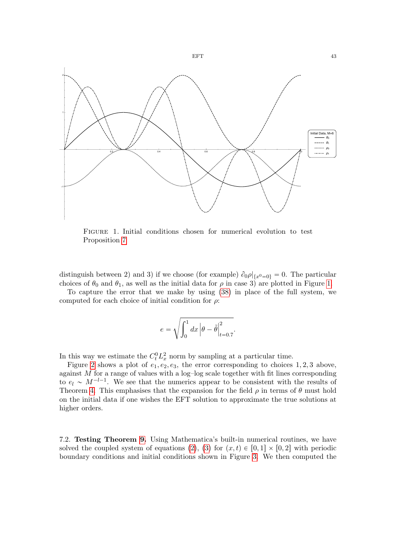

<span id="page-42-0"></span>Figure 1. Initial conditions chosen for numerical evolution to test Proposition [7](#page-12-2)

distinguish between 2) and 3) if we choose (for example)  $\partial_0 \rho |_{\{x^0=0\}} = 0$ . The particular choices of  $\theta_0$  and  $\theta_1$ , as well as the initial data for  $\rho$  in case 3) are plotted in Figure [1.](#page-42-0)

To capture the error that we make by using [\(38\)](#page-41-1) in place of the full system, we computed for each choice of initial condition for  $\rho$ :

$$
e = \sqrt{\int_0^1 dx \left| \theta - \tilde{\theta} \right|_{t=0.7}^2}.
$$

In this way we estimate the  $C_t^0 L_x^2$  norm by sampling at a particular time.

Figure [2](#page-43-0) shows a plot of  $e_1, e_2, e_3$ , the error corresponding to choices 1, 2, 3 above, against  $M$  for a range of values with a log-log scale together with fit lines corresponding to  $e_l \sim M^{-l-1}$ . We see that the numerics appear to be consistent with the results of Theorem [4.](#page-10-0) This emphasises that the expansion for the field  $\rho$  in terms of  $\theta$  must hold on the initial data if one wishes the EFT solution to approximate the true solutions at higher orders.

7.2. Testing Theorem [9.](#page-14-0) Using Mathematica's built-in numerical routines, we have solved the coupled system of equations [\(2\)](#page-5-1), [\(3\)](#page-5-2) for  $(x, t) \in [0, 1] \times [0, 2]$  with periodic boundary conditions and initial conditions shown in Figure [3.](#page-44-1) We then computed the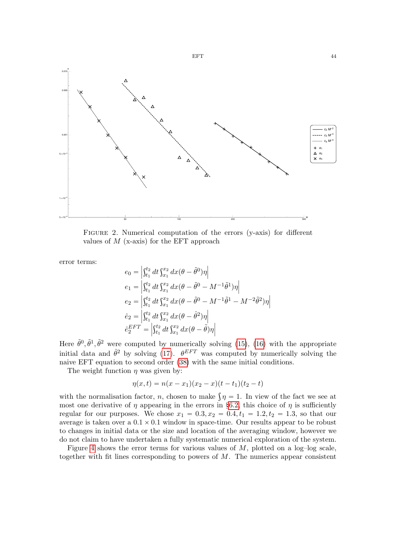

FIGURE 2. Numerical computation of the errors (y-axis) for different values of  $M$  (x-axis) for the EFT approach

ˇ

error terms:

<span id="page-43-0"></span>
$$
e_0 = \left| \int_{t_1}^{t_2} dt \int_{x_1}^{x_2} dx (\theta - \tilde{\theta}^0) \eta \right|
$$
  
\n
$$
e_1 = \left| \int_{t_1}^{t_2} dt \int_{x_1}^{x_2} dx (\theta - \tilde{\theta}^0 - M^{-1} \tilde{\theta}^1) \eta \right|
$$
  
\n
$$
e_2 = \left| \int_{t_1}^{t_2} dt \int_{x_1}^{x_2} dx (\theta - \tilde{\theta}^0 - M^{-1} \tilde{\theta}^1 - M^{-2} \tilde{\theta}^2) \eta \right|
$$
  
\n
$$
\hat{e}_2 = \left| \int_{t_1}^{t_2} dt \int_{x_1}^{x_2} dx (\theta - \hat{\theta}^2) \eta \right|
$$
  
\n
$$
\hat{e}_2^{EFT} = \left| \int_{t_1}^{t_2} dt \int_{x_1}^{x_2} dx (\theta - \tilde{\theta}) \eta \right|
$$

Here  $\tilde{\theta}^0$ ,  $\tilde{\theta}^1$ ,  $\tilde{\theta}^2$  were computed by numerically solving [\(15\)](#page-13-1), [\(16\)](#page-14-1) with the appropriate initial data and  $\hat{\theta}^2$  by solving [\(17\)](#page-14-2).  $\theta^{EFT}$  was computed by numerically solving the naive EFT equation to second order [\(38\)](#page-41-1) with the same initial conditions.

The weight function  $\eta$  was given by:

ˇ

$$
\eta(x,t) = n(x - x_1)(x_2 - x)(t - t_1)(t_2 - t)
$$

with the normalisation factor, *n*, chosen to make  $\int \eta = 1$ . In view of the fact we see at most one derivative of  $\eta$  appearing in the errors in §[6.2,](#page-37-1) this choice of  $\eta$  is sufficiently regular for our purposes. We chose  $x_1 = 0.3, x_2 = 0.4, t_1 = 1.2, t_2 = 1.3$ , so that our average is taken over a  $0.1 \times 0.1$  window in space-time. Our results appear to be robust to changes in initial data or the size and location of the averaging window, however we do not claim to have undertaken a fully systematic numerical exploration of the system.

Figure [4](#page-45-12) shows the error terms for various values of  $M$ , plotted on a log-log scale, together with fit lines corresponding to powers of  $M$ . The numerics appear consistent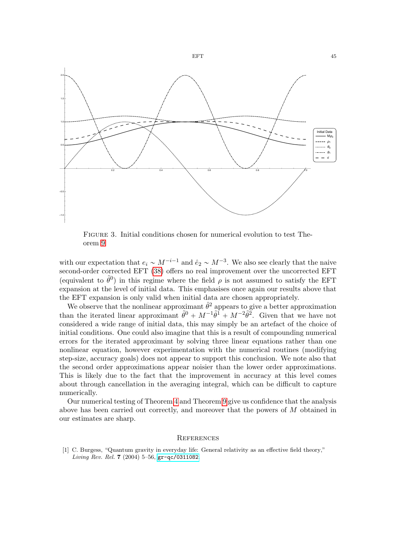

<span id="page-44-1"></span>Figure 3. Initial conditions chosen for numerical evolution to test Theorem [9](#page-14-0)

with our expectation that  $e_i \sim M^{-i-1}$  and  $\hat{e}_2 \sim M^{-3}$ . We also see clearly that the naive second-order corrected EFT [\(38\)](#page-41-1) offers no real improvement over the uncorrected EFT (equivalent to  $\tilde{\theta}^0$ ) in this regime where the field  $\rho$  is not assumed to satisfy the EFT expansion at the level of initial data. This emphasises once again our results above that the EFT expansion is only valid when initial data are chosen appropriately.

We observe that the nonlinear approximant  $\hat{\theta}^2$  appears to give a better approximation than the iterated linear approximant  $\tilde{\theta}^0 + M^{-1} \tilde{\theta}^1 + M^{-2} \tilde{\theta}^2$ . Given that we have not considered a wide range of initial data, this may simply be an artefact of the choice of initial conditions. One could also imagine that this is a result of compounding numerical errors for the iterated approximant by solving three linear equations rather than one nonlinear equation, however experimentation with the numerical routines (modifying step-size, accuracy goals) does not appear to support this conclusion. We note also that the second order approximations appear noisier than the lower order approximations. This is likely due to the fact that the improvement in accuracy at this level comes about through cancellation in the averaging integral, which can be difficult to capture numerically.

Our numerical testing of Theorem [4](#page-10-0) and Theorem [9](#page-14-0) give us confidence that the analysis above has been carried out correctly, and moreover that the powers of M obtained in our estimates are sharp.

#### **REFERENCES**

<span id="page-44-0"></span>[1] C. Burgess, "Quantum gravity in everyday life: General relativity as an effective field theory," Living Rev. Rel. 7 (2004) 5–56, [gr-qc/0311082](http://xxx.lanl.gov/abs/gr-qc/0311082).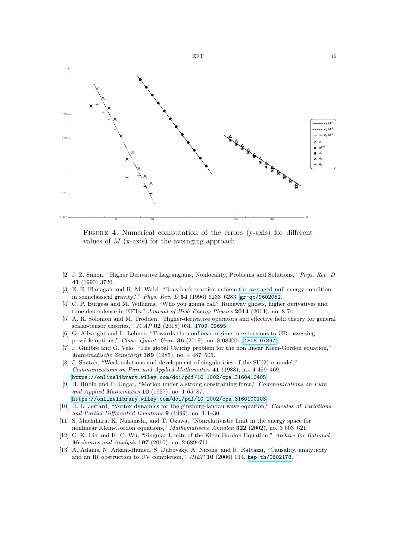

<span id="page-45-12"></span>FIGURE 4. Numerical computation of the errors (y-axis) for different values of  $M$  (x-axis) for the averaging approach

- <span id="page-45-0"></span>[2] J. Z. Simon, "Higher Derivative Lagrangians, Nonlocality, Problems and Solutions," Phys. Rev. D 41 (1990) 3720.
- <span id="page-45-1"></span>[3] E. E. Flanagan and R. M. Wald, "Does back reaction enforce the averaged null energy condition in semiclassical gravity?," Phys. Rev. D 54 (1996) 6233–6283, [gr-qc/9602052](http://xxx.lanl.gov/abs/gr-qc/9602052).
- <span id="page-45-2"></span>[4] C. P. Burgess and M. Williams, "Who you gonna call? Runaway ghosts, higher derivatives and time-dependence in EFTs," Journal of High Energy Physics 2014 (2014), no. 8 74.
- <span id="page-45-3"></span>[5] A. R. Solomon and M. Trodden, "Higher-derivative operators and effective field theory for general scalar-tensor theories," JCAP 02 (2018) 031, [1709.09695](http://xxx.lanl.gov/abs/1709.09695).
- <span id="page-45-4"></span>[6] G. Allwright and L. Lehner, "Towards the nonlinear regime in extensions to GR: assessing possible options," Class. Quant. Grav. 36 (2019), no. 8 084001, [1808.07897](http://xxx.lanl.gov/abs/1808.07897).
- <span id="page-45-5"></span>[7] J. Ginibre and G. Velo, "The global Cauchy problem for the non linear Klein-Gordon equation," Mathematische Zeitschrift 189 (1985), no. 4 487–505.
- <span id="page-45-6"></span>[8] J. Shatah, "Weak solutions and development of singularities of the SU(2)  $\sigma$ -model," Communications on Pure and Applied Mathematics 41 (1988), no. 4 459–469, [https://onlinelibrary.wiley.com/doi/pdf/10.1002/cpa.3160410405](http://xxx.lanl.gov/abs/https://onlinelibrary.wiley.com/doi/pdf/10.1002/cpa.3160410405).
- <span id="page-45-7"></span>[9] H. Rubin and P. Ungar, "Motion under a strong constraining force," Communications on Pure and Applied Mathematics  $10$  (1957), no. 1 65–87.
- [https://onlinelibrary.wiley.com/doi/pdf/10.1002/cpa.3160100103](http://xxx.lanl.gov/abs/https://onlinelibrary.wiley.com/doi/pdf/10.1002/cpa.3160100103).
- <span id="page-45-8"></span>[10] R. L. Jerrard, "Vortex dynamics for the ginzburg-landau wave equation," Calculus of Variations and Partial Differential Equations 9 (1999), no. 1 1–30.
- <span id="page-45-9"></span>[11] S. Machihara, K. Nakanishi, and T. Ozawa, "Nonrelativistic limit in the energy space for nonlinear Klein-Gordon equations," Mathematische Annalen 322 (2002), no. 3 603–621.
- <span id="page-45-10"></span>[12] C.-K. Lin and K.-C. Wu, "Singular Limits of the Klein-Gordon Equation," Archive for Rational Mechanics and Analysis  $197$  (2010), no. 2 689-711.
- <span id="page-45-11"></span>[13] A. Adams, N. Arkani-Hamed, S. Dubovsky, A. Nicolis, and R. Rattazzi, "Causality, analyticity and an IR obstruction to UV completion," JHEP 10 (2006) 014, [hep-th/0602178](http://xxx.lanl.gov/abs/hep-th/0602178).